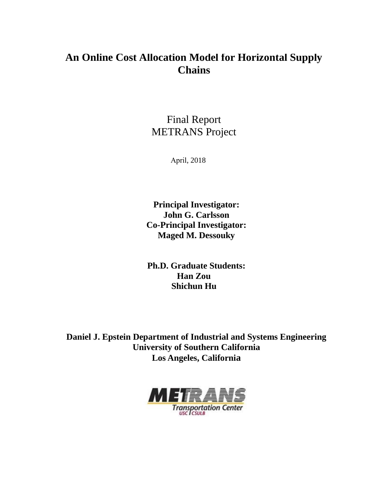# **An Online Cost Allocation Model for Horizontal Supply Chains**

# Final Report METRANS Project

April, 2018

**Principal Investigator: John G. Carlsson Co-Principal Investigator: Maged M. Dessouky**

**Ph.D. Graduate Students: Han Zou Shichun Hu**

**Daniel J. Epstein Department of Industrial and Systems Engineering University of Southern California Los Angeles, California**

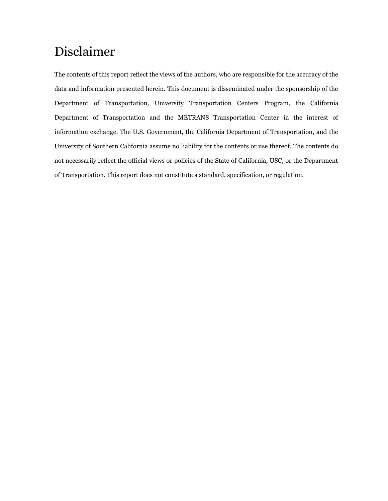# Disclaimer

The contents of this report reflect the views of the authors, who are responsible for the accuracy of the data and information presented herein. This document is disseminated under the sponsorship of the Department of Transportation, University Transportation Centers Program, the California Department of Transportation and the METRANS Transportation Center in the interest of information exchange. The U.S. Government, the California Department of Transportation, and the University of Southern California assume no liability for the contents or use thereof. The contents do not necessarily reflect the official views or policies of the State of California, USC, or the Department of Transportation. This report does not constitute a standard, specification, or regulation.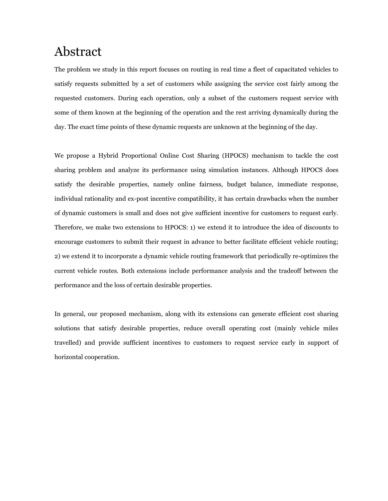# Abstract

The problem we study in this report focuses on routing in real time a fleet of capacitated vehicles to satisfy requests submitted by a set of customers while assigning the service cost fairly among the requested customers. During each operation, only a subset of the customers request service with some of them known at the beginning of the operation and the rest arriving dynamically during the day. The exact time points of these dynamic requests are unknown at the beginning of the day.

We propose a Hybrid Proportional Online Cost Sharing (HPOCS) mechanism to tackle the cost sharing problem and analyze its performance using simulation instances. Although HPOCS does satisfy the desirable properties, namely online fairness, budget balance, immediate response, individual rationality and ex-post incentive compatibility, it has certain drawbacks when the number of dynamic customers is small and does not give sufficient incentive for customers to request early. Therefore, we make two extensions to HPOCS: 1) we extend it to introduce the idea of discounts to encourage customers to submit their request in advance to better facilitate efficient vehicle routing; 2) we extend it to incorporate a dynamic vehicle routing framework that periodically re-optimizes the current vehicle routes. Both extensions include performance analysis and the tradeoff between the performance and the loss of certain desirable properties.

In general, our proposed mechanism, along with its extensions can generate efficient cost sharing solutions that satisfy desirable properties, reduce overall operating cost (mainly vehicle miles travelled) and provide sufficient incentives to customers to request service early in support of horizontal cooperation.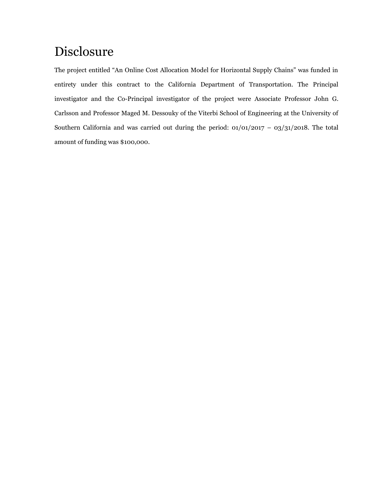# Disclosure

The project entitled "An Online Cost Allocation Model for Horizontal Supply Chains" was funded in entirety under this contract to the California Department of Transportation. The Principal investigator and the Co-Principal investigator of the project were Associate Professor John G. Carlsson and Professor Maged M. Dessouky of the Viterbi School of Engineering at the University of Southern California and was carried out during the period: 01/01/2017 – 03/31/2018. The total amount of funding was \$100,000.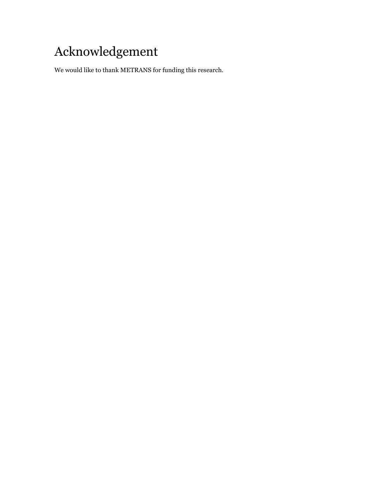# Acknowledgement

We would like to thank METRANS for funding this research.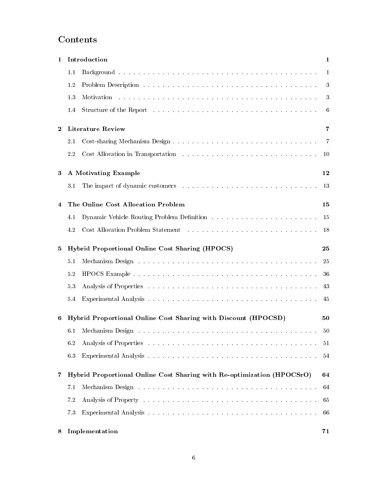# Contents

| 1        | Introduction<br>$\mathbf{1}$ |                                                                                                                                                                                                                               |                |  |  |
|----------|------------------------------|-------------------------------------------------------------------------------------------------------------------------------------------------------------------------------------------------------------------------------|----------------|--|--|
|          | 1.1                          |                                                                                                                                                                                                                               | 1              |  |  |
|          | 1.2                          |                                                                                                                                                                                                                               | 3              |  |  |
|          | 1.3                          |                                                                                                                                                                                                                               | 3              |  |  |
|          | 1.4                          | Structure of the Report resources in the service is a service of the Report resources in the service of the Report                                                                                                            | 6              |  |  |
| $\bf{2}$ |                              | <b>Literature Review</b>                                                                                                                                                                                                      | 7              |  |  |
|          | 2.1                          |                                                                                                                                                                                                                               | $\overline{7}$ |  |  |
|          | 2.2                          |                                                                                                                                                                                                                               | 10             |  |  |
| 3        | A Motivating Example         |                                                                                                                                                                                                                               |                |  |  |
|          | 3.1                          |                                                                                                                                                                                                                               | 13             |  |  |
| 4        |                              | The Online Cost Allocation Problem                                                                                                                                                                                            | 15             |  |  |
|          | 4.1                          |                                                                                                                                                                                                                               | 15             |  |  |
|          | 4.2                          |                                                                                                                                                                                                                               | 18             |  |  |
| 5        |                              | Hybrid Proportional Online Cost Sharing (HPOCS)                                                                                                                                                                               | 25             |  |  |
|          | 5.1                          |                                                                                                                                                                                                                               | 25             |  |  |
|          | 5.2                          |                                                                                                                                                                                                                               | 36             |  |  |
|          | 5.3                          |                                                                                                                                                                                                                               | 43             |  |  |
|          | 5.4                          |                                                                                                                                                                                                                               | 45             |  |  |
| 6        |                              | Hybrid Proportional Online Cost Sharing with Discount (HPOCSD)                                                                                                                                                                | 50             |  |  |
|          | 6.1                          |                                                                                                                                                                                                                               | 50             |  |  |
|          | 6.2                          |                                                                                                                                                                                                                               | 51             |  |  |
|          | 6.3                          |                                                                                                                                                                                                                               | 54             |  |  |
| 7        |                              | Hybrid Proportional Online Cost Sharing with Re-optimization (HPOCSrO)                                                                                                                                                        | 64             |  |  |
|          | 7.1                          | Mechanism Design research resources in the contract of the second property of the second second second second second second second second second second second second second second second second second second second second | 64             |  |  |
|          | 7.2                          |                                                                                                                                                                                                                               | 65             |  |  |
|          | 7.3                          |                                                                                                                                                                                                                               | 66             |  |  |
| 8        |                              | Implementation                                                                                                                                                                                                                | 71             |  |  |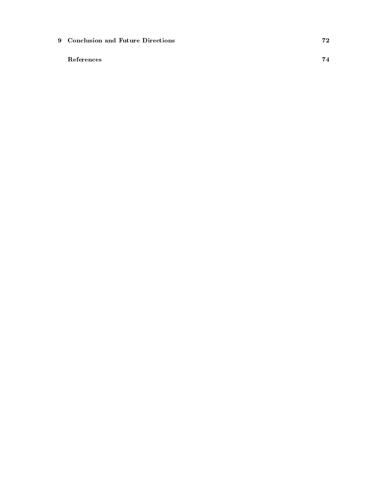[9 Conclusion and Future Directions](#page-80-0) 72

[References](#page-80-0) 74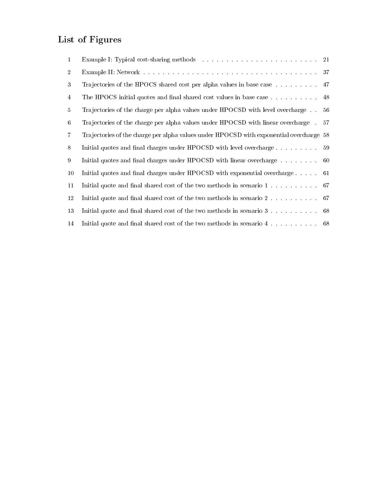# List of Figures

| $\mathbf{1}$   |                                                                                             | 21  |
|----------------|---------------------------------------------------------------------------------------------|-----|
| $\overline{2}$ |                                                                                             | 37  |
| 3              | Trajectories of the HPOCS shared cost per alpha values in base case                         | 47  |
| $\overline{4}$ | The HPOCS initial quotes and final shared cost values in base case                          | 48  |
| 5              | Trajectories of the charge per alpha values under HPOCSD with level overcharge              | -56 |
| 6              | Trajectories of the charge per alpha values under HPOCSD with linear overcharge.            | 57  |
| $\overline{7}$ | Trajectories of the charge per alpha values under HPOCSD with exponential overcharge 58     |     |
| 8              | Initial quotes and final charges under HPOCSD with level overcharge                         | 59  |
| 9              | Initial quotes and final charges under HPOCSD with linear overcharge $\dots \dots$ 60       |     |
| 10             | Initial quotes and final charges under HPOCSD with exponential overcharge                   | -61 |
| 11             | Initial quote and final shared cost of the two methods in scenario 1 $\dots$                | -67 |
| 12             | Initial quote and final shared cost of the two methods in scenario 2                        | 67  |
| 13             | Initial quote and final shared cost of the two methods in scenario $3 \ldots \ldots$        | 68  |
| 14             | Initial quote and final shared cost of the two methods in scenario $4 \ldots \ldots \ldots$ |     |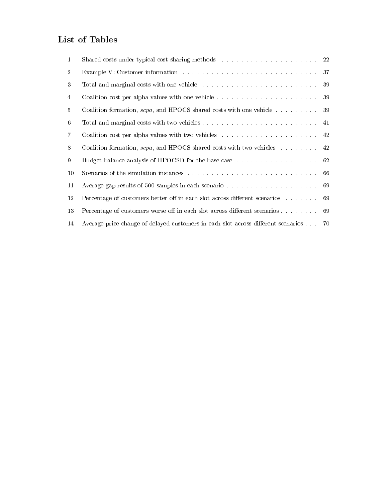# List of Tables

| $\mathbf{1}$   |                                                                                      |     |
|----------------|--------------------------------------------------------------------------------------|-----|
| $\overline{2}$ |                                                                                      | 37  |
| 3              |                                                                                      | -39 |
| 4              |                                                                                      | 39  |
| $5^{\circ}$    | Coalition formation, <i>scpa</i> , and HPOCS shared costs with one vehicle $\ldots$  | -39 |
| 6              |                                                                                      |     |
| $\overline{7}$ |                                                                                      |     |
| 8              | Coalition formation, $\text{seq}$ , and HPOCS shared costs with two vehicles  42     |     |
| 9              | Budget balance analysis of HPOCSD for the base case 62                               |     |
| 10             |                                                                                      |     |
| 11             |                                                                                      | -69 |
| 12             | Percentage of customers better off in each slot across different scenarios           | -69 |
| 13             | Percentage of customers worse off in each slot across different scenarios            | 69  |
| 14             | Average price change of delayed customers in each slot across different scenarios 70 |     |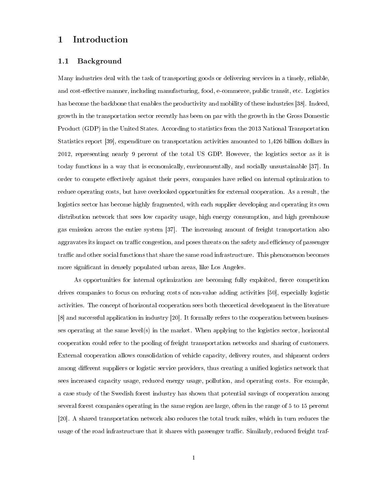# <span id="page-9-0"></span>1 Introduction

## <span id="page-9-1"></span>1.1 Background

Many industries deal with the task of transporting goods or delivering services in a timely, reliable, and cost-effective manner, including manufacturing, food, e-commerce, public transit, etc. Logistics has become the backbone that enables the productivity and mobility of these industries [\[38\]](#page-85-0). Indeed, growth in the transportation sector recently has been on par with the growth in the Gross Domestic Product (GDP) in the United States. According to statistics from the 2013 National Transportation Statistics report [\[39\]](#page-85-1), expenditure on transportation activities amounted to 1,426 billion dollars in 2012, representing nearly 9 percent of the total US GDP. However, the logistics sector as it is today functions in a way that is economically, environmentally, and socially unsustainable [\[37\]](#page-85-2). In order to compete effectively against their peers, companies have relied on internal optimization to reduce operating costs, but have overlooked opportunities for external cooperation. As a result, the logistics sector has become highly fragmented, with each supplier developing and operating its own distribution network that sees low capacity usage, high energy consumption, and high greenhouse gas emission across the entire system [\[37\]](#page-85-2). The increasing amount of freight transportation also aggravates its impact on traffic congestion, and poses threats on the safety and efficiency of passenger traffic and other social functions that share the same road infrastructure. This phenomenon becomes more significant in densely populated urban areas, like Los Angeles.

As opportunities for internal optimization are becoming fully exploited, fierce competition drives companies to focus on reducing costs of non-value adding activities [\[50\]](#page-86-0), especially logistic activities. The concept of horizontal cooperation sees both theoretical development in the literature [\[8\]](#page-82-0) and successful application in industry [\[20\]](#page-83-0). It formally refers to the cooperation between businesses operating at the same level(s) in the market. When applying to the logistics sector, horizontal cooperation could refer to the pooling of freight transportation networks and sharing of customers. External cooperation allows consolidation of vehicle capacity, delivery routes, and shipment orders among different suppliers or logistic service providers, thus creating a unified logistics network that sees increased capacity usage, reduced energy usage, pollution, and operating costs. For example, a case study of the Swedish forest industry has shown that potential savings of cooperation among several forest companies operating in the same region are large, often in the range of 5 to 15 percent [\[20\]](#page-83-0). A shared transportation network also reduces the total truck miles, which in turn reduces the usage of the road infrastructure that it shares with passenger traffic. Similarly, reduced freight traf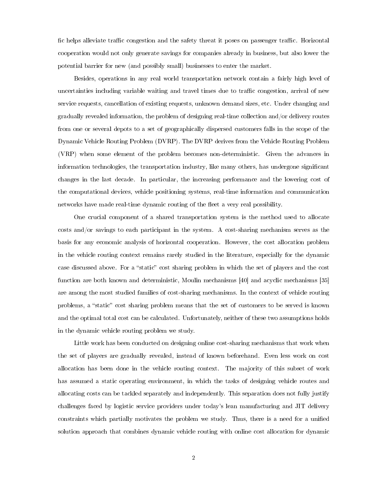fic helps alleviate traffic congestion and the safety threat it poses on passenger traffic. Horizontal cooperation would not only generate savings for companies already in business, but also lower the potential barrier for new (and possibly small) businesses to enter the market.

Besides, operations in any real world transportation network contain a fairly high level of uncertainties including variable waiting and travel times due to traffic congestion, arrival of new service requests, cancellation of existing requests, unknown demand sizes, etc. Under changing and gradually revealed information, the problem of designing real-time collection and/or delivery routes from one or several depots to a set of geographically dispersed customers falls in the scope of the Dynamic Vehicle Routing Problem (DVRP). The DVRP derives from the Vehicle Routing Problem (VRP) when some element of the problem becomes non-deterministic. Given the advances in information technologies, the transportation industry, like many others, has undergone signicant changes in the last decade. In particular, the increasing performance and the lowering cost of the computational devices, vehicle positioning systems, real-time information and communication networks have made real-time dynamic routing of the fleet a very real possibility.

One crucial component of a shared transportation system is the method used to allocate costs and/or savings to each participant in the system. A cost-sharing mechanism serves as the basis for any economic analysis of horizontal cooperation. However, the cost allocation problem in the vehicle routing context remains rarely studied in the literature, especially for the dynamic case discussed above. For a "static" cost sharing problem in which the set of players and the cost function are both known and deterministic, Moulin mechanisms [\[40\]](#page-85-3) and acyclic mechanisms [\[35\]](#page-84-0) are among the most studied families of cost-sharing mechanisms. In the context of vehicle routing problems, a "static" cost sharing problem means that the set of customers to be served is known and the optimal total cost can be calculated. Unfortunately, neither of these two assumptions holds in the dynamic vehicle routing problem we study.

Little work has been conducted on designing online cost-sharing mechanisms that work when the set of players are gradually revealed, instead of known beforehand. Even less work on cost allocation has been done in the vehicle routing context. The majority of this subset of work has assumed a static operating environment, in which the tasks of designing vehicle routes and allocating costs can be tackled separately and independently. This separation does not fully justify challenges faced by logistic service providers under today's lean manufacturing and JIT delivery constraints which partially motivates the problem we study. Thus, there is a need for a unified solution approach that combines dynamic vehicle routing with online cost allocation for dynamic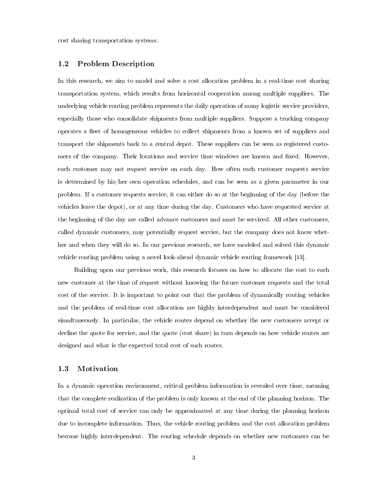cost sharing transportation systems.

## <span id="page-11-0"></span>1.2 Problem Description

In this research, we aim to model and solve a cost allocation problem in a real-time cost sharing transportation system, which results from horizontal cooperation among multiple suppliers. The underlying vehicle routing problem represents the daily operation of many logistic service providers, especially those who consolidate shipments from multiple suppliers. Suppose a trucking company operates a fleet of homogeneous vehicles to collect shipments from a known set of suppliers and transport the shipments back to a central depot. These suppliers can be seen as registered customers of the company. Their locations and service time windows are known and fixed. However, each customer may not request service on each day. How often each customer requests service is determined by his/her own operation schedules, and can be seen as a given parameter in our problem. If a customer requests service, it can either do so at the beginning of the day (before the vehicles leave the depot), or at any time during the day. Customers who have requested service at the beginning of the day are called advance customers and must be serviced. All other customers, called dynamic customers, may potentially request service, but the company does not know whether and when they will do so. In our previous research, we have modeled and solved this dynamic vehicle routing problem using a novel look-ahead dynamic vehicle routing framework [\[13\]](#page-82-1).

Building upon our previous work, this research focuses on how to allocate the cost to each new customer at the time of request without knowing the future customer requests and the total cost of the service. It is important to point out that the problem of dynamically routing vehicles and the problem of real-time cost allocation are highly interdependent and must be considered simultaneously. In particular, the vehicle routes depend on whether the new customers accept or decline the quote for service, and the quote (cost share) in turn depends on how vehicle routes are designed and what is the expected total cost of such routes.

## <span id="page-11-1"></span>1.3 Motivation

In a dynamic operation environment, critical problem information is revealed over time, meaning that the complete realization of the problem is only known at the end of the planning horizon. The optimal total cost of service can only be approximated at any time during the planning horizon due to incomplete information. Thus, the vehicle routing problem and the cost allocation problem become highly interdependent. The routing schedule depends on whether new customers can be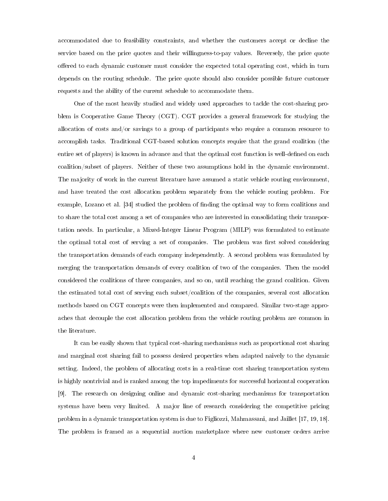accommodated due to feasibility constraints, and whether the customers accept or decline the service based on the price quotes and their willingness-to-pay values. Reversely, the price quote offered to each dynamic customer must consider the expected total operating cost, which in turn depends on the routing schedule. The price quote should also consider possible future customer requests and the ability of the current schedule to accommodate them.

One of the most heavily studied and widely used approaches to tackle the cost-sharing problem is Cooperative Game Theory (CGT). CGT provides a general framework for studying the allocation of costs and/or savings to a group of participants who require a common resource to accomplish tasks. Traditional CGT-based solution concepts require that the grand coalition (the entire set of players) is known in advance and that the optimal cost function is well-defined on each coalition/subset of players. Neither of these two assumptions hold in the dynamic environment. The majority of work in the current literature have assumed a static vehicle routing environment, and have treated the cost allocation problem separately from the vehicle routing problem. For example, Lozano et al. [\[34\]](#page-84-1) studied the problem of finding the optimal way to form coalitions and to share the total cost among a set of companies who are interested in consolidating their transportation needs. In particular, a Mixed-Integer Linear Program (MILP) was formulated to estimate the optimal total cost of serving a set of companies. The problem was first solved considering the transportation demands of each company independently. A second problem was formulated by merging the transportation demands of every coalition of two of the companies. Then the model considered the coalitions of three companies, and so on, until reaching the grand coalition. Given the estimated total cost of serving each subset/coalition of the companies, several cost allocation methods based on CGT concepts were then implemented and compared. Similar two-stage approaches that decouple the cost allocation problem from the vehicle routing problem are common in the literature.

It can be easily shown that typical cost-sharing mechanisms such as proportional cost sharing and marginal cost sharing fail to possess desired properties when adapted naively to the dynamic setting. Indeed, the problem of allocating costs in a real-time cost sharing transportation system is highly nontrivial and is ranked among the top impediments for successful horizontal cooperation [\[9\]](#page-82-2). The research on designing online and dynamic cost-sharing mechanisms for transportation systems have been very limited. A major line of research considering the competitive pricing problem in a dynamic transportation system is due to Figliozzi, Mahmassani, and Jaillet [\[17,](#page-83-1) [19,](#page-83-2) [18\]](#page-83-3). The problem is framed as a sequential auction marketplace where new customer orders arrive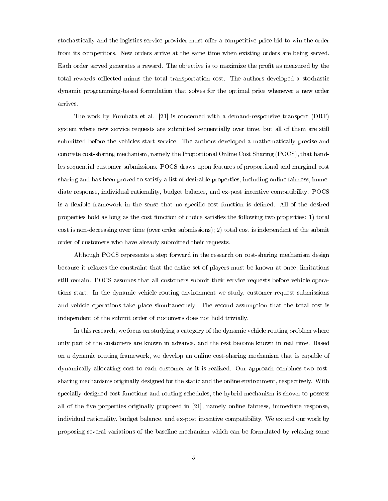stochastically and the logistics service provider must offer a competitive price bid to win the order from its competitors. New orders arrive at the same time when existing orders are being served. Each order served generates a reward. The objective is to maximize the profit as measured by the total rewards collected minus the total transportation cost. The authors developed a stochastic dynamic programming-based formulation that solves for the optimal price whenever a new order arrives.

The work by Furuhata et al. [\[21\]](#page-83-4) is concerned with a demand-responsive transport (DRT) system where new service requests are submitted sequentially over time, but all of them are still submitted before the vehicles start service. The authors developed a mathematically precise and concrete cost-sharing mechanism, namely the Proportional Online Cost Sharing (POCS), that handles sequential customer submissions. POCS draws upon features of proportional and marginal cost sharing and has been proved to satisfy a list of desirable properties, including online fairness, immediate response, individual rationality, budget balance, and ex-post incentive compatibility. POCS is a flexible framework in the sense that no specific cost function is defined. All of the desired properties hold as long as the cost function of choice satises the following two properties: 1) total cost is non-decreasing over time (over order submissions); 2) total cost is independent of the submit order of customers who have already submitted their requests.

Although POCS represents a step forward in the research on cost-sharing mechanism design because it relaxes the constraint that the entire set of players must be known at once, limitations still remain. POCS assumes that all customers submit their service requests before vehicle operations start. In the dynamic vehicle routing environment we study, customer request submissions and vehicle operations take place simultaneously. The second assumption that the total cost is independent of the submit order of customers does not hold trivially.

In this research, we focus on studying a category of the dynamic vehicle routing problem where only part of the customers are known in advance, and the rest become known in real time. Based on a dynamic routing framework, we develop an online cost-sharing mechanism that is capable of dynamically allocating cost to each customer as it is realized. Our approach combines two costsharing mechanisms originally designed for the static and the online environment, respectively. With specially designed cost functions and routing schedules, the hybrid mechanism is shown to possess all of the five properties originally proposed in [\[21\]](#page-83-4), namely online fairness, immediate response, individual rationality, budget balance, and ex-post incentive compatibility. We extend our work by proposing several variations of the baseline mechanism which can be formulated by relaxing some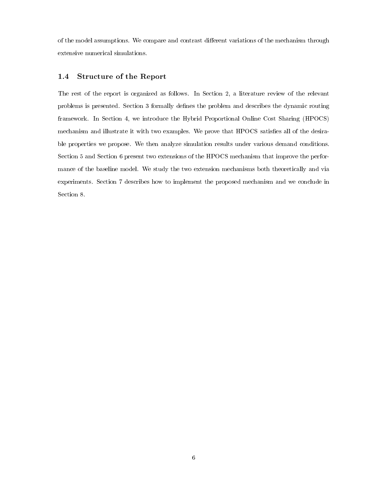of the model assumptions. We compare and contrast different variations of the mechanism through extensive numerical simulations.

## <span id="page-14-0"></span>1.4 Structure of the Report

The rest of the report is organized as follows. In Section 2, a literature review of the relevant problems is presented. Section 3 formally denes the problem and describes the dynamic routing framework. In Section 4, we introduce the Hybrid Proportional Online Cost Sharing (HPOCS) mechanism and illustrate it with two examples. We prove that HPOCS satisfies all of the desirable properties we propose. We then analyze simulation results under various demand conditions. Section 5 and Section 6 present two extensions of the HPOCS mechanism that improve the performance of the baseline model. We study the two extension mechanisms both theoretically and via experiments. Section 7 describes how to implement the proposed mechanism and we conclude in Section 8.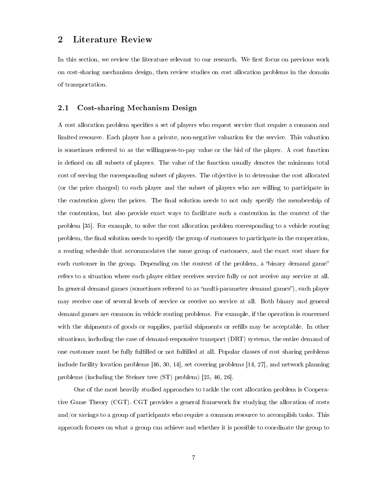## <span id="page-15-0"></span>2 Literature Review

In this section, we review the literature relevant to our research. We first focus on previous work on cost-sharing mechanism design, then review studies on cost allocation problems in the domain of transportation.

## <span id="page-15-1"></span>2.1 Cost-sharing Mechanism Design

A cost allocation problem specifies a set of players who request service that require a common and limited resource. Each player has a private, non-negative valuation for the service. This valuation is sometimes referred to as the willingness-to-pay value or the bid of the player. A cost function is defined on all subsets of players. The value of the function usually denotes the minimum total cost of serving the corresponding subset of players. The objective is to determine the cost allocated (or the price charged) to each player and the subset of players who are willing to participate in the contention given the prices. The final solution needs to not only specify the membership of the contention, but also provide exact ways to facilitate such a contention in the context of the problem [\[35\]](#page-84-0). For example, to solve the cost allocation problem corresponding to a vehicle routing problem, the nal solution needs to specify the group of customers to participate in the cooperation, a routing schedule that accommodates the same group of customers, and the exact cost share for each customer in the group. Depending on the context of the problem, a "binary demand game" refers to a situation where each player either receives service fully or not receive any service at all. In general demand games (sometimes referred to as "multi-parameter demand games"), each player may receive one of several levels of service or receive no service at all. Both binary and general demand games are common in vehicle routing problems. For example, if the operation is concerned with the shipments of goods or supplies, partial shipments or refills may be acceptable. In other situations, including the case of demand-responsive transport (DRT) systems, the entire demand of one customer must be fully fullled or not fullled at all. Popular classes of cost sharing problems include facility location problems [\[46,](#page-85-4) [30,](#page-84-2) [14\]](#page-83-5), set covering problems [\[14,](#page-83-5) [27\]](#page-84-3), and network planning problems (including the Steiner tree (ST) problem) [\[25,](#page-84-4) [46,](#page-85-4) [26\]](#page-84-5).

One of the most heavily studied approaches to tackle the cost allocation problem is Cooperative Game Theory (CGT). CGT provides a general framework for studying the allocation of costs and/or savings to a group of participants who require a common resource to accomplish tasks. This approach focuses on what a group can achieve and whether it is possible to coordinate the group to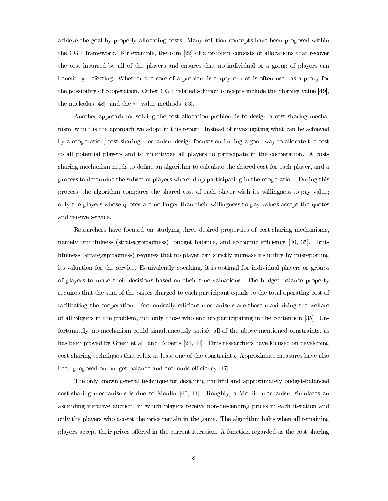achieve the goal by properly allocating costs. Many solution concepts have been proposed within the CGT framework. For example, the core [\[22\]](#page-83-6) of a problem consists of allocations that recover the cost incurred by all of the players and ensures that no individual or a group of players can benefit by defecting. Whether the core of a problem is empty or not is often used as a proxy for the possibility of cooperation. Other CGT related solution concepts include the Shapley value [\[49\]](#page-86-1), the nucleolus [\[48\]](#page-86-2), and the  $\tau$ -value methods [\[53\]](#page-86-3).

Another approach for solving the cost allocation problem is to design a cost-sharing mechanism, which is the approach we adopt in this report. Instead of investigating what can be achieved by a cooperation, cost-sharing mechanism design focuses on nding a good way to allocate the cost to all potential players and to incentivize all players to participate in the cooperation. A costsharing mechanism needs to define an algorithm to calculate the shared cost for each player, and a process to determine the subset of players who end up participating in the cooperation. During this process, the algorithm compares the shared cost of each player with its willingness-to-pay value; only the players whose quotes are no larger than their willingness-to-pay values accept the quotes and receive service.

Researchers have focused on studying three desired properties of cost-sharing mechanisms, namely truthfulness (strategyproofness), budget balance, and economic efficiency [\[40,](#page-85-3) [35\]](#page-84-0). Truthfulness (strategyproofness) requires that no player can strictly increase its utility by misreporting its valuation for the service. Equivalently speaking, it is optimal for individual players or groups of players to make their decisions based on their true valuations. The budget balance property requires that the sum of the prices charged to each participant equals to the total operating cost of facilitating the cooperation. Economically efficient mechanisms are those maximizing the welfare of all players in the problem, not only those who end up participating in the contention [\[35\]](#page-84-0). Unfortunately, no mechanism could simultaneously satisfy all of the above mentioned constraints, as has been proved by Green et al. and Roberts [\[24,](#page-83-7) [44\]](#page-85-5). Thus researchers have focused on developing cost-sharing techniques that relax at least one of the constraints. Approximate measures have also been proposed on budget balance and economic efficiency [\[47\]](#page-85-6).

The only known general technique for designing truthful and approximately budget-balanced cost-sharing mechanisms is due to Moulin [\[40,](#page-85-3) [41\]](#page-85-7). Roughly, a Moulin mechanism simulates an ascending iterative auction, in which players receive non-descending prices in each iteration and only the players who accept the price remain in the game. The algorithm halts when all remaining players accept their prices offered in the current iteration. A function regarded as the cost-sharing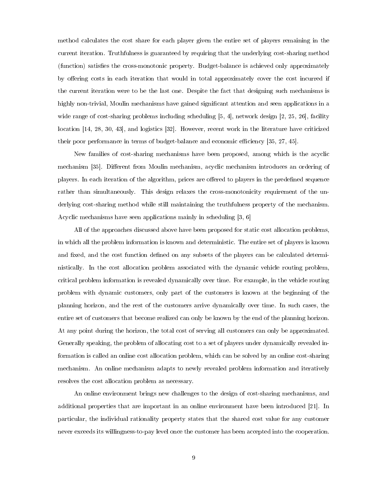method calculates the cost share for each player given the entire set of players remaining in the current iteration. Truthfulness is guaranteed by requiring that the underlying cost-sharing method (function) satisfies the cross-monotonic property. Budget-balance is achieved only approximately by offering costs in each iteration that would in total approximately cover the cost incurred if the current iteration were to be the last one. Despite the fact that designing such mechanisms is highly non-trivial, Moulin mechanisms have gained significant attention and seen applications in a wide range of cost-sharing problems including scheduling  $[5, 4]$  $[5, 4]$ , network design  $[2, 25, 26]$  $[2, 25, 26]$  $[2, 25, 26]$ , facility location [\[14,](#page-83-5) [28,](#page-84-6) [30,](#page-84-2) [43\]](#page-85-8), and logistics [\[32\]](#page-84-7). However, recent work in the literature have criticized their poor performance in terms of budget-balance and economic efficiency [\[35,](#page-84-0) [27,](#page-84-3) [45\]](#page-85-9).

New families of cost-sharing mechanisms have been proposed, among which is the acyclic mechanism [\[35\]](#page-84-0). Different from Moulin mechanism, acyclic mechanism introduces an ordering of players. In each iteration of the algorithm, prices are offered to players in the predefined sequence rather than simultaneously. This design relaxes the cross-monotonicity requirement of the underlying cost-sharing method while still maintaining the truthfulness property of the mechanism. Acyclic mechanisms have seen applications mainly in scheduling [\[3,](#page-82-6) [6\]](#page-82-7)

All of the approaches discussed above have been proposed for static cost allocation problems, in which all the problem information is known and deterministic. The entire set of players is known and fixed, and the cost function defined on any subsets of the players can be calculated deterministically. In the cost allocation problem associated with the dynamic vehicle routing problem, critical problem information is revealed dynamically over time. For example, in the vehicle routing problem with dynamic customers, only part of the customers is known at the beginning of the planning horizon, and the rest of the customers arrive dynamically over time. In such cases, the entire set of customers that become realized can only be known by the end of the planning horizon. At any point during the horizon, the total cost of serving all customers can only be approximated. Generally speaking, the problem of allocating cost to a set of players under dynamically revealed information is called an online cost allocation problem, which can be solved by an online cost-sharing mechanism. An online mechanism adapts to newly revealed problem information and iteratively resolves the cost allocation problem as necessary.

An online environment brings new challenges to the design of cost-sharing mechanisms, and additional properties that are important in an online environment have been introduced [\[21\]](#page-83-4). In particular, the individual rationality property states that the shared cost value for any customer never exceeds its willingness-to-pay level once the customer has been accepted into the cooperation.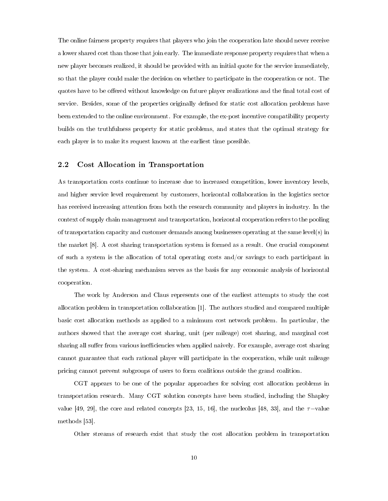The online fairness property requires that players who join the cooperation late should never receive a lower shared cost than those that join early. The immediate response property requires that when a new player becomes realized, it should be provided with an initial quote for the service immediately, so that the player could make the decision on whether to participate in the cooperation or not. The quotes have to be offered without knowledge on future player realizations and the final total cost of service. Besides, some of the properties originally dened for static cost allocation problems have been extended to the online environment. For example, the ex-post incentive compatibility property builds on the truthfulness property for static problems, and states that the optimal strategy for each player is to make its request known at the earliest time possible.

## <span id="page-18-0"></span>2.2 Cost Allocation in Transportation

As transportation costs continue to increase due to increased competition, lower inventory levels, and higher service level requirement by customers, horizontal collaboration in the logistics sector has received increasing attention from both the research community and players in industry. In the context of supply chain management and transportation, horizontal cooperation refers to the pooling of transportation capacity and customer demands among businesses operating at the same level(s) in the market [\[8\]](#page-82-0). A cost sharing transportation system is formed as a result. One crucial component of such a system is the allocation of total operating costs and/or savings to each participant in the system. A cost-sharing mechanism serves as the basis for any economic analysis of horizontal cooperation.

The work by Anderson and Claus represents one of the earliest attempts to study the cost allocation problem in transportation collaboration [\[1\]](#page-82-8). The authors studied and compared multiple basic cost allocation methods as applied to a minimum cost network problem. In particular, the authors showed that the average cost sharing, unit (per mileage) cost sharing, and marginal cost sharing all suffer from various inefficiencies when applied naively. For example, average cost sharing cannot guarantee that each rational player will participate in the cooperation, while unit mileage pricing cannot prevent subgroups of users to form coalitions outside the grand coalition.

CGT appears to be one of the popular approaches for solving cost allocation problems in transportation research. Many CGT solution concepts have been studied, including the Shapley value [\[49,](#page-86-1) [29\]](#page-84-8), the core and related concepts [\[23,](#page-83-8) [15,](#page-83-9) [16\]](#page-83-10), the nucleolus [\[48,](#page-86-2) [33\]](#page-84-9), and the  $\tau$ -value methods [\[53\]](#page-86-3).

Other streams of research exist that study the cost allocation problem in transportation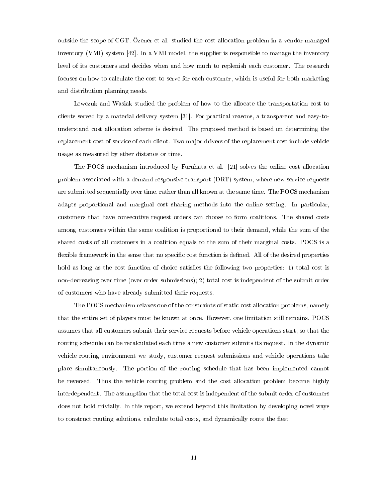outside the scope of CGT. Özener et al. studied the cost allocation problem in a vendor managed inventory (VMI) system [\[42\]](#page-85-10). In a VMI model, the supplier is responsible to manage the inventory level of its customers and decides when and how much to replenish each customer. The research focuses on how to calculate the cost-to-serve for each customer, which is useful for both marketing and distribution planning needs.

Lewczuk and Wasiak studied the problem of how to the allocate the transportation cost to clients served by a material delivery system [\[31\]](#page-84-10). For practical reasons, a transparent and easy-tounderstand cost allocation scheme is desired. The proposed method is based on determining the replacement cost of service of each client. Two major drivers of the replacement cost include vehicle usage as measured by ether distance or time.

The POCS mechanism introduced by Furuhata et al. [\[21\]](#page-83-4) solves the online cost allocation problem associated with a demand-responsive transport (DRT) system, where new service requests are submitted sequentially over time, rather than all known at the same time. The POCS mechanism adapts proportional and marginal cost sharing methods into the online setting. In particular, customers that have consecutive request orders can choose to form coalitions. The shared costs among customers within the same coalition is proportional to their demand, while the sum of the shared costs of all customers in a coalition equals to the sum of their marginal costs. POCS is a flexible framework in the sense that no specific cost function is defined. All of the desired properties hold as long as the cost function of choice satisfies the following two properties: 1) total cost is non-decreasing over time (over order submissions); 2) total cost is independent of the submit order of customers who have already submitted their requests.

The POCS mechanism relaxes one of the constraints of static cost allocation problems, namely that the entire set of players must be known at once. However, one limitation still remains. POCS assumes that all customers submit their service requests before vehicle operations start, so that the routing schedule can be recalculated each time a new customer submits its request. In the dynamic vehicle routing environment we study, customer request submissions and vehicle operations take place simultaneously. The portion of the routing schedule that has been implemented cannot be reversed. Thus the vehicle routing problem and the cost allocation problem become highly interdependent. The assumption that the total cost is independent of the submit order of customers does not hold trivially. In this report, we extend beyond this limitation by developing novel ways to construct routing solutions, calculate total costs, and dynamically route the fleet.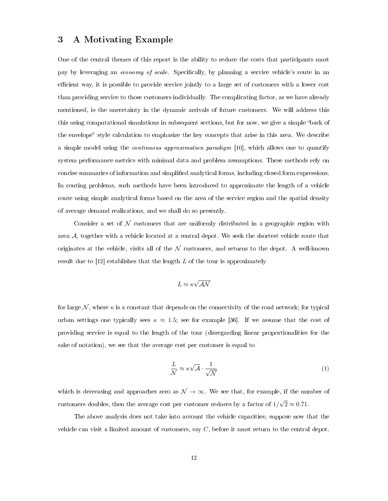# <span id="page-20-0"></span>3 A Motivating Example

One of the central themes of this report is the ability to reduce the costs that participants must pay by leveraging an *economy of scale*. Specifically, by planning a service vehicle's route in an efficient way, it is possible to provide service jointly to a large set of customers with a lower cost than providing service to those customers individually. The complicating factor, as we have already mentioned, is the uncertainty in the dynamic arrivals of future customers. We will address this this using computational simulations in subsequent sections, but for now, we give a simple "back of the envelope" style calculation to emphasize the key concepts that arise in this area. We describe a simple model using the continuous approximation paradigm [\[10\]](#page-82-9), which allows one to quantify system performance metrics with minimal data and problem assumptions. These methods rely on concise summaries of information and simplied analytical forms, including closed form expressions. In routing problems, such methods have been introduced to approximate the length of a vehicle route using simple analytical forms based on the area of the service region and the spatial density of average demand realizations, and we shall do so presently.

Consider a set of  $\mathcal N$  customers that are uniformly distributed in a geographic region with area A, together with a vehicle located at a central depot. We seek the shortest vehicle route that originates at the vehicle, visits all of the  $N$  customers, and returns to the depot. A well-known result due to  $[12]$  establishes that the length L of the tour is approximately

$$
L\approx \kappa\sqrt{\mathcal{A}\mathcal{N}}
$$

for large N, where  $\kappa$  is a constant that depends on the connectivity of the road network; for typical urban settings one typically sees  $\kappa \approx 1.5$ ; see for example [\[36\]](#page-84-11). If we assume that the cost of providing service is equal to the length of the tour (disregarding linear proportionalities for the sake of notation), we see that the average cost per customer is equal to

<span id="page-20-1"></span>
$$
\frac{L}{\mathcal{N}} \approx \kappa \sqrt{\mathcal{A}} \cdot \frac{1}{\sqrt{\mathcal{N}}} \tag{1}
$$

which is decreasing and approaches zero as  $\mathcal{N} \to \infty$ . We see that, for example, if the number of customers doubles, then the average cost per customer reduces by a factor of  $1/$ √  $2 \approx 0.71$ .

The above analysis does not take into account the vehicle capacities; suppose now that the vehicle can visit a limited amount of customers, say C, before it must return to the central depot.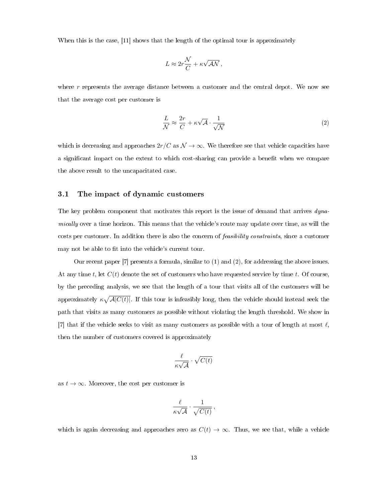When this is the case, [\[11\]](#page-82-11) shows that the length of the optimal tour is approximately

$$
L \approx 2r\frac{\mathcal{N}}{C} + \kappa\sqrt{\mathcal{A}\mathcal{N}},
$$

where  $r$  represents the average distance between a customer and the central depot. We now see that the average cost per customer is

<span id="page-21-1"></span>
$$
\frac{L}{\mathcal{N}} \approx \frac{2r}{C} + \kappa \sqrt{\mathcal{A}} \cdot \frac{1}{\sqrt{\mathcal{N}}} \tag{2}
$$

which is decreasing and approaches  $2r/C$  as  $\mathcal{N} \to \infty$ . We therefore see that vehicle capacities have a significant impact on the extent to which cost-sharing can provide a benefit when we compare the above result to the uncapacitated case.

#### <span id="page-21-0"></span>3.1 The impact of dynamic customers

The key problem component that motivates this report is the issue of demand that arrives dynamically over a time horizon. This means that the vehicle's route may update over time, as will the costs per customer. In addition there is also the concern of feasibility constraints, since a customer may not be able to fit into the vehicle's current tour.

Our recent paper [\[7\]](#page-82-12) presents a formula, similar to [\(1\)](#page-20-1) and [\(2\)](#page-21-1), for addressing the above issues. At any time t, let  $C(t)$  denote the set of customers who have requested service by time t. Of course, by the preceding analysis, we see that the length of a tour that visits all of the customers will be approximately  $\kappa \sqrt{A|C(t)}$ . If this tour is infeasibly long, then the vehicle should instead seek the path that visits as many customers as possible without violating the length threshold. We show in [\[7\]](#page-82-12) that if the vehicle seeks to visit as many customers as possible with a tour of length at most  $\ell$ , then the number of customers covered is approximately

$$
\frac{\ell}{\kappa\sqrt{\mathcal{A}}} \cdot \sqrt{C(t)}
$$

as  $t \to \infty$ . Moreover, the cost per customer is

$$
\frac{\ell}{\kappa\sqrt{\mathcal{A}}} \cdot \frac{1}{\sqrt{C(t)}},
$$

which is again decreasing and approaches zero as  $C(t) \to \infty$ . Thus, we see that, while a vehicle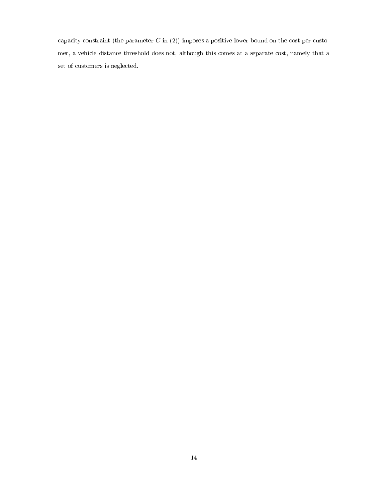capacity constraint (the parameter  $C$  in [\(2\)](#page-21-1)) imposes a positive lower bound on the cost per customer, a vehicle distance threshold does not, although this comes at a separate cost, namely that a set of customers is neglected.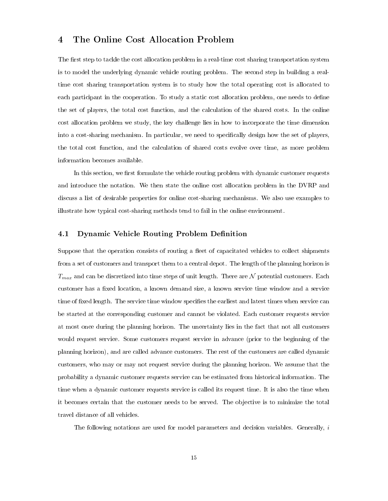# <span id="page-23-0"></span>4 The Online Cost Allocation Problem

The first step to tackle the cost allocation problem in a real-time cost sharing transportation system is to model the underlying dynamic vehicle routing problem. The second step in building a realtime cost sharing transportation system is to study how the total operating cost is allocated to each participant in the cooperation. To study a static cost allocation problem, one needs to define the set of players, the total cost function, and the calculation of the shared costs. In the online cost allocation problem we study, the key challenge lies in how to incorporate the time dimension into a cost-sharing mechanism. In particular, we need to specifically design how the set of players, the total cost function, and the calculation of shared costs evolve over time, as more problem information becomes available.

In this section, we first formulate the vehicle routing problem with dynamic customer requests and introduce the notation. We then state the online cost allocation problem in the DVRP and discuss a list of desirable properties for online cost-sharing mechanisms. We also use examples to illustrate how typical cost-sharing methods tend to fail in the online environment.

## <span id="page-23-1"></span>4.1 Dynamic Vehicle Routing Problem Definition

Suppose that the operation consists of routing a fleet of capacitated vehicles to collect shipments from a set of customers and transport them to a central depot. The length of the planning horizon is  $T_{max}$  and can be discretized into time steps of unit length. There are N potential customers. Each customer has a fixed location, a known demand size, a known service time window and a service time of fixed length. The service time window specifies the earliest and latest times when service can be started at the corresponding customer and cannot be violated. Each customer requests service at most once during the planning horizon. The uncertainty lies in the fact that not all customers would request service. Some customers request service in advance (prior to the beginning of the planning horizon), and are called advance customers. The rest of the customers are called dynamic customers, who may or may not request service during the planning horizon. We assume that the probability a dynamic customer requests service can be estimated from historical information. The time when a dynamic customer requests service is called its request time. It is also the time when it becomes certain that the customer needs to be served. The objective is to minimize the total travel distance of all vehicles.

The following notations are used for model parameters and decision variables. Generally,  $i$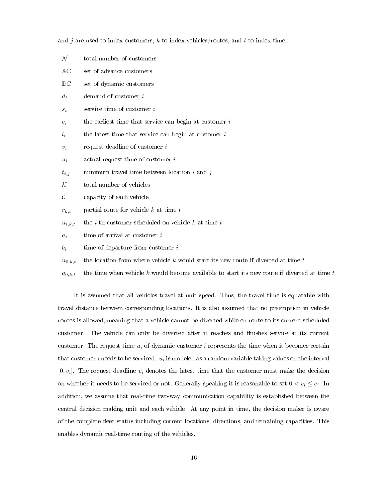and j are used to index customers, k to index vehicles/routes, and t to index time.

<span id="page-24-0"></span>

| ${\cal N}$  | total number of customers                                      |
|-------------|----------------------------------------------------------------|
| AC          | set of advance customers                                       |
| DC          | set of dynamic customers                                       |
| $d_i$       | demand of customer $i$                                         |
| $s_i$       | service time of customer i                                     |
| $e_i$       | the earliest time that service can begin at customer $i$       |
| $l_i$       | the latest time that service can begin at customer $i$         |
| $v_i$       | request deadline of customer $i$                               |
| $u_i$       | actual request time of customer i                              |
| $t_{i,j}$   | minimum travel time between location $i$ and $j$               |
| ${\cal K}$  | total number of vehicles                                       |
| $\cal C$    | capacity of each vehicle                                       |
| $r_{k,t}$   | partial route for vehicle $k$ at time $t$                      |
| $n_{i,k,t}$ | the <i>i</i> -th customer scheduled on vehicle $k$ at time $t$ |
| $a_i$       | time of arrival at customer $i$                                |
| $b_i$       | time of departure from customer $i$                            |
|             |                                                                |

- $n_{0,k,t}$  the location from where vehicle k would start its new route if diverted at time t
- $a_{0,k,t}$  the time when vehicle k would become available to start its new route if diverted at time t

It is assumed that all vehicles travel at unit speed. Thus, the travel time is equatable with travel distance between corresponding locations. It is also assumed that no preemption in vehicle routes is allowed, meaning that a vehicle cannot be diverted while en route to its current scheduled customer. The vehicle can only be diverted after it reaches and finishes service at its current customer. The request time  $u_i$  of dynamic customer i represents the time when it becomes certain that customer  $i$  needs to be serviced.  $\,u_i\,$  is modeled as a random variable taking values on the interval  $[0, v_i]$ . The request deadline  $v_i$  denotes the latest time that the customer must make the decision on whether it needs to be serviced or not. Generally speaking it is reasonable to set  $0 < v_i \le e_i$ . In addition, we assume that real-time two-way communication capability is established between the central decision making unit and each vehicle. At any point in time, the decision maker is aware of the complete eet status including current locations, directions, and remaining capacities. This enables dynamic real-time routing of the vehicles.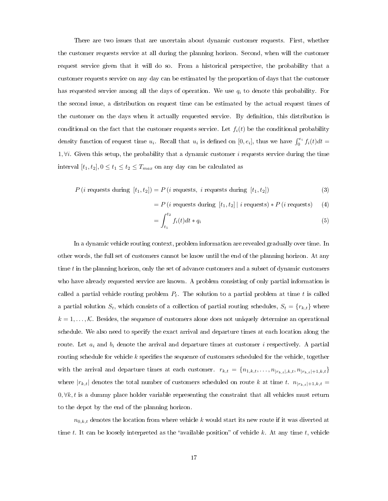There are two issues that are uncertain about dynamic customer requests. First, whether the customer requests service at all during the planning horizon. Second, when will the customer request service given that it will do so. From a historical perspective, the probability that a customer requests service on any day can be estimated by the proportion of days that the customer has requested service among all the days of operation. We use  $q_i$  to denote this probability. For the second issue, a distribution on request time can be estimated by the actual request times of the customer on the days when it actually requested service. By definition, this distribution is conditional on the fact that the customer requests service. Let  $f_i(t)$  be the conditional probability density function of request time  $u_i$ . Recall that  $u_i$  is defined on  $[0, e_i]$ , thus we have  $\int_0^{e_i} f_i(t)dt =$ 1,  $\forall i$ . Given this setup, the probability that a dynamic customer *i* requests service during the time interval  $[t_1, t_2], 0 \le t_1 \le t_2 \le T_{max}$  on any day can be calculated as

$$
P(i \text{ requests during } [t_1, t_2]) = P(i \text{ requests, } i \text{ requests during } [t_1, t_2])
$$
\n(3)

$$
= P(i \text{ requests during } [t_1, t_2] | i \text{ requests}) * P(i \text{ requests}) \quad (4)
$$

$$
=\int_{t_1}^{t_2} f_i(t)dt * q_i
$$
\n<sup>(5)</sup>

In a dynamic vehicle routing context, problem information are revealed gradually over time. In other words, the full set of customers cannot be know until the end of the planning horizon. At any time  $t$  in the planning horizon, only the set of advance customers and a subset of dynamic customers who have already requested service are known. A problem consisting of only partial information is called a partial vehicle routing problem  $P_t$ . The solution to a partial problem at time t is called a partial solution  $S_t$ , which consists of a collection of partial routing schedules,  $S_t = \{r_{k,t}\}\$  where  $k = 1, \ldots, \mathcal{K}$ . Besides, the sequence of customers alone does not uniquely determine an operational schedule. We also need to specify the exact arrival and departure times at each location along the route. Let  $a_i$  and  $b_i$  denote the arrival and departure times at customer i respectively. A partial routing schedule for vehicle  $k$  specifies the sequence of customers scheduled for the vehicle, together with the arrival and departure times at each customer.  $r_{k,t} = \{n_{1,k,t}, \ldots, n_{|r_{k,t}|,k,t}, n_{|r_{k,t}|+1,k,t}\}$ where  $|r_{k,t}|$  denotes the total number of customers scheduled on route k at time t.  $n_{|r_{k,t}|+1,k,t} =$  $0, \forall k, t$  is a dummy place holder variable representing the constraint that all vehicles must return to the depot by the end of the planning horizon.

 $n_{0,k,t}$  denotes the location from where vehicle k would start its new route if it was diverted at time t. It can be loosely interpreted as the "available position" of vehicle k. At any time t, vehicle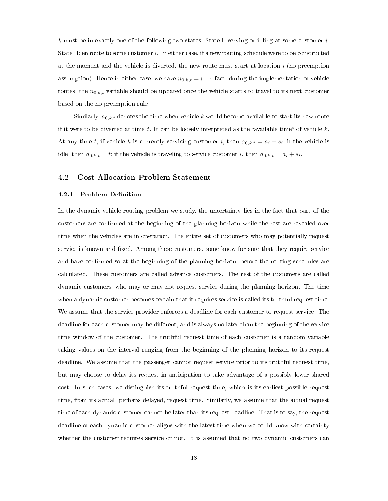k must be in exactly one of the following two states. State I: serving or idling at some customer  $i$ . State II: en route to some customer i. In either case, if a new routing schedule were to be constructed at the moment and the vehicle is diverted, the new route must start at location i (no preemption assumption). Hence in either case, we have  $n_{0,k,t} = i$ . In fact, during the implementation of vehicle routes, the  $n_{0,k,t}$  variable should be updated once the vehicle starts to travel to its next customer based on the no preemption rule.

Similarly,  $a_{0,k,t}$  denotes the time when vehicle k would become available to start its new route if it were to be diverted at time t. It can be loosely interpreted as the "available time" of vehicle  $k$ . At any time t, if vehicle k is currently servicing customer i, then  $a_{0,k,t} = a_i + s_i$ ; if the vehicle is idle, then  $a_{0,k,t} = t$ ; if the vehicle is traveling to service customer i, then  $a_{0,k,t} = a_i + s_i$ .

## <span id="page-26-0"></span>4.2 Cost Allocation Problem Statement

#### 4.2.1 Problem Definition

In the dynamic vehicle routing problem we study, the uncertainty lies in the fact that part of the customers are confirmed at the beginning of the planning horizon while the rest are revealed over time when the vehicles are in operation. The entire set of customers who may potentially request service is known and fixed. Among these customers, some know for sure that they require service and have confirmed so at the beginning of the planning horizon, before the routing schedules are calculated. These customers are called advance customers. The rest of the customers are called dynamic customers, who may or may not request service during the planning horizon. The time when a dynamic customer becomes certain that it requires service is called its truthful request time. We assume that the service provider enforces a deadline for each customer to request service. The deadline for each customer may be different, and is always no later than the beginning of the service time window of the customer. The truthful request time of each customer is a random variable taking values on the interval ranging from the beginning of the planning horizon to its request deadline. We assume that the passenger cannot request service prior to its truthful request time, but may choose to delay its request in anticipation to take advantage of a possibly lower shared cost. In such cases, we distinguish its truthful request time, which is its earliest possible request time, from its actual, perhaps delayed, request time. Similarly, we assume that the actual request time of each dynamic customer cannot be later than its request deadline. That is to say, the request deadline of each dynamic customer aligns with the latest time when we could know with certainty whether the customer requires service or not. It is assumed that no two dynamic customers can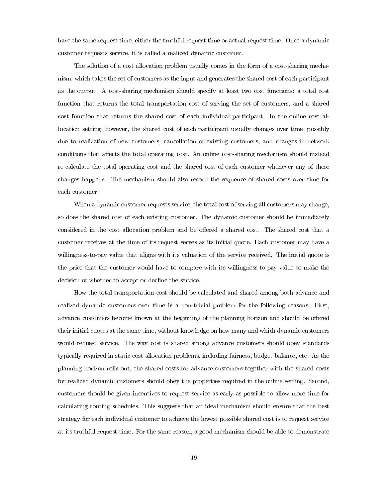have the same request time, either the truthful request time or actual request time. Once a dynamic customer requests service, it is called a realized dynamic customer.

The solution of a cost allocation problem usually comes in the form of a cost-sharing mechanism, which takes the set of customers as the input and generates the shared cost of each participant as the output. A cost-sharing mechanism should specify at least two cost functions: a total cost function that returns the total transportation cost of serving the set of customers, and a shared cost function that returns the shared cost of each individual participant. In the online cost allocation setting, however, the shared cost of each participant usually changes over time, possibly due to realization of new customers, cancellation of existing customers, and changes in network conditions that affects the total operating cost. An online cost-sharing mechanism should instead re-calculate the total operating cost and the shared cost of each customer whenever any of these changes happens. The mechanism should also record the sequence of shared costs over time for each customer.

When a dynamic customer requests service, the total cost of serving all customers may change, so does the shared cost of each existing customer. The dynamic customer should be immediately considered in the cost allocation problem and be offered a shared cost. The shared cost that a customer receives at the time of its request serves as its initial quote. Each customer may have a willingness-to-pay value that aligns with its valuation of the service received. The initial quote is the price that the customer would have to compare with its willingness-to-pay value to make the decision of whether to accept or decline the service.

How the total transportation cost should be calculated and shared among both advance and realized dynamic customers over time is a non-trivial problem for the following reasons: First, advance customers become known at the beginning of the planning horizon and should be offered their initial quotes at the same time, without knowledge on how many and which dynamic customers would request service. The way cost is shared among advance customers should obey standards typically required in static cost allocation problems, including fairness, budget balance, etc. As the planning horizon rolls out, the shared costs for advance customers together with the shared costs for realized dynamic customers should obey the properties required in the online setting. Second, customers should be given incentives to request service as early as possible to allow more time for calculating routing schedules. This suggests that an ideal mechanism should ensure that the best strategy for each individual customer to achieve the lowest possible shared cost is to request service at its truthful request time. For the same reason, a good mechanism should be able to demonstrate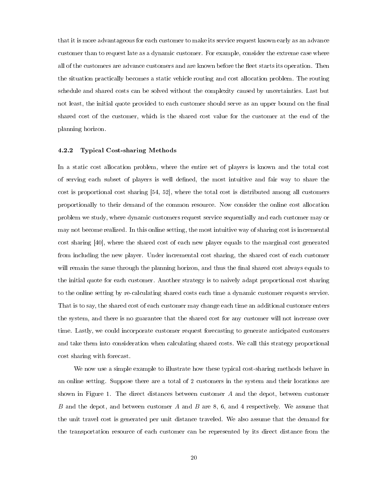that it is more advantageous for each customer to make its service request known early as an advance customer than to request late as a dynamic customer. For example, consider the extreme case where all of the customers are advance customers and are known before the fleet starts its operation. Then the situation practically becomes a static vehicle routing and cost allocation problem. The routing schedule and shared costs can be solved without the complexity caused by uncertainties. Last but not least, the initial quote provided to each customer should serve as an upper bound on the final shared cost of the customer, which is the shared cost value for the customer at the end of the planning horizon.

#### 4.2.2 Typical Cost-sharing Methods

In a static cost allocation problem, where the entire set of players is known and the total cost of serving each subset of players is well dened, the most intuitive and fair way to share the cost is proportional cost sharing [\[54,](#page-86-4) [52\]](#page-86-5), where the total cost is distributed among all customers proportionally to their demand of the common resource. Now consider the online cost allocation problem we study, where dynamic customers request service sequentially and each customer may or may not become realized. In this online setting, the most intuitive way of sharing cost is incremental cost sharing [\[40\]](#page-85-3), where the shared cost of each new player equals to the marginal cost generated from including the new player. Under incremental cost sharing, the shared cost of each customer will remain the same through the planning horizon, and thus the final shared cost always equals to the initial quote for each customer. Another strategy is to naively adapt proportional cost sharing to the online setting by re-calculating shared costs each time a dynamic customer requests service. That is to say, the shared cost of each customer may change each time an additional customer enters the system, and there is no guarantee that the shared cost for any customer will not increase over time. Lastly, we could incorporate customer request forecasting to generate anticipated customers and take them into consideration when calculating shared costs. We call this strategy proportional cost sharing with forecast.

We now use a simple example to illustrate how these typical cost-sharing methods behave in an online setting. Suppose there are a total of 2 customers in the system and their locations are shown in Figure [1.](#page-29-0) The direct distances between customer A and the depot, between customer B and the depot, and between customer  $A$  and  $B$  are  $8, 6$ , and  $4$  respectively. We assume that the unit travel cost is generated per unit distance traveled. We also assume that the demand for the transportation resource of each customer can be represented by its direct distance from the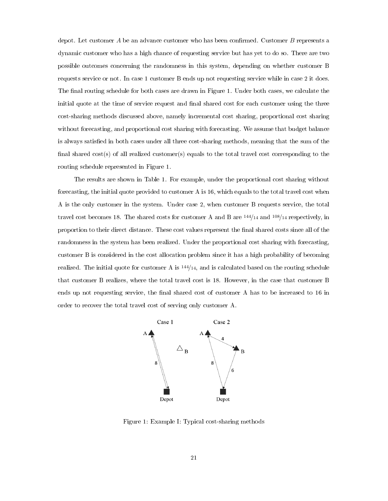depot. Let customer  $A$  be an advance customer who has been confirmed. Customer  $B$  represents a dynamic customer who has a high chance of requesting service but has yet to do so. There are two possible outcomes concerning the randomness in this system, depending on whether customer B requests service or not. In case 1 customer B ends up not requesting service while in case 2 it does. The final routing schedule for both cases are drawn in Figure [1.](#page-29-0) Under both cases, we calculate the initial quote at the time of service request and final shared cost for each customer using the three cost-sharing methods discussed above, namely incremental cost sharing, proportional cost sharing without forecasting, and proportional cost sharing with forecasting. We assume that budget balance is always satisfied in both cases under all three cost-sharing methods, meaning that the sum of the final shared cost(s) of all realized customer(s) equals to the total travel cost corresponding to the routing schedule represented in Figure [1.](#page-29-0)

The results are shown in Table [1.](#page-24-0) For example, under the proportional cost sharing without forecasting, the initial quote provided to customer A is 16, which equals to the total travel cost when A is the only customer in the system. Under case 2, when customer B requests service, the total travel cost becomes 18. The shared costs for customer A and B are <sup>144</sup>/<sup>14</sup> and <sup>108</sup>/<sup>14</sup> respectively, in proportion to their direct distance. These cost values represent the final shared costs since all of the randomness in the system has been realized. Under the proportional cost sharing with forecasting, customer B is considered in the cost allocation problem since it has a high probability of becoming realized. The initial quote for customer A is <sup>144</sup>/14, and is calculated based on the routing schedule that customer B realizes, where the total travel cost is 18. However, in the case that customer B ends up not requesting service, the final shared cost of customer A has to be increased to 16 in order to recover the total travel cost of serving only customer A.



<span id="page-29-0"></span>Figure 1: Example I: Typical cost-sharing methods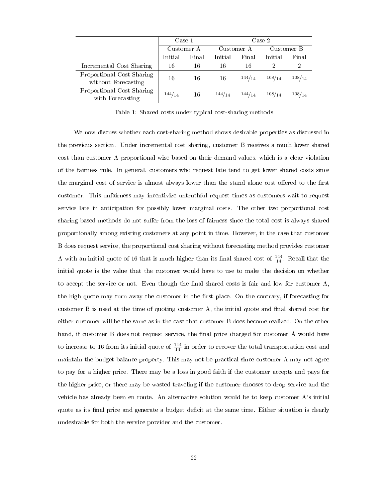|                                                  | Case 1     |       | Case 2     |        |            |        |
|--------------------------------------------------|------------|-------|------------|--------|------------|--------|
|                                                  | Customer A |       | Customer A |        | Customer B |        |
|                                                  | Initial    | Final | Initial    | Final  | Initial    | Final  |
| Incremental Cost Sharing                         | 16         | 16    | 16         | 16     | റ          | ച      |
| Proportional Cost Sharing<br>without Forecasting | 16         | 16    | 16         | 144/14 | 108/14     | 108/14 |
| Proportional Cost Sharing<br>with Forecasting    | 144/14     | 16    | 144/14     | 144/14 | 108/14     | 108/14 |

Table 1: Shared costs under typical cost-sharing methods

We now discuss whether each cost-sharing method shows desirable properties as discussed in the previous section. Under incremental cost sharing, customer B receives a much lower shared cost than customer A proportional wise based on their demand values, which is a clear violation of the fairness rule. In general, customers who request late tend to get lower shared costs since the marginal cost of service is almost always lower than the stand alone cost offered to the first customer. This unfairness may incentivize untruthful request times as customers wait to request service late in anticipation for possibly lower marginal costs. The other two proportional cost sharing-based methods do not suffer from the loss of fairness since the total cost is always shared proportionally among existing customers at any point in time. However, in the case that customer B does request service, the proportional cost sharing without forecasting method provides customer A with an initial quote of 16 that is much higher than its final shared cost of  $\frac{144}{14}$ . Recall that the initial quote is the value that the customer would have to use to make the decision on whether to accept the service or not. Even though the final shared costs is fair and low for customer  $A$ , the high quote may turn away the customer in the first place. On the contrary, if forecasting for customer B is used at the time of quoting customer A, the initial quote and final shared cost for either customer will be the same as in the case that customer B does become realized. On the other hand, if customer B does not request service, the final price charged for customer A would have to increase to 16 from its initial quote of  $\frac{144}{14}$  in order to recover the total transportation cost and maintain the budget balance property. This may not be practical since customer A may not agree to pay for a higher price. There may be a loss in good faith if the customer accepts and pays for the higher price, or there may be wasted traveling if the customer chooses to drop service and the vehicle has already been en route. An alternative solution would be to keep customer A's initial quote as its final price and generate a budget deficit at the same time. Either situation is clearly undesirable for both the service provider and the customer.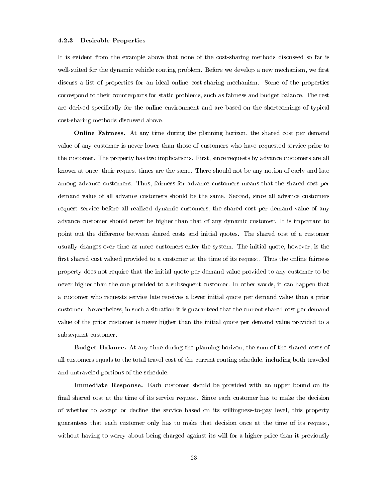#### 4.2.3 Desirable Properties

It is evident from the example above that none of the cost-sharing methods discussed so far is well-suited for the dynamic vehicle routing problem. Before we develop a new mechanism, we first discuss a list of properties for an ideal online cost-sharing mechanism. Some of the properties correspond to their counterparts for static problems, such as fairness and budget balance. The rest are derived specifically for the online environment and are based on the shortcomings of typical cost-sharing methods discussed above.

**Online Fairness.** At any time during the planning horizon, the shared cost per demand value of any customer is never lower than those of customers who have requested service prior to the customer. The property has two implications. First, since requests by advance customers are all known at once, their request times are the same. There should not be any notion of early and late among advance customers. Thus, fairness for advance customers means that the shared cost per demand value of all advance customers should be the same. Second, since all advance customers request service before all realized dynamic customers, the shared cost per demand value of any advance customer should never be higher than that of any dynamic customer. It is important to point out the difference between shared costs and initial quotes. The shared cost of a customer usually changes over time as more customers enter the system. The initial quote, however, is the first shared cost valued provided to a customer at the time of its request. Thus the online fairness property does not require that the initial quote per demand value provided to any customer to be never higher than the one provided to a subsequent customer. In other words, it can happen that a customer who requests service late receives a lower initial quote per demand value than a prior customer. Nevertheless, in such a situation it is guaranteed that the current shared cost per demand value of the prior customer is never higher than the initial quote per demand value provided to a subsequent customer.

Budget Balance. At any time during the planning horizon, the sum of the shared costs of all customers equals to the total travel cost of the current routing schedule, including both traveled and untraveled portions of the schedule.

Immediate Response. Each customer should be provided with an upper bound on its final shared cost at the time of its service request. Since each customer has to make the decision of whether to accept or decline the service based on its willingness-to-pay level, this property guarantees that each customer only has to make that decision once at the time of its request, without having to worry about being charged against its will for a higher price than it previously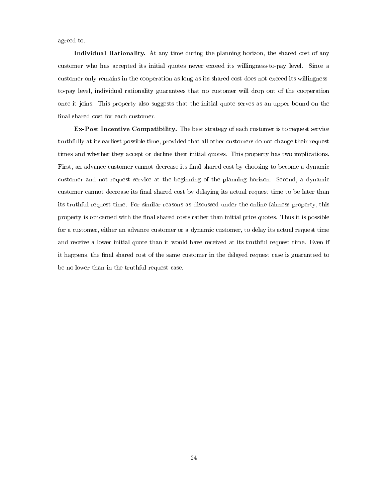agreed to.

Individual Rationality. At any time during the planning horizon, the shared cost of any customer who has accepted its initial quotes never exceed its willingness-to-pay level. Since a customer only remains in the cooperation as long as its shared cost does not exceed its willingnessto-pay level, individual rationality guarantees that no customer will drop out of the cooperation once it joins. This property also suggests that the initial quote serves as an upper bound on the final shared cost for each customer.

Ex-Post Incentive Compatibility. The best strategy of each customer is to request service truthfully at its earliest possible time, provided that all other customers do not change their request times and whether they accept or decline their initial quotes. This property has two implications. First, an advance customer cannot decrease its final shared cost by choosing to become a dynamic customer and not request service at the beginning of the planning horizon. Second, a dynamic customer cannot decrease its final shared cost by delaying its actual request time to be later than its truthful request time. For similar reasons as discussed under the online fairness property, this property is concerned with the nal shared costs rather than initial price quotes. Thus it is possible for a customer, either an advance customer or a dynamic customer, to delay its actual request time and receive a lower initial quote than it would have received at its truthful request time. Even if it happens, the final shared cost of the same customer in the delayed request case is guaranteed to be no lower than in the truthful request case.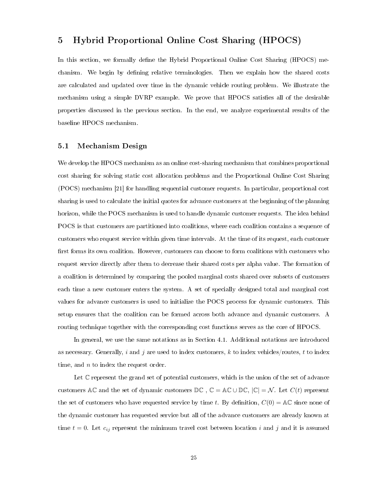# <span id="page-33-0"></span>5 Hybrid Proportional Online Cost Sharing (HPOCS)

In this section, we formally define the Hybrid Proportional Online Cost Sharing (HPOCS) mechanism. We begin by defining relative terminologies. Then we explain how the shared costs are calculated and updated over time in the dynamic vehicle routing problem. We illustrate the mechanism using a simple DVRP example. We prove that HPOCS satisfies all of the desirable properties discussed in the previous section. In the end, we analyze experimental results of the baseline HPOCS mechanism.

## <span id="page-33-1"></span>5.1 Mechanism Design

We develop the HPOCS mechanism as an online cost-sharing mechanism that combines proportional cost sharing for solving static cost allocation problems and the Proportional Online Cost Sharing (POCS) mechanism [\[21\]](#page-83-4) for handling sequential customer requests. In particular, proportional cost sharing is used to calculate the initial quotes for advance customers at the beginning of the planning horizon, while the POCS mechanism is used to handle dynamic customer requests. The idea behind POCS is that customers are partitioned into coalitions, where each coalition contains a sequence of customers who request service within given time intervals. At the time of its request, each customer first forms its own coalition. However, customers can choose to form coalitions with customers who request service directly after them to decrease their shared costs per alpha value. The formation of a coalition is determined by comparing the pooled marginal costs shared over subsets of customers each time a new customer enters the system. A set of specially designed total and marginal cost values for advance customers is used to initialize the POCS process for dynamic customers. This setup ensures that the coalition can be formed across both advance and dynamic customers. A routing technique together with the corresponding cost functions serves as the core of HPOCS.

In general, we use the same notations as in Section [4.1.](#page-23-1) Additional notations are introduced as necessary. Generally, i and j are used to index customers, k to index vehicles/routes, t to index time, and  $n$  to index the request order.

Let  $\mathbb C$  represent the grand set of potential customers, which is the union of the set of advance customers AC and the set of dynamic customers  $DC$ ,  $C = AC \cup DC$ ,  $|C| = N$ . Let  $C(t)$  represent the set of customers who have requested service by time t. By definition,  $C(0) = \mathbb{AC}$  since none of the dynamic customer has requested service but all of the advance customers are already known at time  $t = 0$ . Let  $c_{ij}$  represent the minimum travel cost between location i and j and it is assumed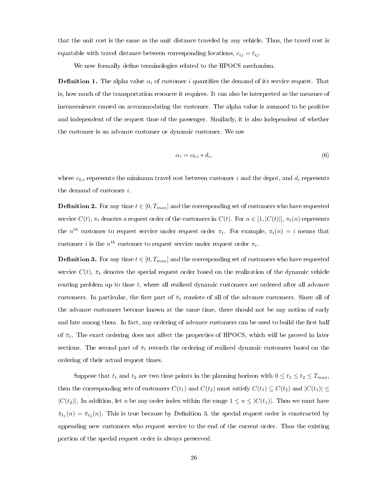that the unit cost is the same as the unit distance traveled by any vehicle. Thus, the travel cost is equatable with travel distance between corresponding locations,  $c_{ij} = t_{ij}$ .

We now formally define terminologies related to the HPOCS mechanism.

**Definition 1.** The alpha value  $\alpha_i$  of customer i quantifies the demand of its service request. That is, how much of the transportation resource it requires. It can also be interpreted as the measure of inconvenience caused on accommodating the customer. The alpha value is assumed to be positive and independent of the request time of the passenger. Similarly, it is also independent of whether the customer is an advance customer or dynamic customer. We use

$$
\alpha_i = c_{0,i} * d_i,\tag{6}
$$

where  $c_{0,i}$  represents the minimum travel cost between customer i and the depot, and  $d_i$  represents the demand of customer i.

**Definition 2.** For any time  $t \in [0, T_{max}]$  and the corresponding set of customers who have requested service  $C(t)$ ,  $\pi_t$  denotes a request order of the customers in  $C(t)$ . For  $n \in [1, |C(t)|]$ ,  $\pi_t(n)$  represents the  $n^{th}$  customer to request service under request order  $\pi_t$ . For example,  $\pi_t(n) = i$  means that customer *i* is the  $n^{th}$  customer to request service under request order  $\pi_t$ .

<span id="page-34-0"></span>**Definition 3.** For any time  $t \in [0, T_{max}]$  and the corresponding set of customers who have requested service  $C(t)$ ,  $\bar{\pi}_t$  denotes the special request order based on the realization of the dynamic vehicle routing problem up to time  $t$ , where all realized dynamic customers are ordered after all advance customers. In particular, the first part of  $\bar{\pi}_t$  consists of all of the advance customers. Since all of the advance customers become known at the same time, there should not be any notion of early and late among them. In fact, any ordering of advance customers can be used to build the first half of  $\bar{\pi}_t$ . The exact ordering does not affect the properties of HPOCS, which will be proved in later sections. The second part of  $\bar{\pi}_t$  records the ordering of realized dynamic customers based on the ordering of their actual request times.

Suppose that  $t_1$  and  $t_2$  are two time points in the planning horizon with  $0 \le t_1 \le t_2 \le T_{max}$ , then the corresponding sets of customers  $C(t_1)$  and  $C(t_2)$  must satisfy  $C(t_1) \subseteq C(t_2)$  and  $|C(t_1)| \leq$  $|C(t_2)|$ . In addition, let n be any order index within the range  $1 \leq n \leq |C(t_1)|$ . Then we must have  $\bar{\pi}_{t_1}(n) = \bar{\pi}_{t_2}(n)$ . This is true because by Definition [3,](#page-34-0) the special request order is constructed by appending new customers who request service to the end of the current order. Thus the existing portion of the special request order is always preserved.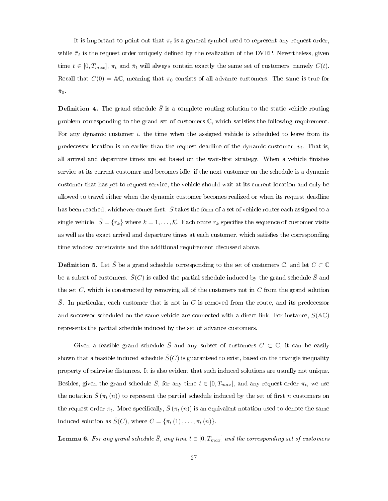It is important to point out that  $\pi_t$  is a general symbol used to represent any request order, while  $\bar{\pi}_t$  is the request order uniquely defined by the realization of the DVRP. Nevertheless, given time  $t \in [0, T_{max}]$ ,  $\pi_t$  and  $\bar{\pi}_t$  will always contain exactly the same set of customers, namely  $C(t)$ . Recall that  $C(0) = AC$ , meaning that  $\pi_0$  consists of all advance customers. The same is true for  $\bar{\pi}_0$ .

**Definition 4.** The grand schedule  $\overline{S}$  is a complete routing solution to the static vehicle routing problem corresponding to the grand set of customers  $\mathbb{C}$ , which satisfies the following requirement. For any dynamic customer  $i$ , the time when the assigned vehicle is scheduled to leave from its predecessor location is no earlier than the request deadline of the dynamic customer,  $v_i$ . That is, all arrival and departure times are set based on the wait-first strategy. When a vehicle finishes service at its current customer and becomes idle, if the next customer on the schedule is a dynamic customer that has yet to request service, the vehicle should wait at its current location and only be allowed to travel either when the dynamic customer becomes realized or when its request deadline has been reached, whichever comes first.  $S$  takes the form of a set of vehicle routes each assigned to a single vehicle.  $\bar{S} = \{r_k\}$  where  $k = 1, \ldots, \mathcal{K}$ . Each route  $r_k$  specifies the sequence of customer visits as well as the exact arrival and departure times at each customer, which satisfies the corresponding time window constraints and the additional requirement discussed above.

**Definition 5.** Let  $\overline{S}$  be a grand schedule corresponding to the set of customers  $\mathbb{C}$ , and let  $C \subset \mathbb{C}$ be a subset of customers.  $\bar{S}(C)$  is called the partial schedule induced by the grand schedule  $\bar{S}$  and the set C, which is constructed by removing all of the customers not in  $C$  from the grand solution  $\overline{S}$ . In particular, each customer that is not in C is removed from the route, and its predecessor and successor scheduled on the same vehicle are connected with a direct link. For instance,  $\bar{S}(\mathbb{AC})$ represents the partial schedule induced by the set of advance customers.

Given a feasible grand schedule  $\bar{S}$  and any subset of customers  $C \subset \mathbb{C}$ , it can be easily shown that a feasible induced schedule  $\overline{S}(C)$  is guaranteed to exist, based on the triangle inequality property of pairwise distances. It is also evident that such induced solutions are usually not unique. Besides, given the grand schedule  $\bar{S}$ , for any time  $t \in [0, T_{max}]$ , and any request order  $\pi_t$ , we use the notation  $\bar{S}(\pi_t(n))$  to represent the partial schedule induced by the set of first n customers on the request order  $\pi_t$ . More specifically,  $\bar{S}(\pi_t(n))$  is an equivalent notation used to denote the same induced solution as  $\bar{S}(C)$ , where  $C = {\pi_t(1), \dots, \pi_t(n)}$ .

**Lemma 6.** For any grand schedule  $\bar{S}$ , any time  $t \in [0, T_{max}]$  and the corresponding set of customers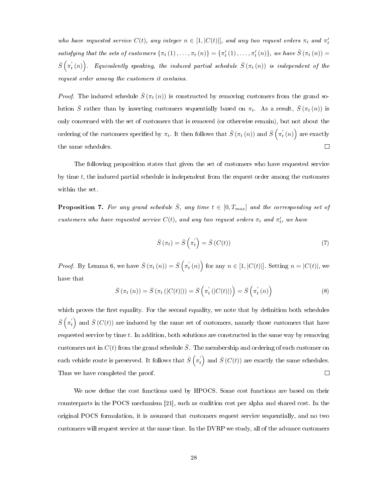who have requested service  $C(t)$ , any integer  $n \in [1, |C(t)|]$ , and any two request orders  $\pi_t$  and  $\pi'_t$ satisfying that the sets of customers  $\{\pi_t(1), \ldots, \pi_t(n)\} = \{\pi'_t(1), \ldots, \pi'_t(n)\},\$ we have  $\overline{S}(\pi_t(n)) =$  $\bar{S}\left(\pi_{t}^{'}\left(n\right)\right)$ . Equivalently speaking, the induced partial schedule  $\bar{S}\left(\pi_{t}\left(n\right)\right)$  is independent of the request order among the customers it contains.

*Proof.* The induced schedule  $\bar{S}(\pi_t(n))$  is constructed by removing customers from the grand solution  $\bar{S}$  rather than by inserting customers sequentially based on  $\pi_t$ . As a result,  $\bar{S}(\pi_t(n))$  is only concerned with the set of customers that is removed (or otherwise remain), but not about the ordering of the customers specified by  $\pi_t$ . It then follows that  $\bar{S}\left(\pi_t\left(n\right)\right)$  and  $\bar{S}\left(\pi_t^{'}\left(n\right)\right)$  are exactly  $\Box$ the same schedules.

The following proposition states that given the set of customers who have requested service by time t, the induced partial schedule is independent from the request order among the customers within the set.

<span id="page-36-0"></span>**Proposition 7.** For any grand schedule  $\overline{S}$ , any time  $t \in [0, T_{max}]$  and the corresponding set of customers who have requested service  $C(t)$ , and any two request orders  $\pi_t$  and  $\pi'_t$ , we have

$$
\bar{S}(\pi_t) = \bar{S}\left(\pi_t^{'}\right) = \bar{S}\left(C(t)\right) \tag{7}
$$

*Proof.* By Lemma [6,](#page-35-0) we have  $\bar{S}(\pi_t(n)) = \bar{S}(\pi'_t(n))$  for any  $n \in [1, |C(t)|]$ . Setting  $n = |C(t)|$ , we have that

$$
\bar{S}(\pi_t(n)) = \bar{S}(\pi_t(|C(t)|)) = \bar{S}(\pi'_t(|C(t)|)) = \bar{S}(\pi'_t(n))
$$
\n(8)

which proves the first equality. For the second equality, we note that by definition both schedules  $\bar{S}\left(\pi^{'}_{t}\right)$  and  $\bar{S}\left(C(t)\right)$  are induced by the same set of customers, namely those customers that have requested service by time t. In addition, both solutions are constructed in the same way by removing customers not in  $C(t)$  from the grand schedule  $\overline{S}$ . The membership and ordering of each customer on each vehicle route is preserved. It follows that  $\bar{S}\left(\pi_{t}^{'}\right)$  and  $\bar{S}\left(C(t)\right)$  are exactly the same schedules.  $\Box$ Thus we have completed the proof.

We now define the cost functions used by HPOCS. Some cost functions are based on their counterparts in the POCS mechanism [\[21\]](#page-83-0), such as coalition cost per alpha and shared cost. In the original POCS formulation, it is assumed that customers request service sequentially, and no two customers will request service at the same time. In the DVRP we study, all of the advance customers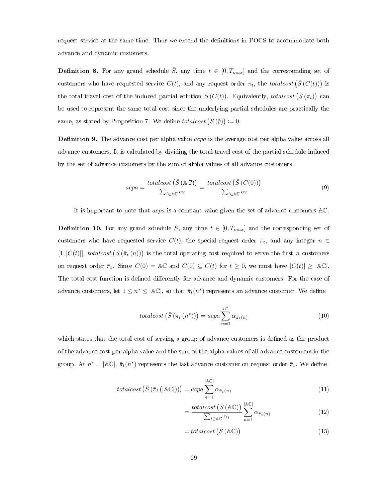request service at the same time. Thus we extend the denitions in POCS to accommodate both advance and dynamic customers.

<span id="page-37-1"></span>**Definition 8.** For any grand schedule  $\overline{S}$ , any time  $t \in [0, T_{max}]$  and the corresponding set of customers who have requested service  $C(t)$ , and any request order  $\pi_t$ , the totalcost  $(\bar{S}(C(t)))$  is the total travel cost of the induced partial solution  $\bar{S}(C(t))$ . Equivalently, totalcost  $(\bar{S}(\pi_t))$  can be used to represent the same total cost since the underlying partial schedules are practically the same, as stated by Proposition [7.](#page-36-0) We define  $totalcost(\bar{S}(\emptyset)) \coloneqq 0$ .

<span id="page-37-3"></span>**Definition 9.** The advance cost per alpha value  $acpa$  is the average cost per alpha value across all advance customers. It is calculated by dividing the total travel cost of the partial schedule induced by the set of advance customers by the sum of alpha values of all advance customers

$$
acpa = \frac{totalcost\left(\bar{S}\left(\mathbb{AC}\right)\right)}{\sum_{i \in \mathbb{AC}} \alpha_i} = \frac{totalcost\left(\bar{S}\left(C(0)\right)\right)}{\sum_{i \in \mathbb{AC}} \alpha_i} \tag{9}
$$

It is important to note that acpa is a constant value given the set of advance customers AC.

<span id="page-37-4"></span>**Definition 10.** For any grand schedule  $\bar{S}$ , any time  $t \in [0, T_{max}]$  and the corresponding set of customers who have requested service  $C(t)$ , the special request order  $\bar{\pi}_t$ , and any integer  $n \in$  $[1, |C(t)|]$ , totalcost  $(\bar{S}(\bar{\pi}_t(n)))$  is the total operating cost required to serve the first n customers on request order  $\bar{\pi}_t$ . Since  $C(0) = \mathbb{AC}$  and  $C(0) \subseteq C(t)$  for  $t \geq 0$ , we must have  $|C(t)| \geq |\mathbb{AC}|$ . The total cost function is defined differently for advance and dynamic customers. For the case of advance customers, let  $1 \leq n^* \leq |\mathbb{AC}|$ , so that  $\bar{\pi}_t(n^*)$  represents an advance customer. We define

<span id="page-37-2"></span>
$$
totalcost\left(\bar{S}\left(\bar{\pi}_{t}\left(n^{*}\right)\right)\right) = acpa\sum_{n=1}^{n^{*}}\alpha_{\bar{\pi}_{t}(n)}
$$
\n
$$
(10)
$$

which states that the total cost of serving a group of advance customers is defined as the product of the advance cost per alpha value and the sum of the alpha values of all advance customers in the group. At  $n^* = |\mathbb{AC}|$ ,  $\bar{\pi}_t(n^*)$  represents the last advance customer on request order  $\bar{\pi}_t$ . We define

$$
totalcost\left(\bar{S}\left(\bar{\pi}_{t}\left(\left|\mathbb{A}\mathbb{C}\right|\right)\right)\right) = acpa \sum_{n=1}^{\left|\mathbb{A}\mathbb{C}\right|} \alpha_{\bar{\pi}_{t}(n)}
$$
\n
$$
(11)
$$

$$
= \frac{totalcost\left(\bar{S}\left(\mathbb{AC}\right)\right)}{\sum_{i \in \mathbb{AC}} \alpha_i} \sum_{n=1}^{|\mathbb{AC}|} \alpha_{\bar{\pi}_t(n)} \tag{12}
$$

<span id="page-37-0"></span>
$$
= total cost \left( \bar{S} \left( \mathbb{AC} \right) \right) \tag{13}
$$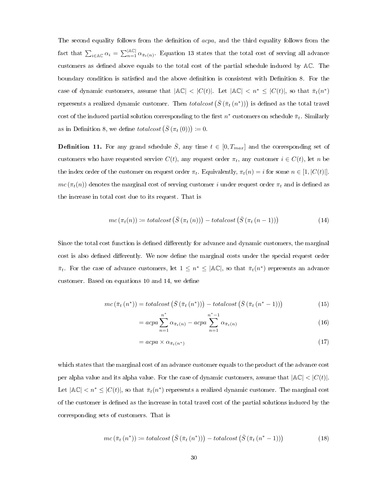The second equality follows from the definition of *acpa*, and the third equality follows from the fact that  $\sum_{i\in A\mathbb{C}}\alpha_i = \sum_{n=1}^{|A\mathbb{C}|}\alpha_{\bar{\pi}_t(n)}$ . Equation [13](#page-37-0) states that the total cost of serving all advance customers as defined above equals to the total cost of the partial schedule induced by AC. The boundary condition is satisfied and the above definition is consistent with Definition [8.](#page-37-1) For the case of dynamic customers, assume that  $|\mathbb{AC}| < |C(t)|$ . Let  $|\mathbb{AC}| < n^* \leq |C(t)|$ , so that  $\bar{\pi}_t(n^*)$ represents a realized dynamic customer. Then  $totalcost\left( \bar{S}\left(\bar{\pi}_{t}\left( n^{\ast}\right) \right) \right)$  is defined as the total travel cost of the induced partial solution corresponding to the first  $n^*$  customers on schedule  $\bar{\pi}_t$ . Similarly as in Definition [8,](#page-37-1) we define *totalcost*  $(\bar{S}(\pi_t(0))) \coloneqq 0$ .

**Definition 11.** For any grand schedule  $\overline{S}$ , any time  $t \in [0, T_{max}]$  and the corresponding set of customers who have requested service  $C(t)$ , any request order  $\pi_t$ , any customer  $i \in C(t)$ , let n be the index order of the customer on request order  $\pi_t$ . Equivalently,  $\pi_t(n) = i$  for some  $n \in [1, |C(t)|]$ .  $mc(\pi_t(n))$  denotes the marginal cost of serving customer i under request order  $\pi_t$  and is defined as the increase in total cost due to its request. That is

<span id="page-38-0"></span>
$$
mc\left(\pi_t(n)\right) := totalcost\left(\bar{S}\left(\pi_t(n)\right)\right) - totalcost\left(\bar{S}\left(\pi_t(n-1)\right)\right) \tag{14}
$$

Since the total cost function is defined differently for advance and dynamic customers, the marginal cost is also defined differently. We now define the marginal costs under the special request order  $\bar{\pi}_t$ . For the case of advance customers, let  $1 \leq n^* \leq |\mathbb{AC}|$ , so that  $\bar{\pi}_t(n^*)$  represents an advance customer. Based on equations [10](#page-37-2) and [14,](#page-38-0) we define

$$
mc\left(\bar{\pi}_{t}\left(n^{*}\right)\right) = totalcost\left(\bar{S}\left(\bar{\pi}_{t}\left(n^{*}\right)\right)\right) - totalcost\left(\bar{S}\left(\bar{\pi}_{t}\left(n^{*}-1\right)\right)\right) \tag{15}
$$

$$
= acpa \sum_{n=1}^{n^*} \alpha_{\bar{\pi}_t(n)} - acpa \sum_{n=1}^{n^*-1} \alpha_{\bar{\pi}_t(n)}
$$
(16)

<span id="page-38-1"></span>
$$
=acpa \times \alpha_{\bar{\pi}_t(n^*)}
$$
\n<sup>(17)</sup>

which states that the marginal cost of an advance customer equals to the product of the advance cost per alpha value and its alpha value. For the case of dynamic customers, assume that  $|\mathbb{AC}| < |C(t)|$ . Let  $|\mathbb{AC}| < n^* \leq |C(t)|$ , so that  $\bar{\pi}_t(n^*)$  represents a realized dynamic customer. The marginal cost of the customer is dened as the increase in total travel cost of the partial solutions induced by the corresponding sets of customers. That is

<span id="page-38-2"></span>
$$
mc\left(\bar{\pi}_{t}\left(n^{*}\right)\right) := totalcost\left(\bar{S}\left(\bar{\pi}_{t}\left(n^{*}\right)\right)\right) - totalcost\left(\bar{S}\left(\bar{\pi}_{t}\left(n^{*}-1\right)\right)\right) \tag{18}
$$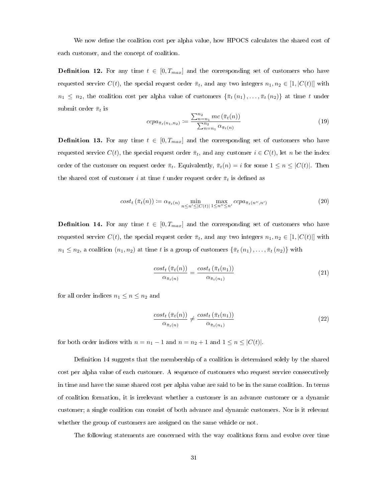We now define the coalition cost per alpha value, how HPOCS calculates the shared cost of each customer, and the concept of coalition.

<span id="page-39-2"></span>**Definition 12.** For any time  $t \in [0, T_{max}]$  and the corresponding set of customers who have requested service  $C(t)$ , the special request order  $\bar{\pi}_t$ , and any two integers  $n_1, n_2 \in [1, |C(t)|]$  with  $n_1 \leq n_2$ , the coalition cost per alpha value of customers  $\{\bar{\pi}_t(n_1), \ldots, \bar{\pi}_t(n_2)\}\$  at time t under submit order  $\bar{\pi}_t$  is

$$
ccpa_{\bar{\pi}_t(n_1, n_2)} := \frac{\sum_{n=n_1}^{n_2} mc(\bar{\pi}_t(n))}{\sum_{n=n_1}^{n_2} \alpha_{\bar{\pi}_t(n)}}
$$
(19)

<span id="page-39-1"></span>**Definition 13.** For any time  $t \in [0, T_{max}]$  and the corresponding set of customers who have requested service  $C(t)$ , the special request order  $\bar{\pi}_t$ , and any customer  $i \in C(t)$ , let n be the index order of the customer on request order  $\bar{\pi}_t$ . Equivalently,  $\bar{\pi}_t(n) = i$  for some  $1 \leq n \leq |C(t)|$ . Then the shared cost of customer i at time t under request order  $\bar{\pi}_t$  is defined as

$$
cost_t\left(\bar{\pi}_t(n)\right) := \alpha_{\bar{\pi}_t(n)} \min_{n \le n' \le |C(t)|} \max_{1 \le n'' \le n'} ccpa_{\bar{\pi}_t(n'',n')} \tag{20}
$$

<span id="page-39-0"></span>**Definition 14.** For any time  $t \in [0, T_{max}]$  and the corresponding set of customers who have requested service  $C(t)$ , the special request order  $\bar{\pi}_t$ , and any two integers  $n_1, n_2 \in [1, |C(t)|]$  with  $n_1 \leq n_2$ , a coalition  $(n_1, n_2)$  at time t is a group of customers  $\{\bar{\pi}_t(n_1), \ldots, \bar{\pi}_t(n_2)\}\$  with

$$
\frac{\cosh\left(\bar{\pi}_t(n)\right)}{\alpha_{\bar{\pi}_t(n)}} = \frac{\cosh\left(\bar{\pi}_t(n_1)\right)}{\alpha_{\bar{\pi}_t(n_1)}}\tag{21}
$$

for all order indices  $n_1 \leq n \leq n_2$  and

$$
\frac{\cos t_t \left(\bar{\pi}_t(n)\right)}{\alpha_{\bar{\pi}_t(n)}} \neq \frac{\cos t_t \left(\bar{\pi}_t(n_1)\right)}{\alpha_{\bar{\pi}_t(n_1)}}\tag{22}
$$

for both order indices with  $n = n_1 - 1$  and  $n = n_2 + 1$  and  $1 \le n \le |C(t)|$ .

Definition [14](#page-39-0) suggests that the membership of a coalition is determined solely by the shared cost per alpha value of each customer. A sequence of customers who request service consecutively in time and have the same shared cost per alpha value are said to be in the same coalition. In terms of coalition formation, it is irrelevant whether a customer is an advance customer or a dynamic customer; a single coalition can consist of both advance and dynamic customers. Nor is it relevant whether the group of customers are assigned on the same vehicle or not.

The following statements are concerned with the way coalitions form and evolve over time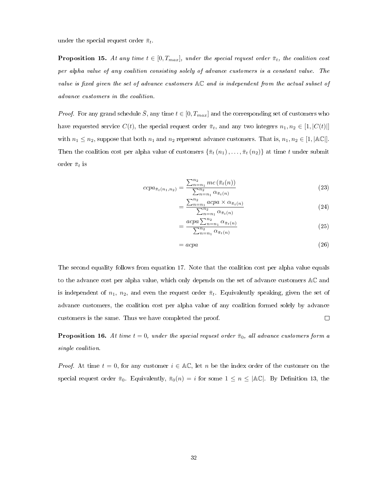under the special request order  $\bar{\pi}_t$ .

<span id="page-40-0"></span>**Proposition 15.** At any time  $t \in [0, T_{max}]$ , under the special request order  $\bar{\pi}_t$ , the coalition cost per alpha value of any coalition consisting solely of advance customers is a constant value. The value is fixed given the set of advance customers  $AC$  and is independent from the actual subset of advance customers in the coalition.

*Proof.* For any grand schedule  $\overline{S}$ , any time  $t \in [0, T_{max}]$  and the corresponding set of customers who have requested service  $C(t)$ , the special request order  $\bar{\pi}_t$ , and any two integers  $n_1, n_2 \in [1, |C(t)|]$ with  $n_1 \leq n_2$ , suppose that both  $n_1$  and  $n_2$  represent advance customers. That is,  $n_1, n_2 \in [1, |\mathbb{AC}|]$ . Then the coalition cost per alpha value of customers  $\{\bar{\pi}_t(n_1), \ldots, \bar{\pi}_t(n_2)\}$  at time t under submit order  $\bar{\pi}_t$  is

$$
ccpa_{\bar{\pi}_t(n_1, n_2)} = \frac{\sum_{n=n_1}^{n_2} mc(\bar{\pi}_t(n))}{\sum_{n=n_1}^{n_2} \alpha_{\bar{\pi}_t(n)}}
$$
(23)

$$
=\frac{\sum_{n=n_1}^{n_2} acpa \times \alpha_{\bar{\pi}_t(n)}}{\sum_{n=n_1}^{n_2} \alpha_{\bar{\pi}_t(n)}}
$$
(24)

$$
= \frac{acpa\sum_{n=n_1}^{n_2} \alpha_{\bar{\pi}_t(n)}}{\sum_{n=n_1}^{n_2} \alpha_{\bar{\pi}_t(n)}}
$$
(25)

$$
=acpa \tag{26}
$$

The second equality follows from equation [17.](#page-38-1) Note that the coalition cost per alpha value equals to the advance cost per alpha value, which only depends on the set of advance customers AC and is independent of  $n_1$ ,  $n_2$ , and even the request order  $\bar{\pi}_t$ . Equivalently speaking, given the set of advance customers, the coalition cost per alpha value of any coalition formed solely by advance customers is the same. Thus we have completed the proof.  $\Box$ 

<span id="page-40-1"></span>**Proposition 16.** At time  $t = 0$ , under the special request order  $\bar{\pi}_0$ , all advance customers form a single coalition.

*Proof.* At time  $t = 0$ , for any customer  $i \in \mathbb{AC}$ , let n be the index order of the customer on the special request order  $\bar{\pi}_0$ . Equivalently,  $\bar{\pi}_0(n) = i$  for some  $1 \leq n \leq |\mathbb{AC}|$ . By Definition [13,](#page-39-1) the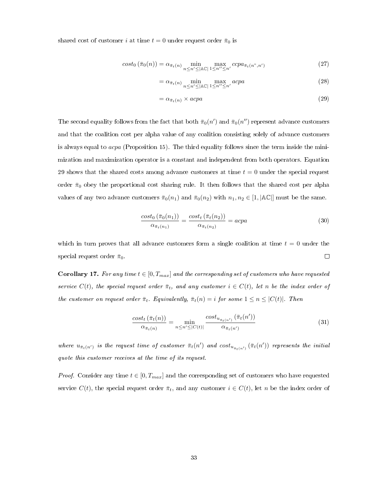shared cost of customer i at time  $t = 0$  under request order  $\bar{\pi}_0$  is

$$
cost_0\left(\bar{\pi}_0(n)\right) = \alpha_{\bar{\pi}_t(n)} \min_{n \le n' \le |\mathbb{A}\mathbb{C}|} \max_{1 \le n'' \le n'} ccpa_{\bar{\pi}_t(n'',n')} \tag{27}
$$

<span id="page-41-0"></span>
$$
= \alpha_{\bar{\pi}_t(n)} \min_{n \le n' \le |\mathbb{A}\mathbb{C}|} \max_{1 \le n'' \le n'} \alpha c p a
$$
\n(28)

$$
= \alpha_{\bar{\pi}_t(n)} \times acpa \tag{29}
$$

The second equality follows from the fact that both  $\bar{\pi}_0(n')$  and  $\bar{\pi}_0(n'')$  represent advance customers and that the coalition cost per alpha value of any coalition consisting solely of advance customers is always equal to acpa (Proposition [15\)](#page-40-0). The third equality follows since the term inside the minimization and maximization operator is a constant and independent from both operators. Equation [29](#page-41-0) shows that the shared costs among advance customers at time  $t = 0$  under the special request order  $\bar{\pi}_0$  obey the proportional cost sharing rule. It then follows that the shared cost per alpha values of any two advance customers  $\bar{\pi}_0(n_1)$  and  $\bar{\pi}_0(n_2)$  with  $n_1, n_2 \in [1, |\mathbb{AC}|]$  must be the same.

$$
\frac{\cosh\left(\bar{\pi}_0(n_1)\right)}{\alpha_{\bar{\pi}_t(n_1)}} = \frac{\cosh\left(\bar{\pi}_t(n_2)\right)}{\alpha_{\bar{\pi}_t(n_2)}} = \text{acpa} \tag{30}
$$

which in turn proves that all advance customers form a single coalition at time  $t = 0$  under the special request order  $\bar{\pi}_0$ .  $\Box$ 

<span id="page-41-1"></span>**Corollary 17.** For any time  $t \in [0, T_{max}]$  and the corresponding set of customers who have requested service  $C(t)$ , the special request order  $\bar{\pi}_t$ , and any customer  $i \in C(t)$ , let n be the index order of the customer on request order  $\bar{\pi}_t$ . Equivalently,  $\bar{\pi}_t(n) = i$  for some  $1 \leq n \leq |C(t)|$ . Then

$$
\frac{\cosh\left(\bar{\pi}_t(n)\right)}{\alpha_{\bar{\pi}_t(n)}} = \min_{n \le n' \le |C(t)|} \frac{\cosh_{u_{\bar{\pi}_t(n')}}\left(\bar{\pi}_t(n')\right)}{\alpha_{\bar{\pi}_t(n')}} \tag{31}
$$

where  $u_{\bar{\pi}_t(n')}$  is the request time of customer  $\bar{\pi}_t(n')$  and  $cost_{u_{\bar{\pi}_t(n')}}(\bar{\pi}_t(n'))$  represents the initial quote this customer receives at the time of its request.

*Proof.* Consider any time  $t \in [0, T_{max}]$  and the corresponding set of customers who have requested service  $C(t)$ , the special request order  $\bar{\pi}_t$ , and any customer  $i \in C(t)$ , let n be the index order of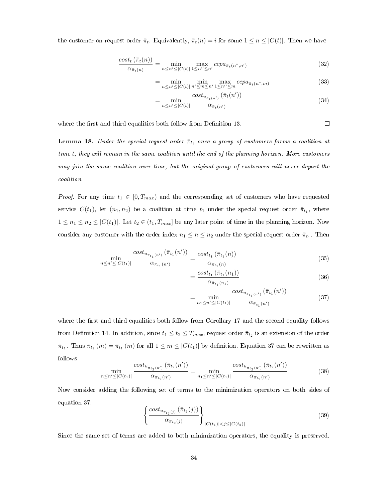the customer on request order  $\bar{\pi}_t$ . Equivalently,  $\bar{\pi}_t(n) = i$  for some  $1 \leq n \leq |C(t)|$ . Then we have

$$
\frac{\text{cost}_t\left(\bar{\pi}_t(n)\right)}{\alpha_{\bar{\pi}_t(n)}} = \min_{n \le n' \le |C(t)|} \max_{1 \le n'' \le n'} \text{ccp} a_{\bar{\pi}_t(n'',n')} \tag{32}
$$

$$
= \min_{n \le n' \le |C(t)|} \min_{n' \le m \le n'} \max_{1 \le n'' \le m} ccpa_{\bar{\pi}_t(n'',m)} \tag{33}
$$

$$
= \min_{n \le n' \le |C(t)|} \frac{\cos t_{u_{\bar{\pi}_t(n')}}(\bar{\pi}_t(n'))}{\alpha_{\bar{\pi}_t(n')}} \tag{34}
$$

 $\Box$ 

where the first and third equalities both follow from Definition [13.](#page-39-1)

<span id="page-42-1"></span>**Lemma 18.** Under the special request order  $\bar{\pi}_t$ , once a group of customers forms a coalition at time t, they will remain in the same coalition until the end of the planning horizon. More customers may join the same coalition over time, but the original group of customers will never depart the coalition.

*Proof.* For any time  $t_1 \in [0, T_{max})$  and the corresponding set of customers who have requested service  $C(t_1)$ , let  $(n_1, n_2)$  be a coalition at time  $t_1$  under the special request order  $\bar{\pi}_{t_1}$ , where  $1 \leq n_1 \leq n_2 \leq |C(t_1)|$ . Let  $t_2 \in (t_1, T_{max}]$  be any later point of time in the planning horizon. Now consider any customer with the order index  $n_1 \leq n \leq n_2$  under the special request order  $\bar{\pi}_{t_1}$ . Then

$$
\min_{n \le n' \le |C(t_1)|} \frac{\cos t_{u_{\bar{\pi}_{t_1}(n')}}(\bar{\pi}_{t_1}(n'))}{\alpha_{\bar{\pi}_{t_1}(n')}} = \frac{\cos t_{t_1}(\bar{\pi}_{t_1}(n))}{\alpha_{\bar{\pi}_{t_1}(n)}} \tag{35}
$$

$$
=\frac{\cosh_{t_1}(\bar{\pi}_{t_1}(n_1))}{\alpha_{\bar{\pi}_{t_1}(n_1)}}\tag{36}
$$

<span id="page-42-0"></span>
$$
= \min_{n_1 \le n' \le |C(t_1)|} \frac{\cos t_{u_{\bar{\pi}_{t_1}(n')}}(\bar{\pi}_{t_1}(n'))}{\alpha_{\bar{\pi}_{t_1}(n')}} \tag{37}
$$

where the first and third equalities both follow from Corollary [17](#page-41-1) and the second equality follows from Definition [14.](#page-39-0) In addition, since  $t_1 \le t_2 \le T_{max}$ , request order  $\bar{\pi}_{t_2}$  is an extension of the order  $\bar{\pi}_{t_1}$ . Thus  $\bar{\pi}_{t_2}(m) = \bar{\pi}_{t_1}(m)$  for all  $1 \leq m \leq |C(t_1)|$  by definition. Equation [37](#page-42-0) can be rewritten as follows

$$
\min_{n \le n' \le |C(t_1)|} \frac{\cos t_{u_{\bar{\pi}_{t_2}(n')}}(\bar{\pi}_{t_2}(n'))}{\alpha_{\bar{\pi}_{t_2}(n')}} = \min_{n_1 \le n' \le |C(t_1)|} \frac{\cos t_{u_{\bar{\pi}_{t_2}(n')}}(\bar{\pi}_{t_2}(n'))}{\alpha_{\bar{\pi}_{t_2}(n')}} \tag{38}
$$

Now consider adding the following set of terms to the minimization operators on both sides of equation [37.](#page-42-0)

$$
\left\{ \frac{\cos t_{u_{\bar{\pi}_{t_2}(j)}} (\bar{\pi}_{t_2}(j))}{\alpha_{\bar{\pi}_{t_2}(j)}} \right\}_{|C(t_1)| < j \leq |C(t_2)|} \tag{39}
$$

Since the same set of terms are added to both minimization operators, the equality is preserved.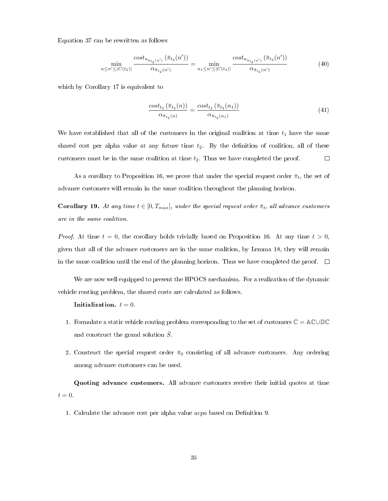Equation [37](#page-42-0) can be rewritten as follows

$$
\min_{n \le n' \le |C(t_2)|} \frac{\cos t_{u_{\bar{\pi}_{t_2}(n')}}(\bar{\pi}_{t_2}(n'))}{\alpha_{\bar{\pi}_{t_2}(n')}} = \min_{n_1 \le n' \le |C(t_2)|} \frac{\cos t_{u_{\bar{\pi}_{t_2}(n')}}(\bar{\pi}_{t_2}(n'))}{\alpha_{\bar{\pi}_{t_2}(n')}} \tag{40}
$$

which by Corollary [17](#page-41-1) is equivalent to

$$
\frac{\text{cost}_{t_2}(\bar{\pi}_{t_2}(n))}{\alpha_{\bar{\pi}_{t_2}(n)}} = \frac{\text{cost}_{t_2}(\bar{\pi}_{t_2}(n_1))}{\alpha_{\bar{\pi}_{t_2}(n_1)}}\tag{41}
$$

We have established that all of the customers in the original coalition at time  $t_1$  have the same shared cost per alpha value at any future time  $t_2$ . By the definition of coalition, all of these customers must be in the same coalition at time  $t_2$ . Thus we have completed the proof.  $\Box$ 

As a corollary to Proposition [16,](#page-40-1) we prove that under the special request order  $\bar{\pi}_t$ , the set of advance customers will remain in the same coalition throughout the planning horizon.

**Corollary 19.** At any time  $t \in [0, T_{max}]$ , under the special request order  $\bar{\pi}_t$ , all advance customers are in the same coalition.

*Proof.* At time  $t = 0$ , the corollary holds trivially based on Proposition [16.](#page-40-1) At any time  $t > 0$ , given that all of the advance customers are in the same coalition, by Lemma [18,](#page-42-1) they will remain in the same coalition until the end of the planning horizon. Thus we have completed the proof.  $\Box$ 

We are now well equipped to present the HPOCS mechanism. For a realization of the dynamic vehicle routing problem, the shared costs are calculated as follows.

#### Initialization.  $t = 0$ .

- 1. Formulate a static vehicle routing problem corresponding to the set of customers  $\mathbb{C} = \mathbb{AC} \cup \mathbb{DC}$ and construct the grand solution  $\overline{S}$ .
- 2. Construct the special request order  $\bar{\pi}_0$  consisting of all advance customers. Any ordering among advance customers can be used.

Quoting advance customers. All advance customers receive their initial quotes at time  $t = 0.$ 

1. Calculate the advance cost per alpha value  $acpa$  based on Definition [9.](#page-37-3)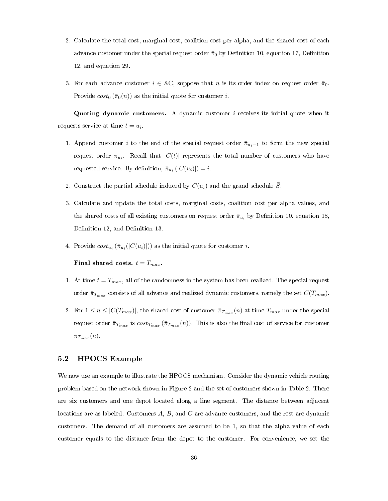- 2. Calculate the total cost, marginal cost, coalition cost per alpha, and the shared cost of each advance customer under the special request order  $\bar{\pi}_0$  by Definition [10,](#page-37-4) equation [17,](#page-38-1) Definition [12,](#page-39-2) and equation [29.](#page-41-0)
- 3. For each advance customer  $i \in \mathbb{AC}$ , suppose that n is its order index on request order  $\bar{\pi}_0$ . Provide  $cost_0(\bar{\pi}_0(n))$  as the initial quote for customer i.

Quoting dynamic customers. A dynamic customer  $i$  receives its initial quote when it requests service at time  $t = u_i$ .

- 1. Append customer i to the end of the special request order  $\bar{\pi}_{u_i-1}$  to form the new special request order  $\bar{\pi}_{u_i}$ . Recall that  $|C(t)|$  represents the total number of customers who have requested service. By definition,  $\bar{\pi}_{u_i}(|C(u_i)|) = i$ .
- 2. Construct the partial schedule induced by  $C(u_i)$  and the grand schedule  $\overline{S}$ .
- 3. Calculate and update the total costs, marginal costs, coalition cost per alpha values, and the shared costs of all existing customers on request order  $\bar{\pi}_{u_i}$  by Definition [10,](#page-37-4) equation [18,](#page-38-2) Definition [12,](#page-39-2) and Definition [13.](#page-39-1)
- 4. Provide  $cost_{u_i}(\bar{\pi}_{u_i}(|C(u_i)|))$  as the initial quote for customer *i*.

Final shared costs.  $t = T_{max}$ .

- 1. At time  $t = T_{max}$ , all of the randomness in the system has been realized. The special request order  $\bar{\pi}_{T_{max}}$  consists of all advance and realized dynamic customers, namely the set  $C(T_{max})$ .
- 2. For  $1 \leq n \leq |C(T_{max})|$ , the shared cost of customer  $\bar{\pi}_{T_{max}}(n)$  at time  $T_{max}$  under the special request order  $\bar{\pi}_{T_{max}}$  is  $cost_{T_{max}}(\bar{\pi}_{T_{max}}(n))$ . This is also the final cost of service for customer  $\bar{\pi}_{T_{max}}(n)$ .

# 5.2 HPOCS Example

We now use an example to illustrate the HPOCS mechanism. Consider the dynamic vehicle routing problem based on the network shown in Figure [2](#page-45-0) and the set of customers shown in Table [2.](#page-45-1) There are six customers and one depot located along a line segment. The distance between adjacent locations are as labeled. Customers A, B, and C are advance customers, and the rest are dynamic customers. The demand of all customers are assumed to be 1, so that the alpha value of each customer equals to the distance from the depot to the customer. For convenience, we set the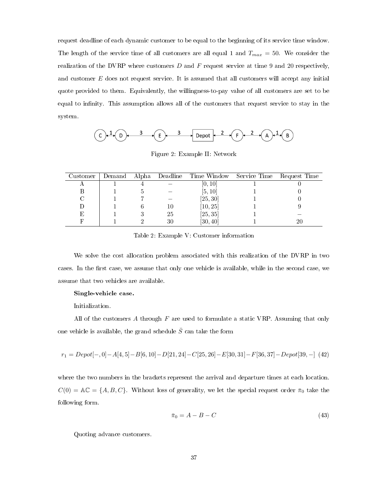request deadline of each dynamic customer to be equal to the beginning of its service time window. The length of the service time of all customers are all equal 1 and  $T_{max} = 50$ . We consider the realization of the DVRP where customers  $D$  and  $F$  request service at time 9 and 20 respectively, and customer E does not request service. It is assumed that all customers will accept any initial quote provided to them. Equivalently, the willingness-to-pay value of all customers are set to be equal to infinity. This assumption allows all of the customers that request service to stay in the system.

$$
\begin{array}{ccc}\n\text{(C)} & 1 & \text{(D)} & \xrightarrow{3} & \text{(E)} & \xrightarrow{3} & \text{Depot} & \xrightarrow{2} & \text{(F)} & \xrightarrow{2} & \text{(A)} & \xrightarrow{1} & \text{(B)} \\
\end{array}
$$

<span id="page-45-1"></span><span id="page-45-0"></span>Figure 2: Example II: Network

| Customer | Demand |    | Alpha Deadline Time Window Service Time | Request Time |
|----------|--------|----|-----------------------------------------|--------------|
|          |        |    | [0,10]                                  |              |
|          |        |    | [5, 10]                                 |              |
|          |        |    | [25, 30]                                |              |
|          |        | 10 | [10, 25]                                |              |
| E,       |        | 25 | [25, 35]                                |              |
|          |        | 30 | [30, 40]                                |              |

Table 2: Example V: Customer information

We solve the cost allocation problem associated with this realization of the DVRP in two cases. In the first case, we assume that only one vehicle is available, while in the second case, we assume that two vehicles are available.

#### Single-vehicle case.

Initialization.

All of the customers  $A$  through  $F$  are used to formulate a static VRP. Assuming that only one vehicle is available, the grand schedule  $\bar{S}$  can take the form

$$
r_1 = Depot[-,0] - A[4,5] - B[6,10] - D[21,24] - C[25,26] - E[30,31] - F[36,37] - Depot[39,-] (42)
$$

where the two numbers in the brackets represent the arrival and departure times at each location.  $C(0) = \mathbb{AC} = \{A, B, C\}$ . Without loss of generality, we let the special request order  $\bar{\pi}_0$  take the following form.

$$
\bar{\pi}_0 = A - B - C \tag{43}
$$

Quoting advance customers.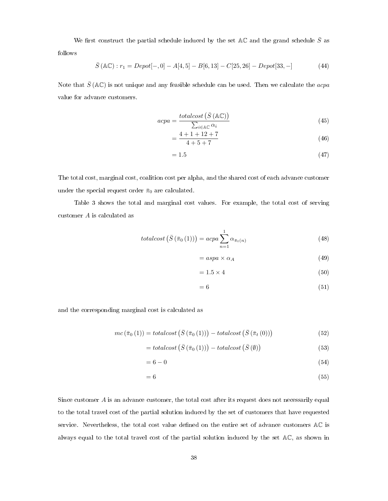We first construct the partial schedule induced by the set AC and the grand schedule  $\bar{S}$  as follows

$$
\bar{S}(\mathbb{AC}): r_1 = Depot[-,0] - A[4,5] - B[6,13] - C[25,26] - Depot[33,-]
$$
 (44)

Note that  $\bar{S}$  (AC) is not unique and any feasible schedule can be used. Then we calculate the *acpa* value for advance customers.

$$
acpa = \frac{totalcost\left(\bar{S}\left(\mathbb{AC}\right)\right)}{\sum_{i \in \mathbb{AC}} \alpha_i} \tag{45}
$$

$$
=\frac{4+1+12+7}{4+5+7}
$$
\n(46)

$$
=1.5\tag{47}
$$

The total cost, marginal cost, coalition cost per alpha, and the shared cost of each advance customer under the special request order  $\bar{\pi}_0$  are calculated.

Table [3](#page-47-0) shows the total and marginal cost values. For example, the total cost of serving customer A is calculated as

$$
totalcost\left(\bar{S}\left(\bar{\pi}_{0}\left(1\right)\right)\right) = acpa\sum_{n=1}^{1} \alpha_{\bar{\pi}_{t}(n)}\tag{48}
$$

$$
= aspa \times \alpha_A \tag{49}
$$

$$
= 1.5 \times 4 \tag{50}
$$

$$
= 6 \tag{51}
$$

and the corresponding marginal cost is calculated as

$$
mc\left(\bar{\pi}_{0}\left(1\right)\right) = totalcost\left(\bar{S}\left(\bar{\pi}_{0}\left(1\right)\right)\right) - totalcost\left(\bar{S}\left(\bar{\pi}_{t}\left(0\right)\right)\right) \tag{52}
$$

$$
= total cost\left(\bar{S}\left(\bar{\pi}_{0}\left(1\right)\right)\right) - total cost\left(\bar{S}\left(\emptyset\right)\right)
$$
\n(53)

$$
=6-0 \tag{54}
$$

$$
= 6 \tag{55}
$$

Since customer  $A$  is an advance customer, the total cost after its request does not necessarily equal to the total travel cost of the partial solution induced by the set of customers that have requested service. Nevertheless, the total cost value defined on the entire set of advance customers AC is always equal to the total travel cost of the partial solution induced by the set AC, as shown in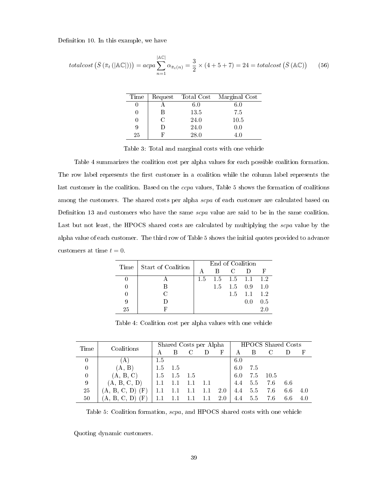Definition [10.](#page-37-4) In this example, we have

$$
totalcost\left(\bar{S}\left(\bar{\pi}_{t}\left(|\mathbb{AC}|\right)\right)\right) = acpa \sum_{n=1}^{|\mathbb{AC}|} \alpha_{\bar{\pi}_{t}(n)} = \frac{3}{2} \times (4+5+7) = 24 = totalcost\left(\bar{S}\left(\mathbb{AC}\right)\right) \tag{56}
$$

<span id="page-47-0"></span>

| Time | Request | Total Cost | Marginal Cost |
|------|---------|------------|---------------|
|      |         | $6.0\,$    | 6.0           |
|      | B       | 13.5       | 7.5           |
| U    | C       | 24.0       | 10.5          |
| 9    | Ð       | 24.0       | 0.0           |
| 25   | R       | 28.0       | L O           |

Table 3: Total and marginal costs with one vehicle

Table [4](#page-47-1) summarizes the coalition cost per alpha values for each possible coalition formation. The row label represents the first customer in a coalition while the column label represents the last customer in the coalition. Based on the *ccpa* values, Table [5](#page-47-2) shows the formation of coalitions among the customers. The shared costs per alpha scpa of each customer are calculated based on Definition [13](#page-39-1) and customers who have the same scpa value are said to be in the same coalition. Last but not least, the HPOCS shared costs are calculated by multiplying the *scpa* value by the alpha value of each customer. The third row of Table [5](#page-47-2) shows the initial quotes provided to advance customers at time  $t = 0$ .

<span id="page-47-1"></span>

|    | Time Start of Coalition | End of Coalition |                   |               |                         |     |  |  |
|----|-------------------------|------------------|-------------------|---------------|-------------------------|-----|--|--|
|    |                         | A                | R                 | $\mathcal{C}$ | -1)                     |     |  |  |
|    |                         | 1.5              | $1.5$ $1.5$ $1.1$ |               |                         | 1.2 |  |  |
|    |                         |                  |                   |               | $1.5$ $1.5$ $0.9$ $1.0$ |     |  |  |
|    | ∩                       |                  |                   | 1.5           | 1.1                     | 1.2 |  |  |
| 9  |                         |                  |                   |               | 0.0                     | 0.5 |  |  |
| 25 |                         |                  |                   |               |                         |     |  |  |

<span id="page-47-2"></span>Table 4: Coalition cost per alpha values with one vehicle

| Time           | Coalitions          |         | Shared Costs per Alpha |     |      |            | <b>HPOCS</b> Shared Costs |     |      |     |     |
|----------------|---------------------|---------|------------------------|-----|------|------------|---------------------------|-----|------|-----|-----|
|                |                     | А       |                        |     |      | $_{\rm F}$ |                           |     |      |     | F   |
| $\theta$       | IA.                 | $1.5\,$ |                        |     |      |            | 6.0                       |     |      |     |     |
| $\overline{0}$ | (A, B)              | 1.5     | 1.5                    |     |      |            | 6.0                       | 7.5 |      |     |     |
| $\overline{0}$ | (A, B, C)           | -1.5    | 1.5                    | 1.5 |      |            | 6.0                       | 7.5 | 10.5 |     |     |
| 9              | (A, B, C, D)        |         |                        |     | -1.1 |            | 4.4                       | 5.5 | 7.6  | 6.6 |     |
| 25             | (F)<br>(A, B, C, D) | 1.1     |                        |     | 1.1  | 2.0        | 4.4                       | 5.5 | 7.6  | 6.6 | 4.0 |
| 50             | (F)<br>(A, B, C, D) |         | 1.1                    | 1.1 | 1.1  | 2.0        | 4.4                       | 5.5 | 7.6  | 6.6 | 4.0 |

Table 5: Coalition formation, scpa, and HPOCS shared costs with one vehicle

Quoting dynamic customers.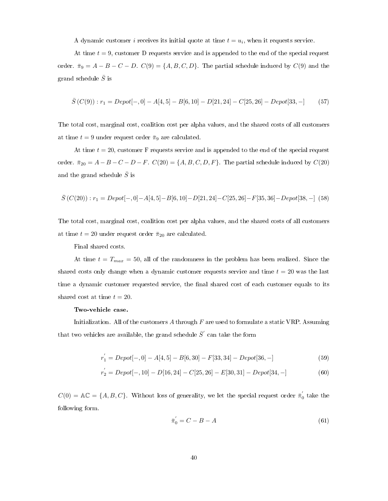A dynamic customer *i* receives its initial quote at time  $t = u_i$ , when it requests service.

At time  $t = 9$ , customer D requests service and is appended to the end of the special request order.  $\bar{\pi}_9 = A - B - C - D$ .  $C(9) = \{A, B, C, D\}$ . The partial schedule induced by  $C(9)$  and the grand schedule  $\bar{S}$  is

$$
\bar{S}(C(9)): r_1 = Depot[-,0] - A[4,5] - B[6,10] - D[21,24] - C[25,26] - Depot[33,-] \tag{57}
$$

The total cost, marginal cost, coalition cost per alpha values, and the shared costs of all customers at time  $t = 9$  under request order  $\bar{\pi}_9$  are calculated.

At time  $t = 20$ , customer F requests service and is appended to the end of the special request order.  $\bar{\pi}_{20} = A - B - C - D - F$ .  $C(20) = \{A, B, C, D, F\}$ . The partial schedule induced by  $C(20)$ and the grand schedule  $\bar{S}$  is

$$
\bar{S}\left(C(20)\right): r_1 = Depot[-,0] - A[4,5] - B[6,10] - D[21,24] - C[25,26] - F[35,36] - Depot[38,-] \eqno(58)
$$

The total cost, marginal cost, coalition cost per alpha values, and the shared costs of all customers at time  $t = 20$  under request order  $\bar{\pi}_{20}$  are calculated.

Final shared costs.

At time  $t = T_{max} = 50$ , all of the randomness in the problem has been realized. Since the shared costs only change when a dynamic customer requests service and time  $t = 20$  was the last time a dynamic customer requested service, the final shared cost of each customer equals to its shared cost at time  $t = 20$ .

#### Two-vehicle case.

Initialization. All of the customers  $A$  through  $F$  are used to formulate a static VRP. Assuming that two vehicles are available, the grand schedule  $\bar{S}^{'}$  can take the form

$$
r_1^{'} = Depot[-,0] - A[4,5] - B[6,30] - F[33,34] - Depot[36,-]
$$
\n
$$
(59)
$$

$$
r_{2}^{'} = Depot[-,10] - D[16,24] - C[25,26] - E[30,31] - Depot[34,-]
$$
\n(60)

 $C(0) = \mathbb{AC} = \{A, B, C\}$ . Without loss of generality, we let the special request order  $\bar{\pi}'_0$  take the following form.

$$
\bar{\pi}'_0 = C - B - A \tag{61}
$$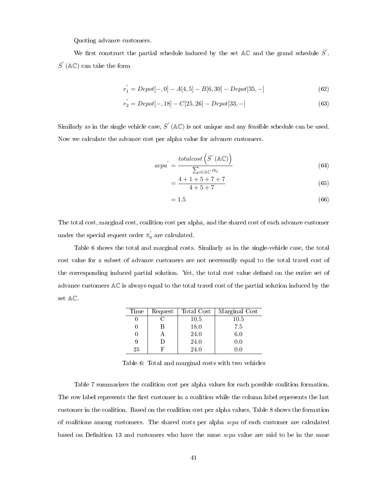Quoting advance customers.

We first construct the partial schedule induced by the set AC and the grand schedule  $\bar{S}$ .  $\bar{S}'$  (AC) can take the form

$$
r_1^{'} = Depot[-,0] - A[4,5] - B[6,30] - Depot[35,-]
$$
\n(62)

$$
r_2^{'} = Depot[-,18] - C[25,26] - Depot[33,-]
$$
\n(63)

Similarly as in the single vehicle case,  $\bar{S}'$  (AC) is not unique and any feasible schedule can be used. Now we calculate the advance cost per alpha value for advance customers.

$$
acpa' = \frac{totalcost\left(\bar{S}'\left(\mathbb{AC}\right)\right)}{\sum_{i \in \mathbb{AC}} \alpha_i} \tag{64}
$$

$$
=\frac{4+1+5+7+7}{4+5+7}
$$
(65)

$$
=1.5\tag{66}
$$

The total cost, marginal cost, coalition cost per alpha, and the shared cost of each advance customer under the special request order  $\bar{\pi}_0^{'}$  are calculated.

Table [6](#page-49-0) shows the total and marginal costs. Similarly as in the single-vehicle case, the total cost value for a subset of advance customers are not necessarily equal to the total travel cost of the corresponding induced partial solution. Yet, the total cost value defined on the entire set of advance customers AC is always equal to the total travel cost of the partial solution induced by the set AC.

<span id="page-49-0"></span>

| Time | Request | Total Cost | Marginal Cost |
|------|---------|------------|---------------|
|      |         | 10.5       | 10.5          |
|      | В       | 18.0       | 7.5           |
|      |         | 24.0       | 6.0           |
| 9    | ו ו     | 24.0       | 0.0           |
| 25   | F,      | 24.0       | 'I ()         |

Table 6: Total and marginal costs with two vehicles

Table [7](#page-50-0) summarizes the coalition cost per alpha values for each possible coalition formation. The row label represents the first customer in a coalition while the column label represents the last customer in the coalition. Based on the coalition cost per alpha values, Table [8](#page-50-1) shows the formation of coalitions among customers. The shared costs per alpha scpa of each customer are calculated based on Definition [13](#page-39-1) and customers who have the same scpa value are said to be in the same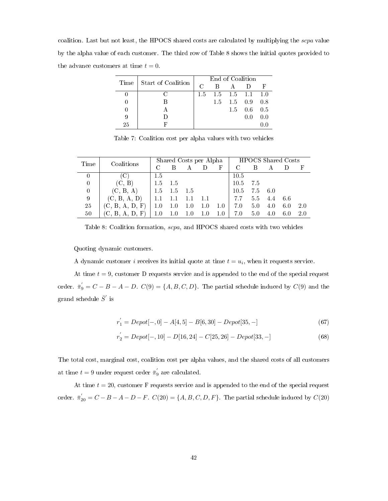coalition. Last but not least, the HPOCS shared costs are calculated by multiplying the scpa value by the alpha value of each customer. The third row of Table [8](#page-50-1) shows the initial quotes provided to the advance customers at time  $t = 0$ .

<span id="page-50-0"></span>

|      | Start of Coalition | End of Coalition |                         |                   |       |                 |  |  |
|------|--------------------|------------------|-------------------------|-------------------|-------|-----------------|--|--|
| Time |                    | $\cap$           | R                       |                   |       | Ε               |  |  |
|      |                    | $1.5^{\circ}$    | $1.5$ $1.5$ $1.1$ $1.0$ |                   |       |                 |  |  |
|      |                    |                  |                         | $1.5$ $1.5$ $0.9$ |       | 0.8             |  |  |
|      |                    |                  |                         | 1.5               |       | $0.6 \quad 0.5$ |  |  |
| 9    |                    |                  |                         |                   | (0.0) | 0.0             |  |  |
| 25   |                    |                  |                         |                   |       |                 |  |  |

Table 7: Coalition cost per alpha values with two vehicles

| Time           | Coalitions      |           |       |       | Shared Costs per Alpha |         |      | <b>HPOCS</b> Shared Costs |         |     |     |  |
|----------------|-----------------|-----------|-------|-------|------------------------|---------|------|---------------------------|---------|-----|-----|--|
|                |                 |           |       |       |                        | F       |      |                           |         |     |     |  |
| 0              |                 | 1.5       |       |       |                        |         | 10.5 |                           |         |     |     |  |
| $\overline{0}$ | (C, B)          | 1.5       | - 1.5 |       |                        |         | 10.5 | - 7.5                     |         |     |     |  |
| $\overline{0}$ | (C, B, A)       | $\pm 1.5$ | 1.5   | - 1.5 |                        |         | 10.5 | 7.5 6.0                   |         |     |     |  |
| 9              | (C, B, A, D)    | 1.1       | 1.1   |       | 1.1                    |         | 7.7  | 5.5                       | 4.4 6.6 |     |     |  |
| 25             | (C, B, A, D, F) | 1.0       | 1.0   | 1.0   | 1.0                    | 1.0     | 7.0  | 5.0                       | 4.0     | 6.0 | 2.0 |  |
| 50             | (C, B, A, D, F) | 1.0       | 1.0   | 1.0   | 1.0                    | $1.0\,$ | 7.0  | 5.0                       | 4.0     | 6.0 | 2.0 |  |

<span id="page-50-1"></span>Table 8: Coalition formation, scpa, and HPOCS shared costs with two vehicles

Quoting dynamic customers.

A dynamic customer *i* receives its initial quote at time  $t = u_i$ , when it requests service.

At time  $t = 9$ , customer D requests service and is appended to the end of the special request order.  $\bar{\pi}'_9 = C - B - A - D$ .  $C(9) = \{A, B, C, D\}$ . The partial schedule induced by  $C(9)$  and the grand schedule  $\bar{S}^{'}$  is

$$
r_1^{'} = Depot[-,0] - A[4,5] - B[6,30] - Depot[35,-]
$$
\n(67)

$$
r_{2}^{'} = Depot[-,10] - D[16,24] - C[25,26] - Depot[33,-]
$$
\n(68)

The total cost, marginal cost, coalition cost per alpha values, and the shared costs of all customers at time  $t = 9$  under request order  $\bar{\pi}'_9$  are calculated.

At time  $t = 20$ , customer F requests service and is appended to the end of the special request order.  $\bar{\pi}_{20}' = C - B - A - D - F$ .  $C(20) = \{A, B, C, D, F\}$ . The partial schedule induced by  $C(20)$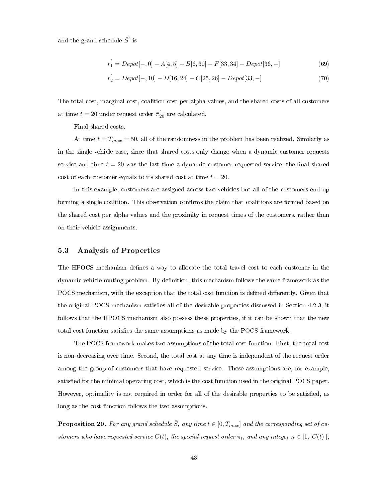and the grand schedule  $\bar{S}'$  is

$$
r_1^{'} = Depot[-,0] - A[4,5] - B[6,30] - F[33,34] - Depot[36,-]
$$
\n(69)

$$
r_2^{'} = Depot[-, 10] - D[16, 24] - C[25, 26] - Depot[33, -]
$$
\n(70)

The total cost, marginal cost, coalition cost per alpha values, and the shared costs of all customers at time  $t = 20$  under request order  $\bar{\pi}'_{20}$  are calculated.

Final shared costs.

At time  $t = T_{max} = 50$ , all of the randomness in the problem has been realized. Similarly as in the single-vehicle case, since that shared costs only change when a dynamic customer requests service and time  $t = 20$  was the last time a dynamic customer requested service, the final shared cost of each customer equals to its shared cost at time  $t = 20$ .

In this example, customers are assigned across two vehicles but all of the customers end up forming a single coalition. This observation confirms the claim that coalitions are formed based on the shared cost per alpha values and the proximity in request times of the customers, rather than on their vehicle assignments.

### <span id="page-51-0"></span>5.3 Analysis of Properties

The HPOCS mechanism defines a way to allocate the total travel cost to each customer in the dynamic vehicle routing problem. By denition, this mechanism follows the same framework as the POCS mechanism, with the exception that the total cost function is defined differently. Given that the original POCS mechanism satisfies all of the desirable properties discussed in Section [4.2.3,](#page-31-0) it follows that the HPOCS mechanism also possess these properties, if it can be shown that the new total cost function satisfies the same assumptions as made by the POCS framework.

The POCS framework makes two assumptions of the total cost function. First, the total cost is non-decreasing over time. Second, the total cost at any time is independent of the request order among the group of customers that have requested service. These assumptions are, for example, satisfied for the minimal operating cost, which is the cost function used in the original POCS paper. However, optimality is not required in order for all of the desirable properties to be satisfied, as long as the cost function follows the two assumptions.

**Proposition 20.** For any grand schedule  $\overline{S}$ , any time  $t \in [0, T_{max}]$  and the corresponding set of customers who have requested service  $C(t)$ , the special request order  $\bar{\pi}_t$ , and any integer  $n \in [1, |C(t)|]$ ,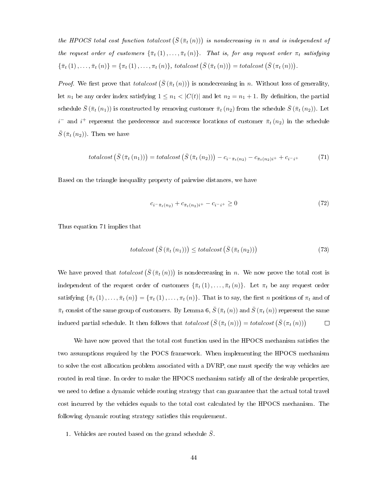the HPOCS total cost function totalcost  $(\bar{S}(\bar{\pi}_t(n)))$  is nondecreasing in n and is independent of the request order of customers  $\{\bar{\pi}_t(1), \ldots, \bar{\pi}_t(n)\}$ . That is, for any request order  $\pi_t$  satisfying  ${\{\bar{\pi}_t(1), \ldots, \bar{\pi}_t(n)\}} = {\{\pi_t(1), \ldots, \pi_t(n)\}},$  totalcost  $(\bar{S}(\bar{\pi}_t(n))) = \text{totalcost}(\bar{S}(\pi_t(n))).$ 

*Proof.* We first prove that totalcost  $(\bar{S}(\bar{\pi}_t(n)))$  is nondecreasing in n. Without loss of generality, let  $n_1$  be any order index satisfying  $1 \leq n_1 < |C(t)|$  and let  $n_2 = n_1 + 1$ . By definition, the partial schedule  $\bar{S}(\bar{\pi}_t(n_1))$  is constructed by removing customer  $\bar{\pi}_t(n_2)$  from the schedule  $\bar{S}(\bar{\pi}_t(n_2))$ . Let  $i^{-}$  and  $i^{+}$  represent the predecessor and successor locations of customer  $\bar{\pi}_{t}(n_{2})$  in the schedule  $\bar{S}(\bar{\pi}_t(n_2))$ . Then we have

<span id="page-52-0"></span>
$$
totalcost\left(\bar{S}\left(\bar{\pi}_{t}\left(n_{1}\right)\right)\right) = totalcost\left(\bar{S}\left(\bar{\pi}_{t}\left(n_{2}\right)\right)\right) - c_{i-\bar{\pi}_{t}\left(n_{2}\right)} - c_{\bar{\pi}_{t}\left(n_{2}\right)i^{+}} + c_{i-i^{+}}\tag{71}
$$

Based on the triangle inequality property of pairwise distances, we have

$$
c_{i^- \bar{\pi}_t(n_2)} + c_{\bar{\pi}_t(n_2)i^+} - c_{i^- i^+} \ge 0 \tag{72}
$$

Thus equation [71](#page-52-0) implies that

$$
totalcost\left(\bar{S}\left(\bar{\pi}_{t}\left(n_{1}\right)\right)\right) \leq totalcost\left(\bar{S}\left(\bar{\pi}_{t}\left(n_{2}\right)\right)\right) \tag{73}
$$

We have proved that  $totalcost\left(\bar{S}\left(\bar{\pi}_{t}(n)\right)\right)$  is nondecreasing in n. We now prove the total cost is independent of the request order of customers  $\{\bar{\pi}_t(1), \ldots, \bar{\pi}_t(n)\}$ . Let  $\pi_t$  be any request order satisfying  $\{\bar{\pi}_t(1), \ldots, \bar{\pi}_t(n)\} = \{\pi_t(1), \ldots, \pi_t(n)\}\$ . That is to say, the first n positions of  $\pi_t$  and of  $\bar{\pi}_t$  consist of the same group of customers. By Lemma [6,](#page-35-0)  $\bar{S}(\bar{\pi}_t(n))$  and  $\bar{S}(\pi_t(n))$  represent the same induced partial schedule. It then follows that  $totalcost\left(\bar{S}\left(\bar{\pi}_{t}\left(n\right)\right)\right) = totalcost\left(\bar{S}\left(\pi_{t}\left(n\right)\right)\right)$  $\Box$ 

We have now proved that the total cost function used in the HPOCS mechanism satisfies the two assumptions required by the POCS framework. When implementing the HPOCS mechanism to solve the cost allocation problem associated with a DVRP, one must specify the way vehicles are routed in real time. In order to make the HPOCS mechanism satisfy all of the desirable properties, we need to define a dynamic vehicle routing strategy that can guarantee that the actual total travel cost incurred by the vehicles equals to the total cost calculated by the HPOCS mechanism. The following dynamic routing strategy satisfies this requirement.

1. Vehicles are routed based on the grand schedule  $\bar{S}$ .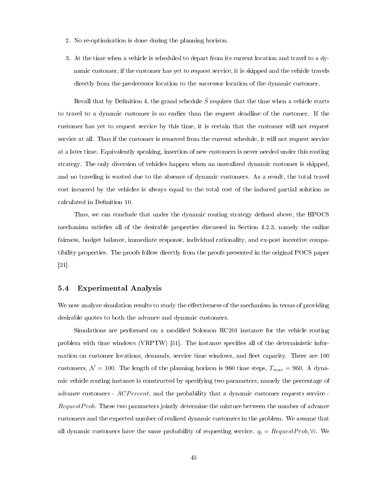- 2. No re-optimization is done during the planning horizon.
- 3. At the time when a vehicle is scheduled to depart from its current location and travel to a dynamic customer, if the customer has yet to request service, it is skipped and the vehicle travels directly from the predecessor location to the successor location of the dynamic customer.

Recall that by Definition [4,](#page-35-1) the grand schedule  $\bar{S}$  requires that the time when a vehicle starts to travel to a dynamic customer is no earlier than the request deadline of the customer. If the customer has yet to request service by this time, it is certain that the customer will not request service at all. Thus if the customer is removed from the current schedule, it will not request service at a later time. Equivalently speaking, insertion of new customers is never needed under this routing strategy. The only diversion of vehicles happen when an unrealized dynamic customer is skipped, and no traveling is wasted due to the absence of dynamic customers. As a result, the total travel cost incurred by the vehicles is always equal to the total cost of the induced partial solution as calculated in Definition [10.](#page-37-4)

Thus, we can conclude that under the dynamic routing strategy defined above, the HPOCS mechanism satisfies all of the desirable properties discussed in Section  $4.2.3$ , namely the online fairness, budget balance, immediate response, individual rationality, and ex-post incentive compatibility properties. The proofs follow directly from the proofs presented in the original POCS paper [\[21\]](#page-83-0).

### <span id="page-53-0"></span>5.4 Experimental Analysis

We now analyze simulation results to study the effectiveness of the mechanism in terms of providing desirable quotes to both the advance and dynamic customers.

Simulations are performed on a modified Solomon RC201 instance for the vehicle routing problem with time windows (VRPTW) [\[51\]](#page-86-0). The instance specifies all of the deterministic information on customer locations, demands, service time windows, and fleet capacity. There are 100 customers,  $\mathcal{N} = 100$ . The length of the planning horizon is 960 time steps,  $T_{max} = 960$ . A dynamic vehicle routing instance is constructed by specifying two parameters, namely the percentage of advance customers - ACP ercent, and the probability that a dynamic customer requests service - $RequestProb.$  These two parameters jointly determine the mixture between the number of advance customers and the expected number of realized dynamic customers in the problem. We assume that all dynamic customers have the same probability of requesting service.  $q_i = RequestProb, \forall i$ . We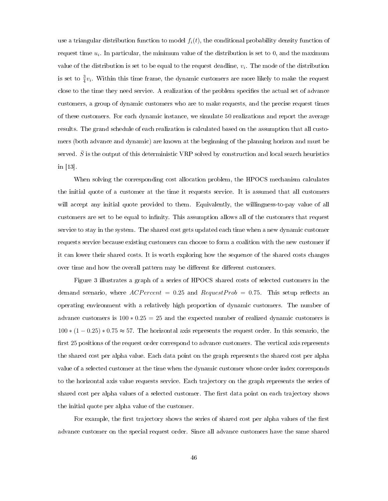use a triangular distribution function to model  $f_i(t)$ , the conditional probability density function of request time  $u_i$ . In particular, the minimum value of the distribution is set to 0, and the maximum value of the distribution is set to be equal to the request deadline,  $v_i$ . The mode of the distribution is set to  $\frac{3}{4}v_i$ . Within this time frame, the dynamic customers are more likely to make the request close to the time they need service. A realization of the problem specifies the actual set of advance customers, a group of dynamic customers who are to make requests, and the precise request times of these customers. For each dynamic instance, we simulate 50 realizations and report the average results. The grand schedule of each realization is calculated based on the assumption that all customers (both advance and dynamic) are known at the beginning of the planning horizon and must be served.  $\bar{S}$  is the output of this deterministic VRP solved by construction and local search heuristics in [\[13\]](#page-82-0).

When solving the corresponding cost allocation problem, the HPOCS mechanism calculates the initial quote of a customer at the time it requests service. It is assumed that all customers will accept any initial quote provided to them. Equivalently, the willingness-to-pay value of all customers are set to be equal to infinity. This assumption allows all of the customers that request service to stay in the system. The shared cost gets updated each time when a new dynamic customer requests service because existing customers can choose to form a coalition with the new customer if it can lower their shared costs. It is worth exploring how the sequence of the shared costs changes over time and how the overall pattern may be different for different customers.

Figure [3](#page-55-0) illustrates a graph of a series of HPOCS shared costs of selected customers in the demand scenario, where  $ACPercent = 0.25$  and  $RequestProb = 0.75$ . This setup reflects an operating environment with a relatively high proportion of dynamic customers. The number of advance customers is  $100 * 0.25 = 25$  and the expected number of realized dynamic customers is 100 ∗ (1 − 0.25) ∗ 0.75 ≈ 57. The horizontal axis represents the request order. In this scenario, the first 25 positions of the request order correspond to advance customers. The vertical axis represents the shared cost per alpha value. Each data point on the graph represents the shared cost per alpha value of a selected customer at the time when the dynamic customer whose order index corresponds to the horizontal axis value requests service. Each trajectory on the graph represents the series of shared cost per alpha values of a selected customer. The first data point on each trajectory shows the initial quote per alpha value of the customer.

For example, the first trajectory shows the series of shared cost per alpha values of the first advance customer on the special request order. Since all advance customers have the same shared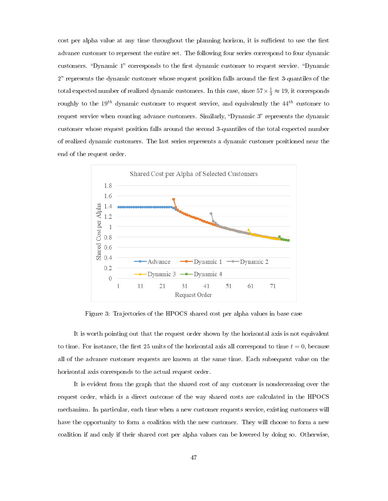cost per alpha value at any time throughout the planning horizon, it is sufficient to use the first advance customer to represent the entire set. The following four series correspond to four dynamic customers. "Dynamic 1" corresponds to the first dynamic customer to request service. "Dynamic 2" represents the dynamic customer whose request position falls around the first 3-quantiles of the total expected number of realized dynamic customers. In this case, since  $57 \times \frac{1}{3} \approx 19$ , it corresponds roughly to the  $19^{th}$  dynamic customer to request service, and equivalently the  $44^{th}$  customer to request service when counting advance customers. Similarly, "Dynamic 3" represents the dynamic customer whose request position falls around the second 3-quantiles of the total expected number of realized dynamic customers. The last series represents a dynamic customer positioned near the end of the request order.



<span id="page-55-0"></span>Figure 3: Trajectories of the HPOCS shared cost per alpha values in base case

It is worth pointing out that the request order shown by the horizontal axis is not equivalent to time. For instance, the first 25 units of the horizontal axis all correspond to time  $t = 0$ , because all of the advance customer requests are known at the same time. Each subsequent value on the horizontal axis corresponds to the actual request order.

It is evident from the graph that the shared cost of any customer is nondecreasing over the request order, which is a direct outcome of the way shared costs are calculated in the HPOCS mechanism. In particular, each time when a new customer requests service, existing customers will have the opportunity to form a coalition with the new customer. They will choose to form a new coalition if and only if their shared cost per alpha values can be lowered by doing so. Otherwise,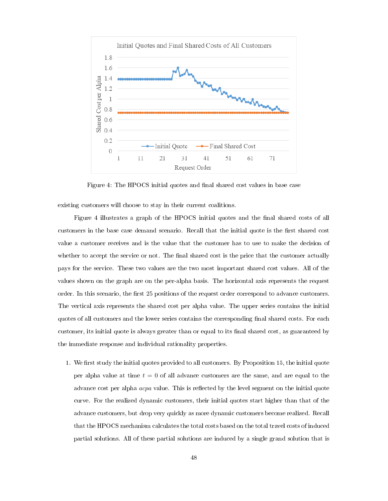

<span id="page-56-0"></span>Figure 4: The HPOCS initial quotes and final shared cost values in base case

existing customers will choose to stay in their current coalitions.

Figure [4](#page-56-0) illustrates a graph of the HPOCS initial quotes and the final shared costs of all customers in the base case demand scenario. Recall that the initial quote is the first shared cost value a customer receives and is the value that the customer has to use to make the decision of whether to accept the service or not. The final shared cost is the price that the customer actually pays for the service. These two values are the two most important shared cost values. All of the values shown on the graph are on the per-alpha basis. The horizontal axis represents the request order. In this scenario, the first 25 positions of the request order correspond to advance customers. The vertical axis represents the shared cost per alpha value. The upper series contains the initial quotes of all customers and the lower series contains the corresponding final shared costs. For each customer, its initial quote is always greater than or equal to its final shared cost, as guaranteed by the immediate response and individual rationality properties.

1. We first study the initial quotes provided to all customers. By Proposition [15,](#page-40-0) the initial quote per alpha value at time  $t = 0$  of all advance customers are the same, and are equal to the advance cost per alpha  $acpa$  value. This is reflected by the level segment on the initial quote curve. For the realized dynamic customers, their initial quotes start higher than that of the advance customers, but drop very quickly as more dynamic customers become realized. Recall that the HPOCS mechanism calculates the total costs based on the total travel costs of induced partial solutions. All of these partial solutions are induced by a single grand solution that is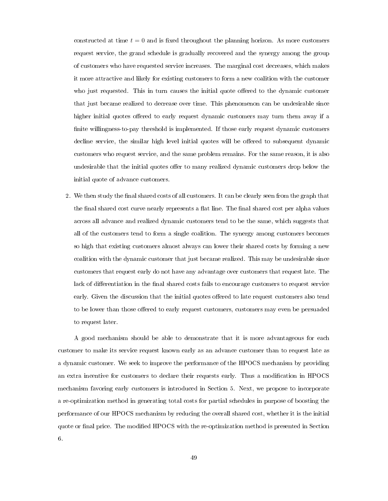constructed at time  $t = 0$  and is fixed throughout the planning horizon. As more customers request service, the grand schedule is gradually recovered and the synergy among the group of customers who have requested service increases. The marginal cost decreases, which makes it more attractive and likely for existing customers to form a new coalition with the customer who just requested. This in turn causes the initial quote offered to the dynamic customer that just became realized to decrease over time. This phenomenon can be undesirable since higher initial quotes offered to early request dynamic customers may turn them away if a finite willingness-to-pay threshold is implemented. If those early request dynamic customers decline service, the similar high level initial quotes will be offered to subsequent dynamic customers who request service, and the same problem remains. For the same reason, it is also undesirable that the initial quotes offer to many realized dynamic customers drop below the initial quote of advance customers.

2. We then study the final shared costs of all customers. It can be clearly seen from the graph that the final shared cost curve nearly represents a flat line. The final shared cost per alpha values across all advance and realized dynamic customers tend to be the same, which suggests that all of the customers tend to form a single coalition. The synergy among customers becomes so high that existing customers almost always can lower their shared costs by forming a new coalition with the dynamic customer that just became realized. This may be undesirable since customers that request early do not have any advantage over customers that request late. The lack of differentiation in the final shared costs fails to encourage customers to request service early. Given the discussion that the initial quotes offered to late request customers also tend to be lower than those offered to early request customers, customers may even be persuaded to request later.

A good mechanism should be able to demonstrate that it is more advantageous for each customer to make its service request known early as an advance customer than to request late as a dynamic customer. We seek to improve the performance of the HPOCS mechanism by providing an extra incentive for customers to declare their requests early. Thus a modification in HPOCS mechanism favoring early customers is introduced in Section 5. Next, we propose to incorporate a re-optimization method in generating total costs for partial schedules in purpose of boosting the performance of our HPOCS mechanism by reducing the overall shared cost, whether it is the initial quote or final price. The modified HPOCS with the re-optimization method is presented in Section 6.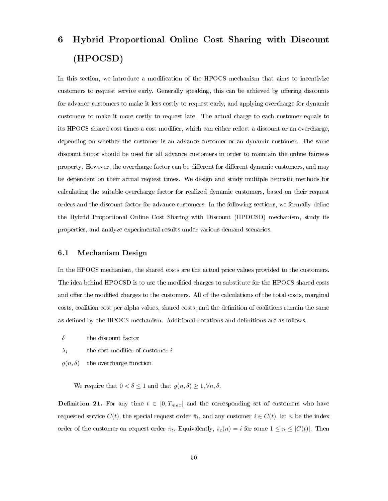# 6 Hybrid Proportional Online Cost Sharing with Discount (HPOCSD)

In this section, we introduce a modification of the HPOCS mechanism that aims to incentivize customers to request service early. Generally speaking, this can be achieved by offering discounts for advance customers to make it less costly to request early, and applying overcharge for dynamic customers to make it more costly to request late. The actual charge to each customer equals to its HPOCS shared cost times a cost modifier, which can either reflect a discount or an overcharge, depending on whether the customer is an advance customer or an dynamic customer. The same discount factor should be used for all advance customers in order to maintain the online fairness property. However, the overcharge factor can be different for different dynamic customers, and may be dependent on their actual request times. We design and study multiple heuristic methods for calculating the suitable overcharge factor for realized dynamic customers, based on their request orders and the discount factor for advance customers. In the following sections, we formally dene the Hybrid Proportional Online Cost Sharing with Discount (HPOCSD) mechanism, study its properties, and analyze experimental results under various demand scenarios.

## 6.1 Mechanism Design

In the HPOCS mechanism, the shared costs are the actual price values provided to the customers. The idea behind HPOCSD is to use the modified charges to substitute for the HPOCS shared costs and offer the modified charges to the customers. All of the calculations of the total costs, marginal costs, coalition cost per alpha values, shared costs, and the denition of coalitions remain the same as defined by the HPOCS mechanism. Additional notations and definitions are as follows.

<span id="page-58-0"></span> $\delta$  the discount factor

 $\lambda_i$  the cost modifier of customer *i* 

 $g(n, \delta)$  the overcharge function

We require that  $0 < \delta \leq 1$  and that  $g(n, \delta) \geq 1, \forall n, \delta$ .

**Definition 21.** For any time  $t \in [0, T_{max}]$  and the corresponding set of customers who have requested service  $C(t)$ , the special request order  $\bar{\pi}_t$ , and any customer  $i \in C(t)$ , let n be the index order of the customer on request order  $\bar{\pi}_t$ . Equivalently,  $\bar{\pi}_t(n) = i$  for some  $1 \leq n \leq |C(t)|$ . Then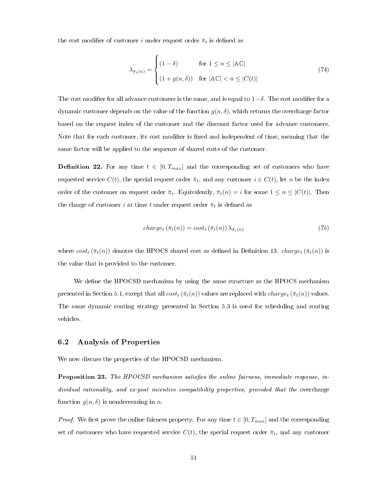the cost modifier of customer i under request order  $\bar{\pi}_t$  is defined as

$$
\lambda_{\bar{\pi}_t(n)} = \begin{cases}\n(1-\delta) & \text{for } 1 \le n \le |\mathbb{AC}| \\
(1+g(n,\delta)) & \text{for } |\mathbb{AC}| < n \le |C(t)|\n\end{cases} \tag{74}
$$

The cost modifier for all advance customers is the same, and is equal to  $1-\delta$ . The cost modifier for a dynamic customer depends on the value of the function  $g(n, \delta)$ , which returns the overcharge factor based on the request index of the customer and the discount factor used for advance customers. Note that for each customer, its cost modifier is fixed and independent of time, meaning that the same factor will be applied to the sequence of shared costs of the customer.

**Definition 22.** For any time  $t \in [0, T_{max}]$  and the corresponding set of customers who have requested service  $C(t)$ , the special request order  $\bar{\pi}_t$ , and any customer  $i \in C(t)$ , let n be the index order of the customer on request order  $\bar{\pi}_t$ . Equivalently,  $\bar{\pi}_t(n) = i$  for some  $1 \leq n \leq |C(t)|$ . Then the charge of customer i at time t under request order  $\bar{\pi}_t$  is defined as

$$
charge_t\left(\bar{\pi}_t(n)\right) = cost_t\left(\bar{\pi}_t(n)\right)\lambda_{\bar{\pi}_t(n)}\tag{75}
$$

where  $cost_t(\bar{\pi}_t(n))$  denotes the HPOCS shared cost as defined in Definition [13.](#page-39-1) charget  $(\bar{\pi}_t(n))$  is the value that is provided to the customer.

We define the HPOCSD mechanism by using the same structure as the HPOCS mechanism presented in Section [5.1,](#page-33-0) except that all  $cost_t(\bar{\pi}_t(n))$  values are replaced with  $charge_t(\bar{\pi}_t(n))$  values. The same dynamic routing strategy presented in Section [5.3](#page-51-0) is used for scheduling and routing vehicles.

#### <span id="page-59-0"></span>6.2 Analysis of Properties

We now discuss the properties of the HPOCSD mechanism.

**Proposition 23.** The HPOCSD mechanism satisfies the online fairness, immediate response, individual rationality, and ex-post incentive compatibility properties, provided that the overcharge function  $g(n, \delta)$  is nondecreasing in n.

*Proof.* We first prove the online fairness property. For any time  $t \in [0, T_{max}]$  and the corresponding set of customers who have requested service  $C(t)$ , the special request order  $\bar{\pi}_t$ , and any customer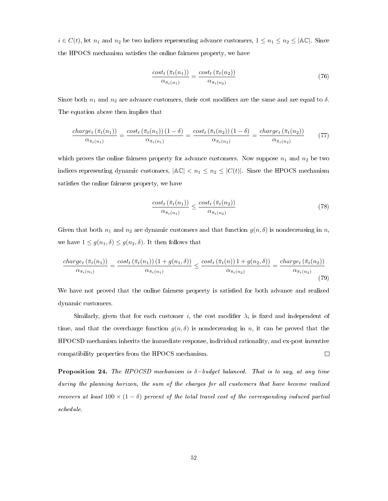$i \in C(t)$ , let  $n_1$  and  $n_2$  be two indices representing advance customers,  $1 \leq n_1 \leq n_2 \leq |\mathbb{AC}|$ . Since the HPOCS mechanism satisfies the online fairness property, we have

$$
\frac{\text{cost}_t\left(\bar{\pi}_t(n_1)\right)}{\alpha_{\bar{\pi}_t(n_1)}} = \frac{\text{cost}_t\left(\bar{\pi}_t(n_2)\right)}{\alpha_{\bar{\pi}_t(n_2)}}\tag{76}
$$

Since both  $n_1$  and  $n_2$  are advance customers, their cost modifiers are the same and are equal to  $\delta$ . The equation above then implies that

$$
\frac{charge_t\left(\bar{\pi}_t(n_1)\right)}{\alpha_{\bar{\pi}_t(n_1)}} = \frac{cost_t\left(\bar{\pi}_t(n_1)\right)\left(1-\delta\right)}{\alpha_{\bar{\pi}_t(n_1)}} = \frac{cost_t\left(\bar{\pi}_t(n_2)\right)\left(1-\delta\right)}{\alpha_{\bar{\pi}_t(n_2)}} = \frac{charge_t\left(\bar{\pi}_t(n_2)\right)}{\alpha_{\bar{\pi}_t(n_2)}}\tag{77}
$$

which proves the online fairness property for advance customers. Now suppose  $n_1$  and  $n_2$  be two indices representing dynamic customers,  $|\mathbb{AC}| < n_1 \le n_2 \le |C(t)|$ . Since the HPOCS mechanism satisfies the online fairness property, we have

$$
\frac{\text{cost}_t\left(\bar{\pi}_t(n_1)\right)}{\alpha_{\bar{\pi}_t(n_1)}} \le \frac{\text{cost}_t\left(\bar{\pi}_t(n_2)\right)}{\alpha_{\bar{\pi}_t(n_2)}}\tag{78}
$$

Given that both  $n_1$  and  $n_2$  are dynamic customers and that function  $g(n, \delta)$  is nondecreasing in n, we have  $1 \leq g(n_1, \delta) \leq g(n_2, \delta)$ . It then follows that

$$
\frac{charge_t\left(\bar{\pi}_t(n_1)\right)}{\alpha_{\bar{\pi}_t(n_1)}} = \frac{cost_t\left(\bar{\pi}_t(n_1)\right)\left(1 + g(n_1, \delta)\right)}{\alpha_{\bar{\pi}_t(n_1)}} \le \frac{cost_t\left(\bar{\pi}_t(n)\right)\left(1 + g(n_2, \delta)\right)}{\alpha_{\bar{\pi}_t(n_2)}} = \frac{charge_t\left(\bar{\pi}_t(n_2)\right)}{\alpha_{\bar{\pi}_t(n_2)}}\tag{79}
$$

We have not proved that the online fairness property is satisfied for both advance and realized dynamic customers.

Similarly, given that for each customer  $i$ , the cost modifier  $\lambda_i$  is fixed and independent of time, and that the overcharge function  $g(n, \delta)$  is nondecreasing in n, it can be proved that the HPOCSD mechanism inherits the immediate response, individual rationality, and ex-post incentive compatibility properties from the HPOCS mechanism.  $\Box$ 

<span id="page-60-0"></span>**Proposition 24.** The HPOCSD mechanism is  $\delta$ -budget balanced. That is to say, at any time during the planning horizon, the sum of the charges for all customers that have become realized recovers at least  $100 \times (1 - \delta)$  percent of the total travel cost of the corresponding induced partial schedule.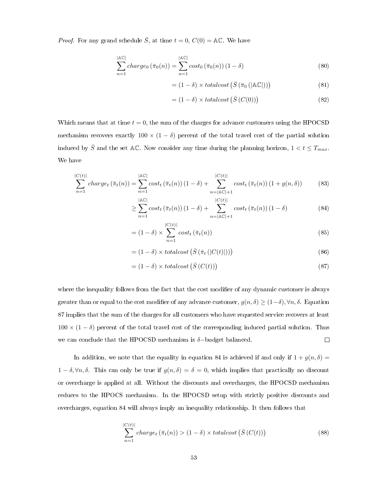*Proof.* For any grand schedule  $\overline{S}$ , at time  $t = 0$ ,  $C(0) = AC$ . We have

$$
\sum_{n=1}^{\lvert \mathbb{A}\mathbb{C}\rvert} charge_0\left(\bar{\pi}_0(n)\right) = \sum_{n=1}^{\lvert \mathbb{A}\mathbb{C}\rvert} cost_0\left(\bar{\pi}_0(n)\right)\left(1-\delta\right) \tag{80}
$$

$$
= (1 - \delta) \times total cost \left( \bar{S} \left( \bar{\pi}_0 \left( |\mathbb{AC}| \right) \right) \right) \tag{81}
$$

<span id="page-61-1"></span>
$$
= (1 - \delta) \times totalcost\left(\bar{S}\left(C(0)\right)\right) \tag{82}
$$

Which means that at time  $t = 0$ , the sum of the charges for advance customers using the HPOCSD mechanism recovers exactly  $100 \times (1 - \delta)$  percent of the total travel cost of the partial solution induced by  $\bar{S}$  and the set AC. Now consider any time during the planning horizon,  $1 < t \leq T_{max}$ . We have

$$
\sum_{n=1}^{|C(t)|} charge_t\left(\bar{\pi}_t(n)\right) = \sum_{n=1}^{|AC|} cost_t\left(\bar{\pi}_t(n)\right)\left(1-\delta\right) + \sum_{n=|AC|+1}^{|C(t)|} cost_t\left(\bar{\pi}_t(n)\right)\left(1+g(n,\delta)\right) \tag{83}
$$

$$
\geq \sum_{n=1}^{\left|\mathbb{A}\mathbb{C}\right|} cost_t\left(\bar{\pi}_t(n)\right)\left(1-\delta\right) + \sum_{n=\left|\mathbb{A}\mathbb{C}\right|+1}^{\left|C(t)\right|} cost_t\left(\bar{\pi}_t(n)\right)\left(1-\delta\right) \tag{84}
$$

$$
= (1 - \delta) \times \sum_{n=1}^{|C(t)|} cost_t(\bar{\pi}_t(n))
$$
\n(85)

$$
= (1 - \delta) \times total cost \left( \bar{S} \left( \bar{\pi}_t \left( |C(t)| \right) \right) \right) \tag{86}
$$

<span id="page-61-0"></span>
$$
= (1 - \delta) \times total cost\left(\bar{S}\left(C(t)\right)\right) \tag{87}
$$

where the inequality follows from the fact that the cost modifier of any dynamic customer is always greater than or equal to the cost modifier of any advance customer,  $g(n, \delta) \geq (1-\delta)$ ,  $\forall n, \delta$ . Equation [87](#page-61-0) implies that the sum of the charges for all customers who have requested service recovers at least  $100 \times (1 - \delta)$  percent of the total travel cost of the corresponding induced partial solution. Thus we can conclude that the HPOCSD mechanism is  $\delta$ -budget balanced.  $\Box$ 

In addition, we note that the equality in equation [84](#page-61-1) is achieved if and only if  $1 + g(n, \delta) =$  $1 - \delta, \forall n, \delta$ . This can only be true if  $g(n, \delta) = \delta = 0$ , which implies that practically no discount or overcharge is applied at all. Without the discounts and overcharges, the HPOCSD mechanism reduces to the HPOCS mechanism. In the HPOCSD setup with strictly positive discounts and overcharges, equation [84](#page-61-1) will always imply an inequality relationship. It then follows that

$$
\sum_{n=1}^{|C(t)|} charge_t\left(\bar{\pi}_t(n)\right) > (1-\delta) \times totalcost\left(\bar{S}\left(C(t)\right)\right) \tag{88}
$$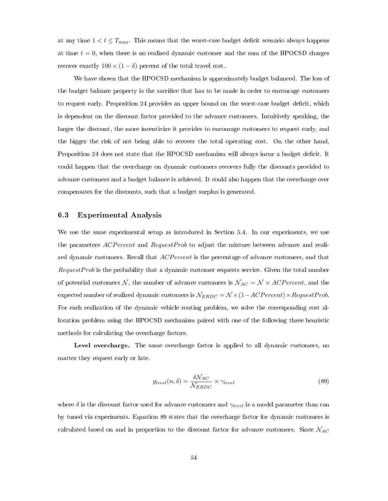at any time  $1 < t \leq T_{max}$ . This means that the worst-case budget deficit scenario always happens at time  $t = 0$ , when there is no realized dynamic customer and the sum of the HPOCSD charges recover exactly  $100 \times (1-\delta)$  percent of the total travel cost.

We have shown that the HPOCSD mechanism is approximately budget balanced. The loss of the budget balance property is the sacrifice that has to be made in order to encourage customers to request early. Proposition [24](#page-60-0) provides an upper bound on the worst-case budget deficit, which is dependent on the discount factor provided to the advance customers. Intuitively speaking, the larger the discount, the more incentivize it provides to encourage customers to request early, and the bigger the risk of not being able to recover the total operating cost. On the other hand, Proposition [24](#page-60-0) does not state that the HPOCSD mechanism will always incur a budget deficit. It could happen that the overcharge on dynamic customers recovers fully the discounts provided to advance customers and a budget balance is achieved. It could also happen that the overcharge over compensates for the discounts, such that a budget surplus is generated.

## 6.3 Experimental Analysis

We use the same experimental setup as introduced in Section [5.4.](#page-53-0) In our experiments, we use the parameters  $\Lambda CPercent$  and  $RequestProb$  to adjust the mixture between advance and realized dynamic customers. Recall that ACP ercent is the percentage of advance customers, and that RequestProb is the probability that a dynamic customer requests service. Given the total number of potential customers N, the number of advance customers is  $\mathcal{N}_{AC} = \mathcal{N} \times \text{ACPercent}$ , and the expected number of realized dynamic customers is  $\mathcal{N}_{ERDC} = \mathcal{N} \times (1 - ACPercent) \times RequestProb$ . For each realization of the dynamic vehicle routing problem, we solve the corresponding cost allocation problem using the HPOCSD mechanism paired with one of the following three heuristic methods for calculating the overcharge factors.

Level overcharge. The same overcharge factor is applied to all dynamic customers, no matter they request early or late.

<span id="page-62-0"></span>
$$
g_{level}(n,\delta) = \frac{\delta \mathcal{N}_{AC}}{\mathcal{N}_{ERDC}} \times \gamma_{level}
$$
\n(89)

where  $\delta$  is the discount factor used for advance customers and  $\gamma_{level}$  is a model parameter than can by tuned via experiments. Equation [89](#page-62-0) states that the overcharge factor for dynamic customers is calculated based on and in proportion to the discount factor for advance customers. Since  $\mathcal{N}_{AC}$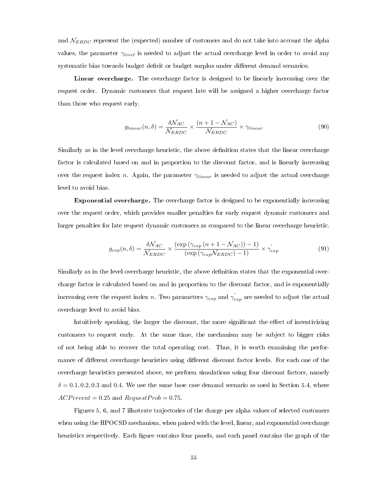and  $N_{ERDC}$  represent the (expected) number of customers and do not take into account the alpha values, the parameter  $\gamma_{level}$  is needed to adjust the actual overcharge level in order to avoid any systematic bias towards budget deficit or budget surplus under different demand scenarios.

Linear overcharge. The overcharge factor is designed to be linearly increasing over the request order. Dynamic customers that request late will be assigned a higher overcharge factor than those who request early.

$$
g_{linear}(n,\delta) = \frac{\delta \mathcal{N}_{AC}}{\mathcal{N}_{ERDC}} \times \frac{(n+1-\mathcal{N}_{AC})}{\mathcal{N}_{ERDC}} \times \gamma_{linear}
$$
(90)

Similarly as in the level overcharge heuristic, the above denition states that the linear overcharge factor is calculated based on and in proportion to the discount factor, and is linearly increasing over the request index n. Again, the parameter  $\gamma_{linear}$  is needed to adjust the actual overcharge level to avoid bias.

Exponential overcharge. The overcharge factor is designed to be exponentially increasing over the request order, which provides smaller penalties for early request dynamic customers and larger penalties for late request dynamic customers as compared to the linear overcharge heuristic.

$$
g_{exp}(n,\delta) = \frac{\delta N_{AC}}{N_{ERDC}} \times \frac{(\exp\left(\gamma_{exp}\left(n+1-\mathcal{N}_{AC}\right)\right)-1)}{(\exp\left(\gamma_{exp}\mathcal{N}_{ERDC}\right)-1)} \times \gamma_{exp}' \tag{91}
$$

Similarly as in the level overcharge heuristic, the above definition states that the exponential overcharge factor is calculated based on and in proportion to the discount factor, and is exponentially increasing over the request index  $n$ . Two parameters  $\gamma_{exp}$  and  $\gamma^{'}_{exp}$  are needed to adjust the actual overcharge level to avoid bias.

Intuitively speaking, the larger the discount, the more significant the effect of incentivizing customers to request early. At the same time, the mechanism may be subject to bigger risks of not being able to recover the total operating cost. Thus, it is worth examining the performance of different overcharge heuristics using different discount factor levels. For each one of the overcharge heuristics presented above, we perform simulations using four discount factors, namely  $\delta = 0.1, 0.2, 0.3$  and 0.4. We use the same base case demand scenario as used in Section [5.4,](#page-53-0) where  $ACPercent = 0.25$  and  $RequestProb = 0.75$ .

Figures [5,](#page-64-0) [6,](#page-65-0) and [7](#page-66-0) illustrate trajectories of the charge per alpha values of selected customers when using the HPOCSD mechanism, when paired with the level, linear, and exponential overcharge heuristics respectively. Each figure contains four panels, and each panel contains the graph of the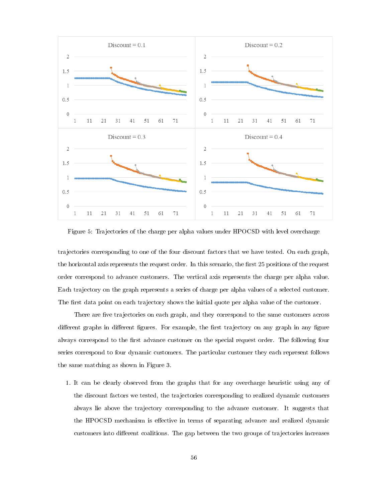

<span id="page-64-0"></span>Figure 5: Trajectories of the charge per alpha values under HPOCSD with level overcharge

trajectories corresponding to one of the four discount factors that we have tested. On each graph, the horizontal axis represents the request order. In this scenario, the first 25 positions of the request order correspond to advance customers. The vertical axis represents the charge per alpha value. Each trajectory on the graph represents a series of charge per alpha values of a selected customer. The first data point on each trajectory shows the initial quote per alpha value of the customer.

There are five trajectories on each graph, and they correspond to the same customers across different graphs in different figures. For example, the first trajectory on any graph in any figure always correspond to the first advance customer on the special request order. The following four series correspond to four dynamic customers. The particular customer they each represent follows the same matching as shown in Figure [3.](#page-55-0)

1. It can be clearly observed from the graphs that for any overcharge heuristic using any of the discount factors we tested, the trajectories corresponding to realized dynamic customers always lie above the trajectory corresponding to the advance customer. It suggests that the HPOCSD mechanism is effective in terms of separating advance and realized dynamic customers into different coalitions. The gap between the two groups of trajectories increases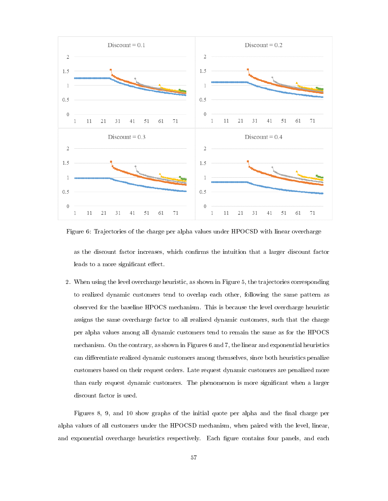

<span id="page-65-0"></span>Figure 6: Trajectories of the charge per alpha values under HPOCSD with linear overcharge

as the discount factor increases, which confirms the intuition that a larger discount factor leads to a more significant effect.

2. When using the level overcharge heuristic, as shown in Figure [5,](#page-64-0) the trajectories corresponding to realized dynamic customers tend to overlap each other, following the same pattern as observed for the baseline HPOCS mechanism. This is because the level overcharge heuristic assigns the same overcharge factor to all realized dynamic customers, such that the charge per alpha values among all dynamic customers tend to remain the same as for the HPOCS mechanism. On the contrary, as shown in Figures [6](#page-65-0) and [7,](#page-66-0) the linear and exponential heuristics can differentiate realized dynamic customers among themselves, since both heuristics penalize customers based on their request orders. Late request dynamic customers are penalized more than early request dynamic customers. The phenomenon is more signicant when a larger discount factor is used.

Figures [8,](#page-67-0) [9,](#page-68-0) and [10](#page-69-0) show graphs of the initial quote per alpha and the final charge per alpha values of all customers under the HPOCSD mechanism, when paired with the level, linear, and exponential overcharge heuristics respectively. Each figure contains four panels, and each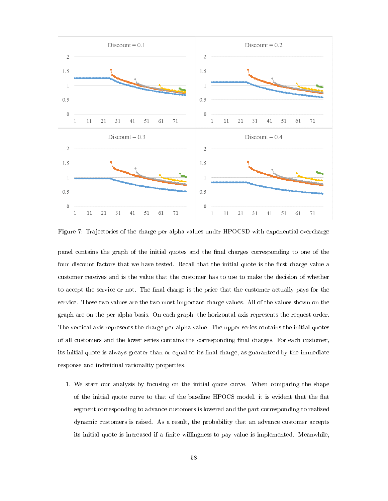

<span id="page-66-0"></span>Figure 7: Trajectories of the charge per alpha values under HPOCSD with exponential overcharge

panel contains the graph of the initial quotes and the nal charges corresponding to one of the four discount factors that we have tested. Recall that the initial quote is the first charge value a customer receives and is the value that the customer has to use to make the decision of whether to accept the service or not. The final charge is the price that the customer actually pays for the service. These two values are the two most important charge values. All of the values shown on the graph are on the per-alpha basis. On each graph, the horizontal axis represents the request order. The vertical axis represents the charge per alpha value. The upper series contains the initial quotes of all customers and the lower series contains the corresponding final charges. For each customer, its initial quote is always greater than or equal to its final charge, as guaranteed by the immediate response and individual rationality properties.

1. We start our analysis by focusing on the initial quote curve. When comparing the shape of the initial quote curve to that of the baseline HPOCS model, it is evident that the flat segment corresponding to advance customers is lowered and the part corresponding to realized dynamic customers is raised. As a result, the probability that an advance customer accepts its initial quote is increased if a finite willingness-to-pay value is implemented. Meanwhile,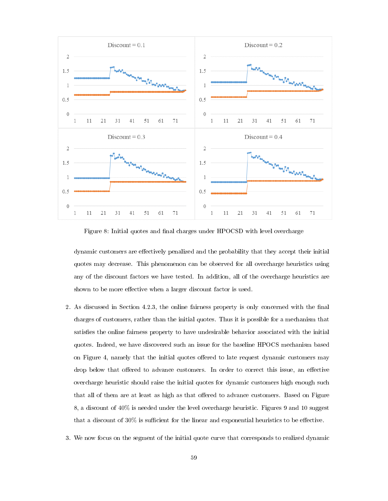

<span id="page-67-0"></span>Figure 8: Initial quotes and final charges under HPOCSD with level overcharge

dynamic customers are effectively penalized and the probability that they accept their initial quotes may decrease. This phenomenon can be observed for all overcharge heuristics using any of the discount factors we have tested. In addition, all of the overcharge heuristics are shown to be more effective when a larger discount factor is used.

- 2. As discussed in Section [4.2.3,](#page-31-0) the online fairness property is only concerned with the final charges of customers, rather than the initial quotes. Thus it is possible for a mechanism that satisfies the online fairness property to have undesirable behavior associated with the initial quotes. Indeed, we have discovered such an issue for the baseline HPOCS mechanism based on Figure [4,](#page-56-0) namely that the initial quotes offered to late request dynamic customers may drop below that offered to advance customers. In order to correct this issue, an effective overcharge heuristic should raise the initial quotes for dynamic customers high enough such that all of them are at least as high as that offered to advance customers. Based on Figure [8,](#page-67-0) a discount of  $40\%$  is needed under the level overcharge heuristic. Figures [9](#page-68-0) and [10](#page-69-0) suggest that a discount of  $30\%$  is sufficient for the linear and exponential heuristics to be effective.
- 3. We now focus on the segment of the initial quote curve that corresponds to realized dynamic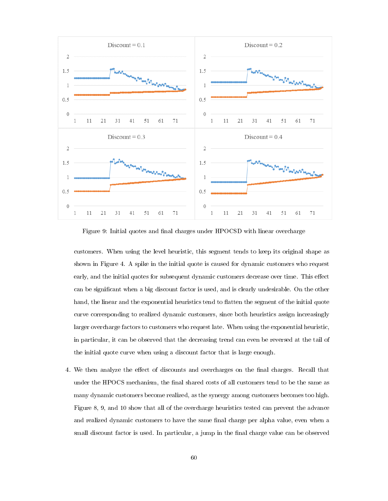

<span id="page-68-0"></span>Figure 9: Initial quotes and final charges under HPOCSD with linear overcharge

customers. When using the level heuristic, this segment tends to keep its original shape as shown in Figure [4.](#page-56-0) A spike in the initial quote is caused for dynamic customers who request early, and the initial quotes for subsequent dynamic customers decrease over time. This effect can be signicant when a big discount factor is used, and is clearly undesirable. On the other hand, the linear and the exponential heuristics tend to flatten the segment of the initial quote curve corresponding to realized dynamic customers, since both heuristics assign increasingly larger overcharge factors to customers who request late. When using the exponential heuristic, in particular, it can be observed that the decreasing trend can even be reversed at the tail of the initial quote curve when using a discount factor that is large enough.

4. We then analyze the effect of discounts and overcharges on the final charges. Recall that under the HPOCS mechanism, the final shared costs of all customers tend to be the same as many dynamic customers become realized, as the synergy among customers becomes too high. Figure [8,](#page-67-0) [9,](#page-68-0) and [10](#page-69-0) show that all of the overcharge heuristics tested can prevent the advance and realized dynamic customers to have the same final charge per alpha value, even when a small discount factor is used. In particular, a jump in the final charge value can be observed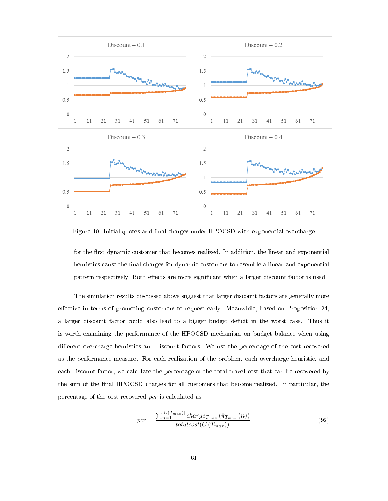

<span id="page-69-0"></span>Figure 10: Initial quotes and final charges under HPOCSD with exponential overcharge

for the first dynamic customer that becomes realized. In addition, the linear and exponential heuristics cause the final charges for dynamic customers to resemble a linear and exponential pattern respectively. Both effects are more significant when a larger discount factor is used.

The simulation results discussed above suggest that larger discount factors are generally more effective in terms of promoting customers to request early. Meanwhile, based on Proposition [24,](#page-60-0) a larger discount factor could also lead to a bigger budget deficit in the worst case. Thus it is worth examining the performance of the HPOCSD mechanism on budget balance when using different overcharge heuristics and discount factors. We use the percentage of the cost recovered as the performance measure. For each realization of the problem, each overcharge heuristic, and each discount factor, we calculate the percentage of the total travel cost that can be recovered by the sum of the nal HPOCSD charges for all customers that become realized. In particular, the percentage of the cost recovered pcr is calculated as

$$
pcr = \frac{\sum_{n=1}^{|C(T_{max})|} charge_{T_{max}}(\bar{\pi}_{T_{max}}(n))}{totalcost(C(T_{max}))}
$$
(92)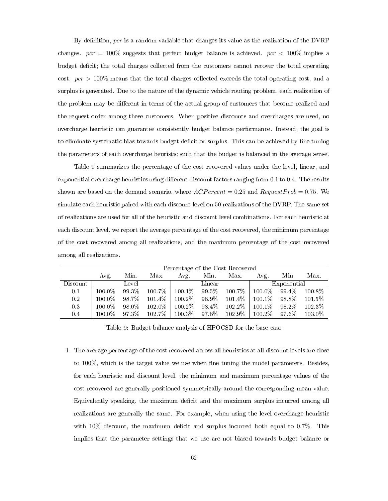By definition,  $pcr$  is a random variable that changes its value as the realization of the DVRP changes.  $pcr = 100\%$  suggests that perfect budget balance is achieved.  $pcr < 100\%$  implies a budget deficit; the total charges collected from the customers cannot recover the total operating cost.  $pcr > 100\%$  means that the total charges collected exceeds the total operating cost, and a surplus is generated. Due to the nature of the dynamic vehicle routing problem, each realization of the problem may be different in terms of the actual group of customers that become realized and the request order among these customers. When positive discounts and overcharges are used, no overcharge heuristic can guarantee consistently budget balance performance. Instead, the goal is to eliminate systematic bias towards budget deficit or surplus. This can be achieved by fine tuning the parameters of each overcharge heuristic such that the budget is balanced in the average sense.

Table [9](#page-58-0) summarizes the percentage of the cost recovered values under the level, linear, and exponential overcharge heuristics using different discount factors ranging from 0.1 to 0.4. The results shown are based on the demand scenario, where  $ACPercent = 0.25$  and  $RequestProb = 0.75$ . We simulate each heuristic paired with each discount level on 50 realizations of the DVRP. The same set of realizations are used for all of the heuristic and discount level combinations. For each heuristic at each discount level, we report the average percentage of the cost recovered, the minimum percentage of the cost recovered among all realizations, and the maximum percentage of the cost recovered among all realizations.

|          | Percentage of the Cost Recovered |       |           |           |        |           |           |             |        |  |  |
|----------|----------------------------------|-------|-----------|-----------|--------|-----------|-----------|-------------|--------|--|--|
|          | Avg.                             | Min.  | Max.      | Avg.      | Min.   | Max.      | Avg.      | Min.        | Max.   |  |  |
| Discount |                                  | Level |           |           | Linear |           |           | Exponential |        |  |  |
| 0.1      | $100.0\%$                        | 99.3% | 100.7%    | $100.1\%$ | 99.5%  | 100.7%    | $100.0\%$ | 99.4%       | 100.8% |  |  |
| 0.2      | $100.0\%$                        | 98.7% | $101.4\%$ | $100.2\%$ | 98.9%  | 101.4%    | $100.1\%$ | 98.8%       | 101.5% |  |  |
| 0.3      | $100.0\%$                        | 98.0% | $102.0\%$ | $100.2\%$ | 98.4%  | $102.2\%$ | $100.1\%$ | 98.2%       | 102.3% |  |  |
| 0.4      | $100.0\%$                        | 97.3% | 102.7%    | $100.3\%$ | 97.8%  | $102.9\%$ | $100.2\%$ | 97.6%       | 103.0% |  |  |

Table 9: Budget balance analysis of HPOCSD for the base case

1. The average percentage of the cost recovered across all heuristics at all discount levels are close to 100%, which is the target value we use when fine tuning the model parameters. Besides, for each heuristic and discount level, the minimum and maximum percentage values of the cost recovered are generally positioned symmetrically around the corresponding mean value. Equivalently speaking, the maximum deficit and the maximum surplus incurred among all realizations are generally the same. For example, when using the level overcharge heuristic with  $10\%$  discount, the maximum deficit and surplus incurred both equal to 0.7%. This implies that the parameter settings that we use are not biased towards budget balance or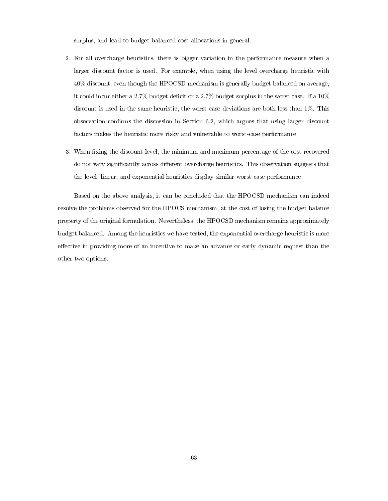surplus, and lead to budget balanced cost allocations in general.

- 2. For all overcharge heuristics, there is bigger variation in the performance measure when a larger discount factor is used. For example, when using the level overcharge heuristic with 40% discount, even though the HPOCSD mechanism is generally budget balanced on average, it could incur either a 2.7% budget deficit or a 2.7% budget surplus in the worst case. If a  $10\%$ discount is used in the same heuristic, the worst-case deviations are both less than 1%. This observation confirms the discussion in Section [6.2,](#page-59-0) which argues that using larger discount factors makes the heuristic more risky and vulnerable to worst-case performance.
- 3. When fixing the discount level, the minimum and maximum percentage of the cost recovered do not vary significantly across different overcharge heuristics. This observation suggests that the level, linear, and exponential heuristics display similar worst-case performance.

Based on the above analysis, it can be concluded that the HPOCSD mechanism can indeed resolve the problems observed for the HPOCS mechanism, at the cost of losing the budget balance property of the original formulation. Nevertheless, the HPOCSD mechanism remains approximately budget balanced. Among the heuristics we have tested, the exponential overcharge heuristic is more effective in providing more of an incentive to make an advance or early dynamic request than the other two options.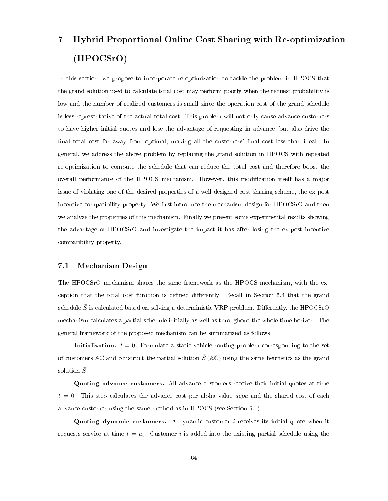# 7 Hybrid Proportional Online Cost Sharing with Re-optimization (HPOCSrO)

In this section, we propose to incorporate re-optimization to tackle the problem in HPOCS that the grand solution used to calculate total cost may perform poorly when the request probability is low and the number of realized customers is small since the operation cost of the grand schedule is less representative of the actual total cost. This problem will not only cause advance customers to have higher initial quotes and lose the advantage of requesting in advance, but also drive the final total cost far away from optimal, making all the customers' final cost less than ideal. In general, we address the above problem by replacing the grand solution in HPOCS with repeated re-optimization to compute the schedule that can reduce the total cost and therefore boost the overall performance of the HPOCS mechanism. However, this modification itself has a major issue of violating one of the desired properties of a well-designed cost sharing scheme, the ex-post incentive compatibility property. We first introduce the mechanism design for HPOCSrO and then we analyze the properties of this mechanism. Finally we present some experimental results showing the advantage of HPOCSrO and investigate the impact it has after losing the ex-post incentive compatibility property.

#### 7.1 Mechanism Design

The HPOCSrO mechanism shares the same framework as the HPOCS mechanism, with the ex-ception that the total cost function is defined differently. Recall in Section [5.4](#page-53-0) that the grand schedule  $\bar{S}$  is calculated based on solving a deterministic VRP problem. Differently, the HPOCSrO mechanism calculates a partial schedule initially as well as throughout the whole time horizon. The general framework of the proposed mechanism can be summarized as follows.

Initialization.  $t = 0$ . Formulate a static vehicle routing problem corresponding to the set of customers AC and construct the partial solution  $\bar{S}$  (AC) using the same heuristics as the grand solution  $\overline{S}$ .

Quoting advance customers. All advance customers receive their initial quotes at time  $t = 0$ . This step calculates the advance cost per alpha value *acpa* and the shared cost of each advance customer using the same method as in HPOCS (see Section [5.1\)](#page-33-0).

Quoting dynamic customers. A dynamic customer  $i$  receives its initial quote when it requests service at time  $t = u_i$ . Customer i is added into the existing partial schedule using the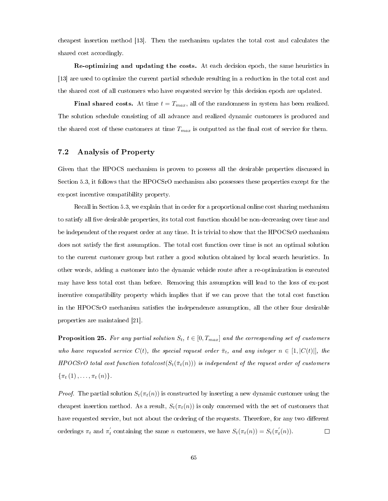cheapest insertion method [\[13\]](#page-82-0). Then the mechanism updates the total cost and calculates the shared cost accordingly.

Re-optimizing and updating the costs. At each decision epoch, the same heuristics in [\[13\]](#page-82-0) are used to optimize the current partial schedule resulting in a reduction in the total cost and the shared cost of all customers who have requested service by this decision epoch are updated.

**Final shared costs.** At time  $t = T_{max}$ , all of the randomness in system has been realized. The solution schedule consisting of all advance and realized dynamic customers is produced and the shared cost of these customers at time  $T_{max}$  is outputted as the final cost of service for them.

#### 7.2 Analysis of Property

Given that the HPOCS mechanism is proven to possess all the desirable properties discussed in Section [5.3,](#page-51-0) it follows that the HPOCSrO mechanism also possesses these properties except for the ex-post incentive compatibility property.

Recall in Section [5.3,](#page-51-0) we explain that in order for a proportional online cost sharing mechanism to satisfy all five desirable properties, its total cost function should be non-decreasing over time and be independent of the request order at any time. It is trivial to show that the HPOCSrO mechanism does not satisfy the first assumption. The total cost function over time is not an optimal solution to the current customer group but rather a good solution obtained by local search heuristics. In other words, adding a customer into the dynamic vehicle route after a re-optimization is executed may have less total cost than before. Removing this assumption will lead to the loss of ex-post incentive compatibility property which implies that if we can prove that the total cost function in the HPOCSrO mechanism satisfies the independence assumption, all the other four desirable properties are maintained [\[21\]](#page-83-0).

<span id="page-73-0"></span>**Proposition 25.** For any partial solution  $S_t$ ,  $t \in [0, T_{max}]$  and the corresponding set of customers who have requested service  $C(t)$ , the special request order  $\bar{\pi}_t$ , and any integer  $n \in [1, |C(t)|]$ , the HPOCSrO total cost function totalcost( $S_t(\bar{\pi}_t(n))$ ) is independent of the request order of customers  $\{\pi_t(1), \ldots, \pi_t(n)\}.$ 

*Proof.* The partial solution  $S_t(\pi_t(n))$  is constructed by inserting a new dynamic customer using the cheapest insertion method. As a result,  $S_t(\pi_t(n))$  is only concerned with the set of customers that have requested service, but not about the ordering of the requests. Therefore, for any two different orderings  $\pi_t$  and  $\pi'_t$  containing the same n customers, we have  $S_t(\pi_t(n)) = S_t(\pi'_t(n))$ .  $\Box$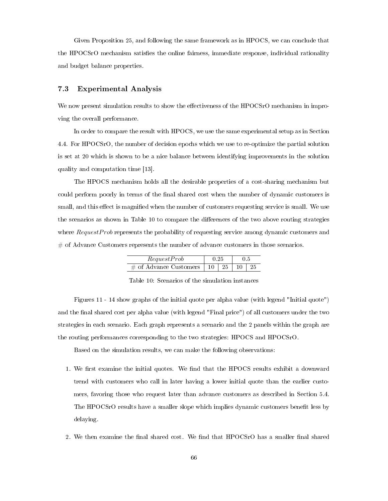Given Proposition [25,](#page-73-0) and following the same framework as in HPOCS, we can conclude that the HPOCSrO mechanism satisfies the online fairness, immediate response, individual rationality and budget balance properties.

#### 7.3 Experimental Analysis

We now present simulation results to show the effectiveness of the HPOCSrO mechanism in improving the overall performance.

In order to compare the result with HPOCS, we use the same experimental setup as in Section 4.4. For HPOCSrO, the number of decision epochs which we use to re-optimize the partial solution is set at 20 which is shown to be a nice balance between identifying improvements in the solution quality and computation time [\[13\]](#page-82-0).

The HPOCS mechanism holds all the desirable properties of a cost-sharing mechanism but could perform poorly in terms of the final shared cost when the number of dynamic customers is small, and this effect is magnified when the number of customers requesting service is small. We use the scenarios as shown in Table [10](#page-74-0) to compare the differences of the two above routing strategies where  $RequestProb$  represents the probability of requesting service among dynamic customers and  $#$  of Advance Customers represents the number of advance customers in those scenarios.

| RequestProb                                |  |  |  |  |
|--------------------------------------------|--|--|--|--|
| # of Advance Customers   10   25   10   25 |  |  |  |  |

<span id="page-74-0"></span>Table 10: Scenarios of the simulation instances

Figures [11](#page-75-0) - [14](#page-76-0) show graphs of the initial quote per alpha value (with legend "Initial quote") and the final shared cost per alpha value (with legend "Final price") of all customers under the two strategies in each scenario. Each graph represents a scenario and the 2 panels within the graph are the routing performances corresponding to the two strategies: HPOCS and HPOCSrO.

Based on the simulation results, we can make the following observations:

- 1. We first examine the initial quotes. We find that the HPOCS results exhibit a downward trend with customers who call in later having a lower initial quote than the earlier customers, favoring those who request later than advance customers as described in Section [5.4.](#page-53-0) The HPOCSrO results have a smaller slope which implies dynamic customers benefit less by delaying.
- 2. We then examine the final shared cost. We find that HPOCSrO has a smaller final shared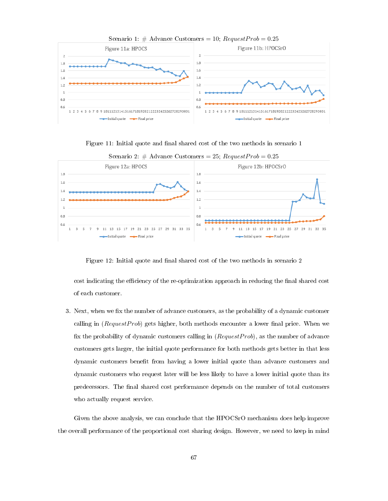

Figure 11: Initial quote and final shared cost of the two methods in scenario 1



<span id="page-75-0"></span>

Figure 12: Initial quote and final shared cost of the two methods in scenario 2

cost indicating the efficiency of the re-optimization approach in reducing the final shared cost of each customer.

3. Next, when we fix the number of advance customers, as the probability of a dynamic customer calling in  $(RequestProb)$  gets higher, both methods encounter a lower final price. When we fix the probability of dynamic customers calling in  $(RequestProb)$ , as the number of advance customers gets larger, the initial quote performance for both methods gets better in that less dynamic customers benefit from having a lower initial quote than advance customers and dynamic customers who request later will be less likely to have a lower initial quote than its predecessors. The final shared cost performance depends on the number of total customers who actually request service.

Given the above analysis, we can conclude that the HPOCSrO mechanism does help improve the overall performance of the proportional cost sharing design. However, we need to keep in mind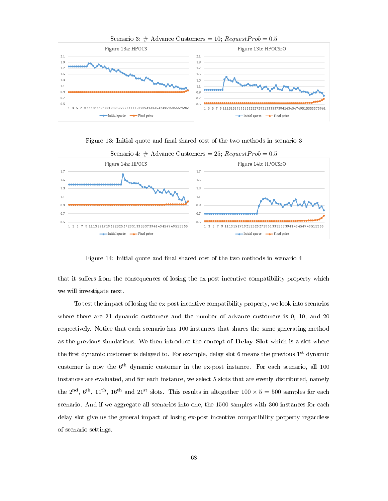

Scenario 3:  $#$  Advance Customers = 10;  $RequestProb = 0.5$ 

Figure 13: Initial quote and final shared cost of the two methods in scenario 3



<span id="page-76-0"></span>Figure 14: Initial quote and final shared cost of the two methods in scenario 4

that it suffers from the consequences of losing the ex-post incentive compatibility property which we will investigate next.

To test the impact of losing the ex-post incentive compatibility property, we look into scenarios where there are 21 dynamic customers and the number of advance customers is 0, 10, and 20 respectively. Notice that each scenario has 100 instances that shares the same generating method as the previous simulations. We then introduce the concept of Delay Slot which is a slot where the first dynamic customer is delayed to. For example, delay slot 6 means the previous  $1^{st}$  dynamic customer is now the  $6<sup>th</sup>$  dynamic customer in the ex-post instance. For each scenario, all 100 instances are evaluated, and for each instance, we select 5 slots that are evenly distributed, namely the 2<sup>nd</sup>, 6<sup>th</sup>, 11<sup>th</sup>, 16<sup>th</sup> and 21<sup>st</sup> slots. This results in altogether  $100 \times 5 = 500$  samples for each scenario. And if we aggregate all scenarios into one, the 1500 samples with 300 instances for each delay slot give us the general impact of losing ex-post incentive compatibility property regardless of scenario settings.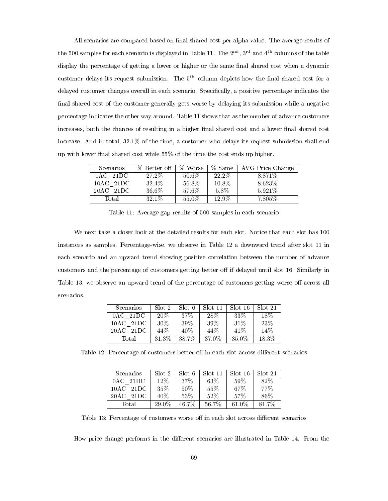All scenarios are compared based on final shared cost per alpha value. The average results of the 500 samples for each scenario is displayed in Table [11.](#page-77-0) The  $2<sup>nd</sup>$ ,  $3<sup>rd</sup>$  and  $4<sup>th</sup>$  columns of the table display the percentage of getting a lower or higher or the same final shared cost when a dynamic customer delays its request submission. The  $5<sup>th</sup>$  column depicts how the final shared cost for a delayed customer changes overall in each scenario. Specifically, a positive percentage indicates the final shared cost of the customer generally gets worse by delaying its submission while a negative percentage indicates the other way around. Table [11](#page-77-0) shows that as the number of advance customers increases, both the chances of resulting in a higher final shared cost and a lower final shared cost increase. And in total, 32.1% of the time, a customer who delays its request submission shall end up with lower final shared cost while  $55\%$  of the time the cost ends up higher.

| <b>Scenarios</b> | % Better off | % Worse | % Same | AVG Price Change |
|------------------|--------------|---------|--------|------------------|
| $0AC$ 21DC       | 27.2\%       | 50.6%   | 22.2\% | 8.871\%          |
| $10AC$ 21DC      | 32.4%        | 56.8%   | 10.8%  | 8.623%           |
| 20AC 21DC        | 36.6%        | 57.6%   | 5.8%   | 5.921\%          |
| Total            | 32.1\%       | 55.0%   | 12.9%  | 7.805\%          |

<span id="page-77-0"></span>Table 11: Average gap results of 500 samples in each scenario

We next take a closer look at the detailed results for each slot. Notice that each slot has 100 instances as samples. Percentage-wise, we observe in Table [12](#page-77-1) a downward trend after slot 11 in each scenario and an upward trend showing positive correlation between the number of advance customers and the percentage of customers getting better off if delayed until slot 16. Similarly in Table [13,](#page-77-2) we observe an upward trend of the percentage of customers getting worse off across all scenarios.

<span id="page-77-1"></span>

| Scenarios                  | Slot 2 | Slot 6 | Slot 11 | Slot 16  | Slot 21 |
|----------------------------|--------|--------|---------|----------|---------|
| $0AC$ 21DC                 | $20\%$ | $37\%$ | 28\%    | $33\%$   | $18\%$  |
| $-21\mathrm{DC}$<br>10AC   | $30\%$ | 39%    | 39%     | 31\%     | 23\%    |
| $-21\mathrm{DC}$<br>20 A C | 44%    | 40\%   | 44%     | 41\%     | 14\%    |
| Total                      | 31.3%  | 38.7%  | 37.0%   | $35.0\%$ | 18.3%   |

Table 12: Percentage of customers better off in each slot across different scenarios

<span id="page-77-2"></span>

| <b>Scenarios</b>         | Slot 2 | Slot 6 | Slot 11 | Slot 16  | Slot 21 |
|--------------------------|--------|--------|---------|----------|---------|
| $0AC$ 21DC               | $12\%$ | $37\%$ | $63\%$  | $59\%$   | 82\%    |
| $-21\mathrm{DC}$<br>10AC | $35\%$ | 50%    | 55%     | 67\%     | 77%     |
| 20AC<br>-21 D.C          | 40\%   | 53%    | 52%     | 57%      | 86%     |
| Total                    | 29.0%  | 46.7%  | 56.7%   | $61.0\%$ | 81.7%   |

Table 13: Percentage of customers worse off in each slot across different scenarios

How price change performs in the different scenarios are illustrated in Table [14.](#page-78-0) From the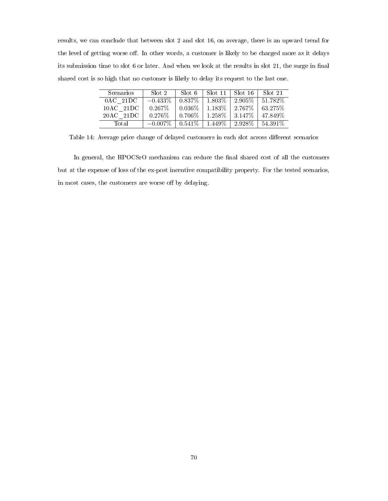results, we can conclude that between slot 2 and slot 16, on average, there is an upward trend for the level of getting worse off. In other words, a customer is likely to be charged more as it delays its submission time to slot 6 or later. And when we look at the results in slot 21, the surge in final shared cost is so high that no customer is likely to delay its request to the last one.

<span id="page-78-0"></span>

| Scenarios   | Slot 2     | Slot 6    | Slot 11 | Slot 16   | Slot 21  |
|-------------|------------|-----------|---------|-----------|----------|
| $0AC$ 21DC  | $-0.433\%$ | $0.837\%$ | 1.803\% | 2.905\%   | 51.782\% |
| $10AC$ 21DC | $0.267\%$  | $0.036\%$ | 1.183\% | 2.767\%   | 63.275\% |
| $20AC$ 21DC | 0.276%     | $0.706\%$ | 1.258%  | 3.147\%   | 47.849\% |
| Total       | $-0.007\%$ | $0.541\%$ | 1.449\% | $2.928\%$ | 54.391\% |

Table 14: Average price change of delayed customers in each slot across different scenarios

In general, the HPOCSrO mechanism can reduce the final shared cost of all the customers but at the expense of loss of the ex-post incentive compatibility property. For the tested scenarios, in most cases, the customers are worse off by delaying.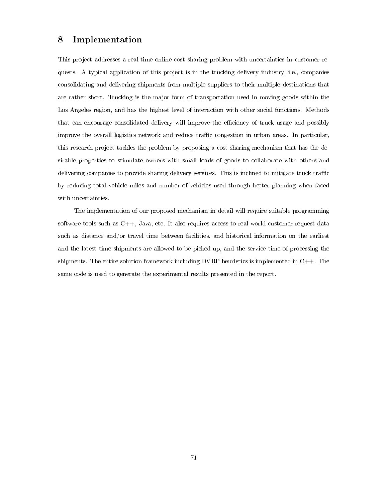## 8 Implementation

This project addresses a real-time online cost sharing problem with uncertainties in customer requests. A typical application of this project is in the trucking delivery industry, i.e., companies consolidating and delivering shipments from multiple suppliers to their multiple destinations that are rather short. Trucking is the major form of transportation used in moving goods within the Los Angeles region, and has the highest level of interaction with other social functions. Methods that can encourage consolidated delivery will improve the efficiency of truck usage and possibly improve the overall logistics network and reduce traffic congestion in urban areas. In particular, this research project tackles the problem by proposing a cost-sharing mechanism that has the desirable properties to stimulate owners with small loads of goods to collaborate with others and delivering companies to provide sharing delivery services. This is inclined to mitigate truck traffic by reducing total vehicle miles and number of vehicles used through better planning when faced with uncertainties.

The implementation of our proposed mechanism in detail will require suitable programming software tools such as  $C_{++}$ , Java, etc. It also requires access to real-world customer request data such as distance and/or travel time between facilities, and historical information on the earliest and the latest time shipments are allowed to be picked up, and the service time of processing the shipments. The entire solution framework including DVRP heuristics is implemented in  $C++$ . The same code is used to generate the experimental results presented in the report.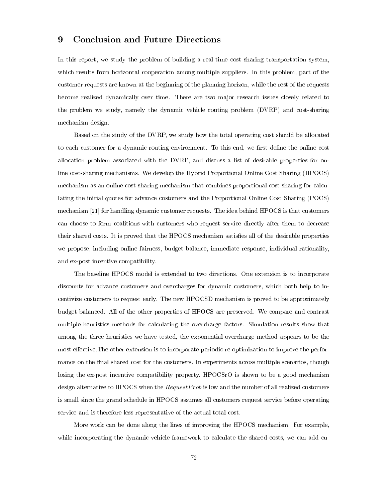### 9 Conclusion and Future Directions

In this report, we study the problem of building a real-time cost sharing transportation system, which results from horizontal cooperation among multiple suppliers. In this problem, part of the customer requests are known at the beginning of the planning horizon, while the rest of the requests become realized dynamically over time. There are two major research issues closely related to the problem we study, namely the dynamic vehicle routing problem (DVRP) and cost-sharing mechanism design.

Based on the study of the DVRP, we study how the total operating cost should be allocated to each customer for a dynamic routing environment. To this end, we first define the online cost allocation problem associated with the DVRP, and discuss a list of desirable properties for online cost-sharing mechanisms. We develop the Hybrid Proportional Online Cost Sharing (HPOCS) mechanism as an online cost-sharing mechanism that combines proportional cost sharing for calculating the initial quotes for advance customers and the Proportional Online Cost Sharing (POCS) mechanism [\[21\]](#page-83-0) for handling dynamic customer requests. The idea behind HPOCS is that customers can choose to form coalitions with customers who request service directly after them to decrease their shared costs. It is proved that the HPOCS mechanism satisfies all of the desirable properties we propose, including online fairness, budget balance, immediate response, individual rationality, and ex-post incentive compatibility.

The baseline HPOCS model is extended to two directions. One extension is to incorporate discounts for advance customers and overcharges for dynamic customers, which both help to incentivize customers to request early. The new HPOCSD mechanism is proved to be approximately budget balanced. All of the other properties of HPOCS are preserved. We compare and contrast multiple heuristics methods for calculating the overcharge factors. Simulation results show that among the three heuristics we have tested, the exponential overcharge method appears to be the most effective. The other extension is to incorporate periodic re-optimization to improve the performance on the final shared cost for the customers. In experiments across multiple scenarios, though losing the ex-post incentive compatibility property, HPOCSrO is shown to be a good mechanism design alternative to HPOCS when the  $RequestProb$  is low and the number of all realized customers is small since the grand schedule in HPOCS assumes all customers request service before operating service and is therefore less representative of the actual total cost.

More work can be done along the lines of improving the HPOCS mechanism. For example, while incorporating the dynamic vehicle framework to calculate the shared costs, we can add cu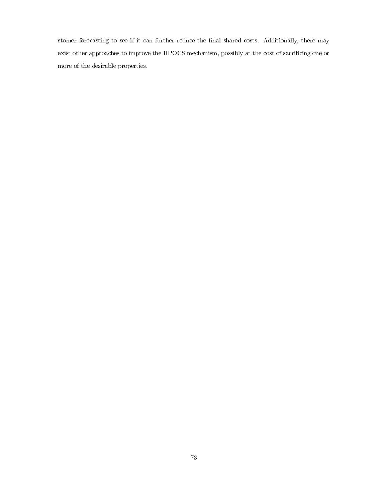stomer forecasting to see if it can further reduce the final shared costs. Additionally, there may exist other approaches to improve the HPOCS mechanism, possibly at the cost of sacrificing one or more of the desirable properties.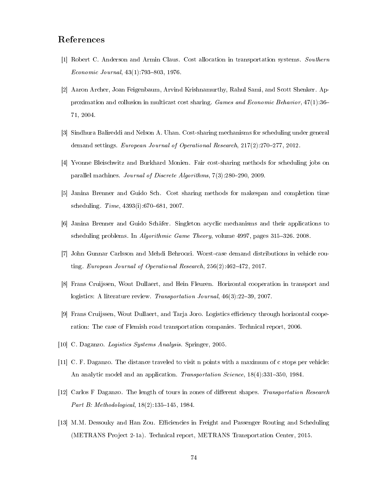## References

- [1] Robert C. Anderson and Armin Claus. Cost allocation in transportation systems. Southern Economic Journal,  $43(1)$ :793-803, 1976.
- [2] Aaron Archer, Joan Feigenbaum, Arvind Krishnamurthy, Rahul Sami, and Scott Shenker. Approximation and collusion in multicast cost sharing. Games and Economic Behavior, 47(1):36 71, 2004.
- [3] Sindhura Balireddi and Nelson A. Uhan. Cost-sharing mechanisms for scheduling under general demand settings. European Journal of Operational Research,  $217(2):270-277$ ,  $2012$ .
- [4] Yvonne Bleischwitz and Burkhard Monien. Fair cost-sharing methods for scheduling jobs on parallel machines. Journal of Discrete Algorithms,  $7(3):280-290$ , 2009.
- [5] Janina Brenner and Guido Sch. Cost sharing methods for makespan and completion time scheduling.  $Time, 4393(i): 670-681, 2007.$
- [6] Janina Brenner and Guido Schäfer. Singleton acyclic mechanisms and their applications to scheduling problems. In *Algorithmic Game Theory*, volume 4997, pages 315-326. 2008.
- [7] John Gunnar Carlsson and Mehdi Behroozi. Worst-case demand distributions in vehicle routing. European Journal of Operational Research,  $256(2)$ :  $462-472$ ,  $2017$ .
- [8] Frans Cruijssen, Wout Dullaert, and Hein Fleuren. Horizontal cooperation in transport and logistics: A literature review. Transportation Journal,  $46(3):22-39$ , 2007.
- [9] Frans Cruijssen, Wout Dullaert, and Tarja Joro. Logistics efficiency through horizontal cooperation: The case of Flemish road transportation companies. Technical report, 2006.
- [10] C. Daganzo. Logistics Systems Analysis. Springer, 2005.
- [11] C. F. Daganzo. The distance traveled to visit n points with a maximum of c stops per vehicle: An analytic model and an application. Transportation Science,  $18(4):331-350$ , 1984.
- [12] Carlos F Daganzo. The length of tours in zones of different shapes. Transportation Research Part B: Methodological,  $18(2):135-145$ , 1984.
- <span id="page-82-0"></span>[13] M.M. Dessouky and Han Zou. Efficiencies in Freight and Passenger Routing and Scheduling (METRANS Project 2-1a). Technical report, METRANS Transportation Center, 2015.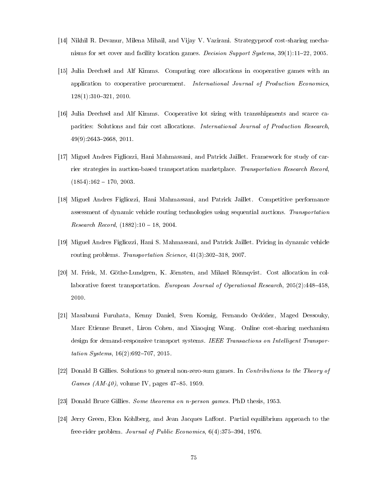- [14] Nikhil R. Devanur, Milena Mihail, and Vijay V. Vazirani. Strategyproof cost-sharing mechanisms for set cover and facility location games. Decision Support Systems,  $39(1):11-22$ , 2005.
- [15] Julia Drechsel and Alf Kimms. Computing core allocations in cooperative games with an application to cooperative procurement. International Journal of Production Economics, 128(1):310321, 2010.
- [16] Julia Drechsel and Alf Kimms. Cooperative lot sizing with transshipments and scarce capacities: Solutions and fair cost allocations. International Journal of Production Research, 49(9):26432668, 2011.
- [17] Miguel Andres Figliozzi, Hani Mahmassani, and Patrick Jaillet. Framework for study of carrier strategies in auction-based transportation marketplace. Transportation Research Record,  $(1854):162 - 170, 2003.$
- [18] Miguel Andres Figliozzi, Hani Mahmassani, and Patrick Jaillet. Competitive performance assessment of dynamic vehicle routing technologies using sequential auctions. Transportation Research Record,  $(1882):10 - 18, 2004$ .
- [19] Miguel Andres Figliozzi, Hani S. Mahmassani, and Patrick Jaillet. Pricing in dynamic vehicle routing problems. Transportation Science,  $41(3):302-318$ , 2007.
- [20] M. Frisk, M. Göthe-Lundgren, K. Jörnsten, and Mikael Rönnqvist. Cost allocation in collaborative forest transportation. European Journal of Operational Research,  $205(2):448-458$ , 2010.
- <span id="page-83-0"></span>[21] Masabumi Furuhata, Kenny Daniel, Sven Koenig, Fernando Ordóñez, Maged Dessouky, Marc Etienne Brunet, Liron Cohen, and Xiaoqing Wang. Online cost-sharing mechanism design for demand-responsive transport systems. IEEE Transactions on Intelligent Transportation Systems,  $16(2)$ :692-707, 2015.
- [22] Donald B Gillies. Solutions to general non-zero-sum games. In Contributions to the Theory of *Games (AM-40)*, volume IV, pages 47–85, 1959.
- [23] Donald Bruce Gillies. Some theorems on n-person games. PhD thesis, 1953.
- [24] Jerry Green, Elon Kohlberg, and Jean Jacques Laffont. Partial equilibrium approach to the free-rider problem. Journal of Public Economics,  $6(4)$ :375-394, 1976.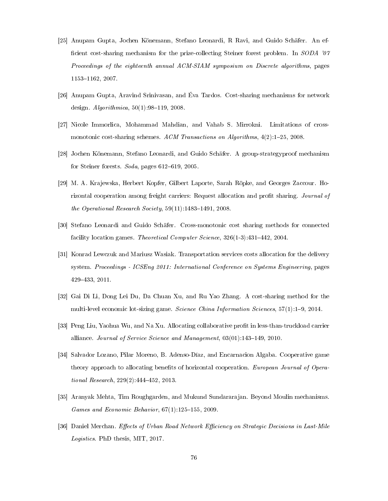- [25] Anupam Gupta, Jochen Könemann, Stefano Leonardi, R Ravi, and Guido Schäfer. An ef ficient cost-sharing mechanism for the prize-collecting Steiner forest problem. In SODA '07 Proceedings of the eighteenth annual ACM-SIAM symposium on Discrete algorithms, pages 1153-1162, 2007.
- [26] Anupam Gupta, Aravind Srinivasan, and Éva Tardos. Cost-sharing mechanisms for network design.  $Algorithmica, 50(1):98–119, 2008.$
- [27] Nicole Immorlica, Mohammad Mahdian, and Vahab S. Mirrokni. Limitations of crossmonotonic cost-sharing schemes. ACM Transactions on Algorithms,  $4(2)$ :1-25, 2008.
- [28] Jochen Könemann, Stefano Leonardi, and Guido Schäfer. A group-strategyproof mechanism for Steiner forests.  $Soda$ , pages  $612-619$ , 2005.
- [29] M. A. Krajewska, Herbert Kopfer, Gilbert Laporte, Sarah Röpke, and Georges Zaccour. Horizontal cooperation among freight carriers: Request allocation and profit sharing. Journal of the Operational Research Society,  $59(11):1483-1491$ , 2008.
- [30] Stefano Leonardi and Guido Schäfer. Cross-monotonic cost sharing methods for connected facility location games. Theoretical Computer Science,  $326(1-3):431-442$ , 2004.
- [31] Konrad Lewczuk and Mariusz Wasiak. Transportation services costs allocation for the delivery system. Proceedings - ICSEng 2011: International Conference on Systems Engineering, pages 429433, 2011.
- [32] Gai Di Li, Dong Lei Du, Da Chuan Xu, and Ru Yao Zhang. A cost-sharing method for the multi-level economic lot-sizing game. Science China Information Sciences, 57(1):1-9, 2014.
- [33] Peng Liu, Yaohua Wu, and Na Xu. Allocating collaborative profit in less-than-truckload carrier alliance. Journal of Service Science and Management,  $03(01):143-149$ , 2010.
- [34] Salvador Lozano, Pilar Moreno, B. Adenso-Díaz, and Encarnacion Algaba. Cooperative game theory approach to allocating benefits of horizontal cooperation. European Journal of Operational Research,  $229(2)$ : 444-452, 2013.
- [35] Aranyak Mehta, Tim Roughgarden, and Mukund Sundararajan. Beyond Moulin mechanisms. Games and Economic Behavior,  $67(1):125-155$ , 2009.
- [36] Daniel Merchan. Effects of Urban Road Network Efficiency on Strategic Decisions in Last-Mile Logistics. PhD thesis, MIT, 2017.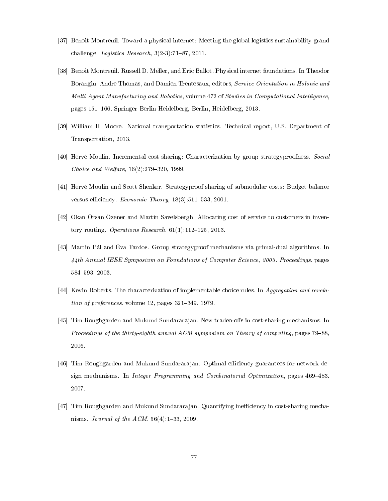- [37] Benoit Montreuil. Toward a physical internet: Meeting the global logistics sustainability grand challenge. *Logistics Research*,  $3(2-3)$ :  $71-87$ , 2011.
- [38] Benoit Montreuil, Russell D. Meller, and Eric Ballot. Physical internet foundations. In Theodor Borangiu, Andre Thomas, and Damien Trentesaux, editors, Service Orientation in Holonic and Multi Agent Manufacturing and Robotics, volume 472 of Studies in Computational Intelligence, pages 151–166. Springer Berlin Heidelberg, Berlin, Heidelberg, 2013.
- [39] William H. Moore. National transportation statistics. Technical report, U.S. Department of Transportation, 2013.
- [40] Hervé Moulin. Incremental cost sharing: Characterization by group strategyproofness. Social Choice and Welfare,  $16(2)$ :279-320, 1999.
- [41] Hervé Moulin and Scott Shenker. Strategyproof sharing of submodular costs: Budget balance versus efficiency. Economic Theory,  $18(3):511-533$ , 2001.
- [42] Okan Örsan Özener and Martin Savelsbergh. Allocating cost of service to customers in inventory routing. Operations Research,  $61(1)$ :112-125, 2013.
- [43] Martin Pál and Éva Tardos. Group strategyproof mechanisms via primal-dual algorithms. In 44th Annual IEEE Symposium on Foundations of Computer Science, 2003. Proceedings, pages 584593, 2003.
- [44] Kevin Roberts. The characterization of implementable choice rules. In Aggregation and revelation of preferences, volume  $12$ , pages  $321-349$ . 1979.
- [45] Tim Roughgarden and Mukund Sundararajan. New tradeo-offs in cost-sharing mechanisms. In Proceedings of the thirty-eighth annual ACM symposium on Theory of computing, pages 79–88, 2006.
- [46] Tim Roughgarden and Mukund Sundararajan. Optimal efficiency guarantees for network design mechanisms. In *Integer Programming and Combinatorial Optimization*, pages 469-483. 2007.
- [47] Tim Roughgarden and Mukund Sundararajan. Quantifying inefficiency in cost-sharing mechanisms. *Journal of the ACM*,  $56(4)$ :  $1-33$ , 2009.